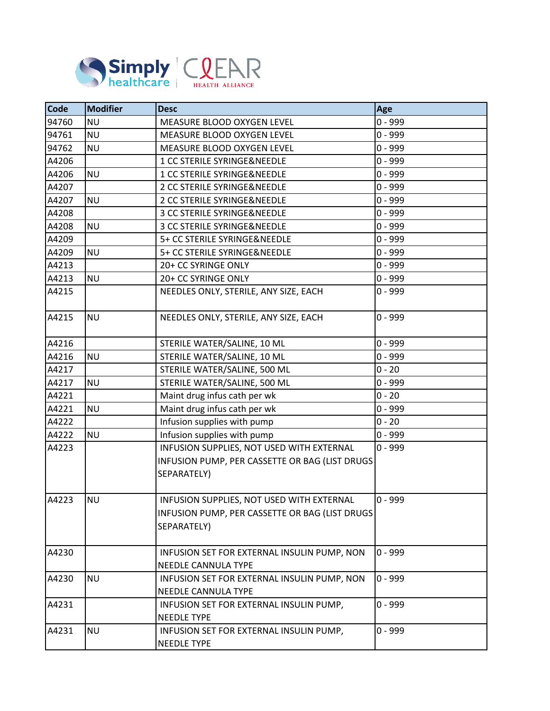

| Code  | <b>Modifier</b> | <b>Desc</b>                                                                                                | Age       |
|-------|-----------------|------------------------------------------------------------------------------------------------------------|-----------|
| 94760 | <b>NU</b>       | MEASURE BLOOD OXYGEN LEVEL                                                                                 | $0 - 999$ |
| 94761 | <b>NU</b>       | MEASURE BLOOD OXYGEN LEVEL                                                                                 | $0 - 999$ |
| 94762 | <b>NU</b>       | MEASURE BLOOD OXYGEN LEVEL                                                                                 | $0 - 999$ |
| A4206 |                 | 1 CC STERILE SYRINGE&NEEDLE                                                                                | $0 - 999$ |
| A4206 | <b>NU</b>       | 1 CC STERILE SYRINGE&NEEDLE                                                                                | $0 - 999$ |
| A4207 |                 | 2 CC STERILE SYRINGE&NEEDLE                                                                                | $0 - 999$ |
| A4207 | <b>NU</b>       | 2 CC STERILE SYRINGE&NEEDLE                                                                                | $0 - 999$ |
| A4208 |                 | 3 CC STERILE SYRINGE&NEEDLE                                                                                | $0 - 999$ |
| A4208 | <b>NU</b>       | 3 CC STERILE SYRINGE&NEEDLE                                                                                | $0 - 999$ |
| A4209 |                 | 5+ CC STERILE SYRINGE&NEEDLE                                                                               | $0 - 999$ |
| A4209 | <b>NU</b>       | 5+ CC STERILE SYRINGE&NEEDLE                                                                               | $0 - 999$ |
| A4213 |                 | 20+ CC SYRINGE ONLY                                                                                        | $0 - 999$ |
| A4213 | <b>NU</b>       | 20+ CC SYRINGE ONLY                                                                                        | $0 - 999$ |
| A4215 |                 | NEEDLES ONLY, STERILE, ANY SIZE, EACH                                                                      | $0 - 999$ |
| A4215 | <b>NU</b>       | NEEDLES ONLY, STERILE, ANY SIZE, EACH                                                                      | $0 - 999$ |
| A4216 |                 | STERILE WATER/SALINE, 10 ML                                                                                | $0 - 999$ |
| A4216 | <b>NU</b>       | STERILE WATER/SALINE, 10 ML                                                                                | $0 - 999$ |
| A4217 |                 | STERILE WATER/SALINE, 500 ML                                                                               | $0 - 20$  |
| A4217 | <b>NU</b>       | STERILE WATER/SALINE, 500 ML                                                                               | $0 - 999$ |
| A4221 |                 | Maint drug infus cath per wk                                                                               | $0 - 20$  |
| A4221 | <b>NU</b>       | Maint drug infus cath per wk                                                                               | $0 - 999$ |
| A4222 |                 | Infusion supplies with pump                                                                                | $0 - 20$  |
| A4222 | <b>NU</b>       | Infusion supplies with pump                                                                                | $0 - 999$ |
| A4223 |                 | INFUSION SUPPLIES, NOT USED WITH EXTERNAL<br>INFUSION PUMP, PER CASSETTE OR BAG (LIST DRUGS<br>SEPARATELY) | $0 - 999$ |
| A4223 | <b>NU</b>       | INFUSION SUPPLIES, NOT USED WITH EXTERNAL<br>INFUSION PUMP, PER CASSETTE OR BAG (LIST DRUGS<br>SEPARATELY) | $0 - 999$ |
| A4230 |                 | INFUSION SET FOR EXTERNAL INSULIN PUMP, NON<br><b>NEEDLE CANNULA TYPE</b>                                  | $0 - 999$ |
| A4230 | <b>NU</b>       | INFUSION SET FOR EXTERNAL INSULIN PUMP, NON<br>NEEDLE CANNULA TYPE                                         | $0 - 999$ |
| A4231 |                 | INFUSION SET FOR EXTERNAL INSULIN PUMP,<br><b>NEEDLE TYPE</b>                                              | $0 - 999$ |
| A4231 | <b>NU</b>       | INFUSION SET FOR EXTERNAL INSULIN PUMP,<br><b>NEEDLE TYPE</b>                                              | $0 - 999$ |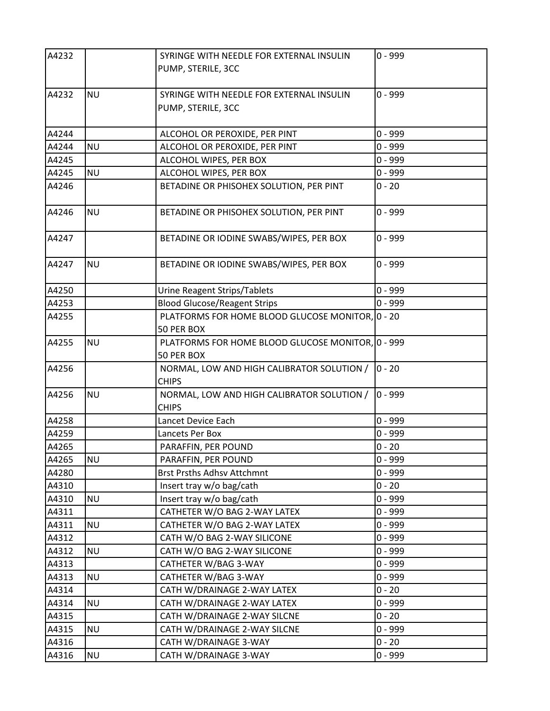| A4232 |           | SYRINGE WITH NEEDLE FOR EXTERNAL INSULIN<br>PUMP, STERILE, 3CC  | $0 - 999$ |
|-------|-----------|-----------------------------------------------------------------|-----------|
| A4232 | <b>NU</b> | SYRINGE WITH NEEDLE FOR EXTERNAL INSULIN                        | $0 - 999$ |
|       |           | PUMP, STERILE, 3CC                                              |           |
| A4244 |           | ALCOHOL OR PEROXIDE, PER PINT                                   | $0 - 999$ |
| A4244 | <b>NU</b> | ALCOHOL OR PEROXIDE, PER PINT                                   | $0 - 999$ |
| A4245 |           | ALCOHOL WIPES, PER BOX                                          | $0 - 999$ |
| A4245 | <b>NU</b> | ALCOHOL WIPES, PER BOX                                          | $0 - 999$ |
| A4246 |           | BETADINE OR PHISOHEX SOLUTION, PER PINT                         | $0 - 20$  |
| A4246 | <b>NU</b> | BETADINE OR PHISOHEX SOLUTION, PER PINT                         | $0 - 999$ |
| A4247 |           | BETADINE OR IODINE SWABS/WIPES, PER BOX                         | $0 - 999$ |
| A4247 | <b>NU</b> | BETADINE OR IODINE SWABS/WIPES, PER BOX                         | $0 - 999$ |
| A4250 |           | Urine Reagent Strips/Tablets                                    | $0 - 999$ |
| A4253 |           | <b>Blood Glucose/Reagent Strips</b>                             | $0 - 999$ |
| A4255 |           | PLATFORMS FOR HOME BLOOD GLUCOSE MONITOR, 0 - 20<br>50 PER BOX  |           |
| A4255 | <b>NU</b> | PLATFORMS FOR HOME BLOOD GLUCOSE MONITOR, 0 - 999<br>50 PER BOX |           |
| A4256 |           | NORMAL, LOW AND HIGH CALIBRATOR SOLUTION /<br><b>CHIPS</b>      | $ 0 - 20$ |
| A4256 | <b>NU</b> | NORMAL, LOW AND HIGH CALIBRATOR SOLUTION /<br><b>CHIPS</b>      | $0 - 999$ |
| A4258 |           | Lancet Device Each                                              | $0 - 999$ |
| A4259 |           | Lancets Per Box                                                 | $0 - 999$ |
| A4265 |           | PARAFFIN, PER POUND                                             | $0 - 20$  |
| A4265 | <b>NU</b> | PARAFFIN, PER POUND                                             | $0 - 999$ |
| A4280 |           | <b>Brst Prsths Adhsv Attchmnt</b>                               | $0 - 999$ |
| A4310 |           | Insert tray w/o bag/cath                                        | $0 - 20$  |
| A4310 | <b>NU</b> | Insert tray w/o bag/cath                                        | $0 - 999$ |
| A4311 |           | CATHETER W/O BAG 2-WAY LATEX                                    | $0 - 999$ |
| A4311 | <b>NU</b> | CATHETER W/O BAG 2-WAY LATEX                                    | $0 - 999$ |
| A4312 |           | CATH W/O BAG 2-WAY SILICONE                                     | $0 - 999$ |
| A4312 | <b>NU</b> | CATH W/O BAG 2-WAY SILICONE                                     | $0 - 999$ |
| A4313 |           | CATHETER W/BAG 3-WAY                                            | $0 - 999$ |
| A4313 | <b>NU</b> | CATHETER W/BAG 3-WAY                                            | $0 - 999$ |
| A4314 |           | CATH W/DRAINAGE 2-WAY LATEX                                     | $0 - 20$  |
| A4314 | <b>NU</b> | CATH W/DRAINAGE 2-WAY LATEX                                     | $0 - 999$ |
| A4315 |           | CATH W/DRAINAGE 2-WAY SILCNE                                    | $0 - 20$  |
| A4315 | <b>NU</b> | CATH W/DRAINAGE 2-WAY SILCNE                                    | $0 - 999$ |
| A4316 |           | CATH W/DRAINAGE 3-WAY                                           | $0 - 20$  |
| A4316 | <b>NU</b> | CATH W/DRAINAGE 3-WAY                                           | $0 - 999$ |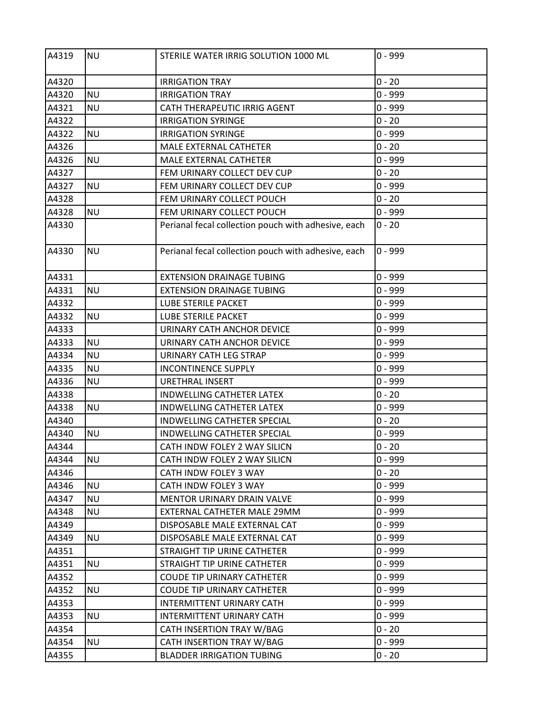| A4319 | <b>NU</b> | STERILE WATER IRRIG SOLUTION 1000 ML                | $0 - 999$ |
|-------|-----------|-----------------------------------------------------|-----------|
| A4320 |           | <b>IRRIGATION TRAY</b>                              | $0 - 20$  |
| A4320 | <b>NU</b> | <b>IRRIGATION TRAY</b>                              | $0 - 999$ |
| A4321 | <b>NU</b> | CATH THERAPEUTIC IRRIG AGENT                        | $0 - 999$ |
| A4322 |           | <b>IRRIGATION SYRINGE</b>                           | $0 - 20$  |
| A4322 | <b>NU</b> | <b>IRRIGATION SYRINGE</b>                           | $0 - 999$ |
| A4326 |           | MALE EXTERNAL CATHETER                              | $0 - 20$  |
| A4326 | <b>NU</b> | MALE EXTERNAL CATHETER                              | $0 - 999$ |
| A4327 |           | FEM URINARY COLLECT DEV CUP                         | $0 - 20$  |
| A4327 | <b>NU</b> | FEM URINARY COLLECT DEV CUP                         | $0 - 999$ |
| A4328 |           | FEM URINARY COLLECT POUCH                           | $0 - 20$  |
| A4328 | <b>NU</b> | FEM URINARY COLLECT POUCH                           | $0 - 999$ |
| A4330 |           | Perianal fecal collection pouch with adhesive, each | $0 - 20$  |
| A4330 | <b>NU</b> | Perianal fecal collection pouch with adhesive, each | $0 - 999$ |
| A4331 |           | <b>EXTENSION DRAINAGE TUBING</b>                    | $0 - 999$ |
| A4331 | <b>NU</b> | <b>EXTENSION DRAINAGE TUBING</b>                    | $0 - 999$ |
| A4332 |           | LUBE STERILE PACKET                                 | $0 - 999$ |
| A4332 | <b>NU</b> | LUBE STERILE PACKET                                 | $0 - 999$ |
| A4333 |           | URINARY CATH ANCHOR DEVICE                          | $0 - 999$ |
| A4333 | <b>NU</b> | URINARY CATH ANCHOR DEVICE                          | $0 - 999$ |
| A4334 | <b>NU</b> | URINARY CATH LEG STRAP                              | $0 - 999$ |
| A4335 | <b>NU</b> | <b>INCONTINENCE SUPPLY</b>                          | $0 - 999$ |
| A4336 | <b>NU</b> | <b>URETHRAL INSERT</b>                              | $0 - 999$ |
| A4338 |           | INDWELLING CATHETER LATEX                           | $0 - 20$  |
| A4338 | <b>NU</b> | INDWELLING CATHETER LATEX                           | $0 - 999$ |
| A4340 |           | INDWELLING CATHETER SPECIAL                         | $0 - 20$  |
| A4340 | <b>NU</b> | INDWELLING CATHETER SPECIAL                         | 0 - 999   |
| A4344 |           | CATH INDW FOLEY 2 WAY SILICN                        | $0 - 20$  |
| A4344 | <b>NU</b> | CATH INDW FOLEY 2 WAY SILICN                        | $0 - 999$ |
| A4346 |           | CATH INDW FOLEY 3 WAY                               | $0 - 20$  |
| A4346 | <b>NU</b> | CATH INDW FOLEY 3 WAY                               | $0 - 999$ |
| A4347 | <b>NU</b> | MENTOR URINARY DRAIN VALVE                          | $0 - 999$ |
| A4348 | <b>NU</b> | EXTERNAL CATHETER MALE 29MM                         | $0 - 999$ |
| A4349 |           | DISPOSABLE MALE EXTERNAL CAT                        | $0 - 999$ |
| A4349 | <b>NU</b> | DISPOSABLE MALE EXTERNAL CAT                        | $0 - 999$ |
| A4351 |           | STRAIGHT TIP URINE CATHETER                         | $0 - 999$ |
| A4351 | <b>NU</b> | STRAIGHT TIP URINE CATHETER                         | $0 - 999$ |
| A4352 |           | <b>COUDE TIP URINARY CATHETER</b>                   | $0 - 999$ |
| A4352 | <b>NU</b> | <b>COUDE TIP URINARY CATHETER</b>                   | $0 - 999$ |
| A4353 |           | INTERMITTENT URINARY CATH                           | $0 - 999$ |
| A4353 | <b>NU</b> | <b>INTERMITTENT URINARY CATH</b>                    | $0 - 999$ |
| A4354 |           | CATH INSERTION TRAY W/BAG                           | $0 - 20$  |
| A4354 | <b>NU</b> | CATH INSERTION TRAY W/BAG                           | $0 - 999$ |
| A4355 |           | <b>BLADDER IRRIGATION TUBING</b>                    | $0 - 20$  |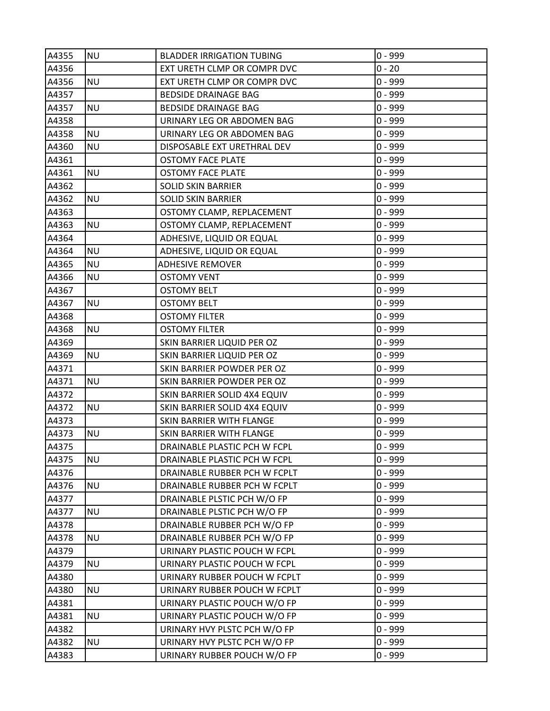| A4355 | <b>NU</b> | <b>BLADDER IRRIGATION TUBING</b> | $0 - 999$ |
|-------|-----------|----------------------------------|-----------|
| A4356 |           | EXT URETH CLMP OR COMPR DVC      | $0 - 20$  |
| A4356 | <b>NU</b> | EXT URETH CLMP OR COMPR DVC      | $0 - 999$ |
| A4357 |           | <b>BEDSIDE DRAINAGE BAG</b>      | $0 - 999$ |
| A4357 | <b>NU</b> | <b>BEDSIDE DRAINAGE BAG</b>      | $0 - 999$ |
| A4358 |           | URINARY LEG OR ABDOMEN BAG       | $0 - 999$ |
| A4358 | <b>NU</b> | URINARY LEG OR ABDOMEN BAG       | $0 - 999$ |
| A4360 | <b>NU</b> | DISPOSABLE EXT URETHRAL DEV      | $0 - 999$ |
| A4361 |           | <b>OSTOMY FACE PLATE</b>         | $0 - 999$ |
| A4361 | <b>NU</b> | <b>OSTOMY FACE PLATE</b>         | $0 - 999$ |
| A4362 |           | <b>SOLID SKIN BARRIER</b>        | $0 - 999$ |
| A4362 | <b>NU</b> | <b>SOLID SKIN BARRIER</b>        | $0 - 999$ |
| A4363 |           | OSTOMY CLAMP, REPLACEMENT        | $0 - 999$ |
| A4363 | <b>NU</b> | OSTOMY CLAMP, REPLACEMENT        | $0 - 999$ |
| A4364 |           | ADHESIVE, LIQUID OR EQUAL        | $0 - 999$ |
| A4364 | <b>NU</b> | ADHESIVE, LIQUID OR EQUAL        | $0 - 999$ |
| A4365 | <b>NU</b> | <b>ADHESIVE REMOVER</b>          | $0 - 999$ |
| A4366 | ΝU        | <b>OSTOMY VENT</b>               | $0 - 999$ |
| A4367 |           | <b>OSTOMY BELT</b>               | $0 - 999$ |
| A4367 | <b>NU</b> | <b>OSTOMY BELT</b>               | $0 - 999$ |
| A4368 |           | <b>OSTOMY FILTER</b>             | $0 - 999$ |
| A4368 | <b>NU</b> | <b>OSTOMY FILTER</b>             | $0 - 999$ |
| A4369 |           | SKIN BARRIER LIQUID PER OZ       | $0 - 999$ |
| A4369 | <b>NU</b> | SKIN BARRIER LIQUID PER OZ       | $0 - 999$ |
| A4371 |           | SKIN BARRIER POWDER PER OZ       | $0 - 999$ |
| A4371 | <b>NU</b> | SKIN BARRIER POWDER PER OZ       | $0 - 999$ |
| A4372 |           | SKIN BARRIER SOLID 4X4 EQUIV     | $0 - 999$ |
| A4372 | <b>NU</b> | SKIN BARRIER SOLID 4X4 EQUIV     | $0 - 999$ |
| A4373 |           | SKIN BARRIER WITH FLANGE         | $0 - 999$ |
| A4373 | <b>NU</b> | SKIN BARRIER WITH FLANGE         | $0 - 999$ |
| A4375 |           | DRAINABLE PLASTIC PCH W FCPL     | $0 - 999$ |
| A4375 | <b>NU</b> | DRAINABLE PLASTIC PCH W FCPL     | $0 - 999$ |
| A4376 |           | DRAINABLE RUBBER PCH W FCPLT     | $0 - 999$ |
| A4376 | <b>NU</b> | DRAINABLE RUBBER PCH W FCPLT     | $0 - 999$ |
| A4377 |           | DRAINABLE PLSTIC PCH W/O FP      | $0 - 999$ |
| A4377 | <b>NU</b> | DRAINABLE PLSTIC PCH W/O FP      | $0 - 999$ |
| A4378 |           | DRAINABLE RUBBER PCH W/O FP      | $0 - 999$ |
| A4378 | <b>NU</b> | DRAINABLE RUBBER PCH W/O FP      | $0 - 999$ |
| A4379 |           | URINARY PLASTIC POUCH W FCPL     | $0 - 999$ |
| A4379 | <b>NU</b> | URINARY PLASTIC POUCH W FCPL     | $0 - 999$ |
| A4380 |           | URINARY RUBBER POUCH W FCPLT     | $0 - 999$ |
| A4380 | <b>NU</b> | URINARY RUBBER POUCH W FCPLT     | $0 - 999$ |
| A4381 |           | URINARY PLASTIC POUCH W/O FP     | $0 - 999$ |
| A4381 | <b>NU</b> | URINARY PLASTIC POUCH W/O FP     | $0 - 999$ |
| A4382 |           | URINARY HVY PLSTC PCH W/O FP     | $0 - 999$ |
| A4382 | <b>NU</b> | URINARY HVY PLSTC PCH W/O FP     | $0 - 999$ |
| A4383 |           | URINARY RUBBER POUCH W/O FP      | $0 - 999$ |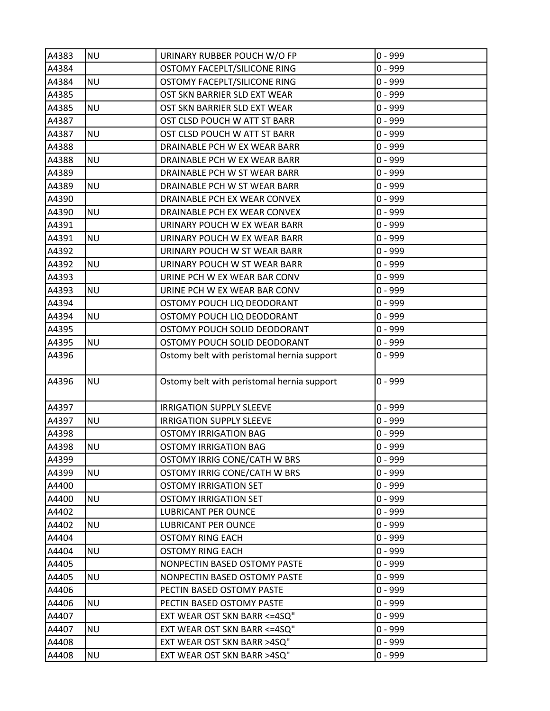| A4383 | <b>NU</b> | URINARY RUBBER POUCH W/O FP                | $0 - 999$ |
|-------|-----------|--------------------------------------------|-----------|
| A4384 |           | OSTOMY FACEPLT/SILICONE RING               | $0 - 999$ |
| A4384 | <b>NU</b> | OSTOMY FACEPLT/SILICONE RING               | $0 - 999$ |
| A4385 |           | OST SKN BARRIER SLD EXT WEAR               | $0 - 999$ |
| A4385 | <b>NU</b> | OST SKN BARRIER SLD EXT WEAR               | $0 - 999$ |
| A4387 |           | OST CLSD POUCH W ATT ST BARR               | $0 - 999$ |
| A4387 | <b>NU</b> | OST CLSD POUCH W ATT ST BARR               | $0 - 999$ |
| A4388 |           | DRAINABLE PCH W EX WEAR BARR               | $0 - 999$ |
| A4388 | <b>NU</b> | DRAINABLE PCH W EX WEAR BARR               | $0 - 999$ |
| A4389 |           | DRAINABLE PCH W ST WEAR BARR               | $0 - 999$ |
| A4389 | <b>NU</b> | DRAINABLE PCH W ST WEAR BARR               | $0 - 999$ |
| A4390 |           | DRAINABLE PCH EX WEAR CONVEX               | $0 - 999$ |
| A4390 | <b>NU</b> | DRAINABLE PCH EX WEAR CONVEX               | $0 - 999$ |
| A4391 |           | URINARY POUCH W EX WEAR BARR               | $0 - 999$ |
| A4391 | <b>NU</b> | URINARY POUCH W EX WEAR BARR               | $0 - 999$ |
| A4392 |           | URINARY POUCH W ST WEAR BARR               | $0 - 999$ |
| A4392 | <b>NU</b> | URINARY POUCH W ST WEAR BARR               | $0 - 999$ |
| A4393 |           | URINE PCH W EX WEAR BAR CONV               | $0 - 999$ |
| A4393 | <b>NU</b> | URINE PCH W EX WEAR BAR CONV               | $0 - 999$ |
| A4394 |           | OSTOMY POUCH LIQ DEODORANT                 | $0 - 999$ |
| A4394 | <b>NU</b> | OSTOMY POUCH LIQ DEODORANT                 | $0 - 999$ |
| A4395 |           | OSTOMY POUCH SOLID DEODORANT               | $0 - 999$ |
| A4395 | <b>NU</b> | OSTOMY POUCH SOLID DEODORANT               | $0 - 999$ |
| A4396 |           | Ostomy belt with peristomal hernia support | $0 - 999$ |
| A4396 | <b>NU</b> | Ostomy belt with peristomal hernia support | $0 - 999$ |
| A4397 |           | <b>IRRIGATION SUPPLY SLEEVE</b>            | 0 - 999   |
| A4397 | <b>NU</b> | <b>IRRIGATION SUPPLY SLEEVE</b>            | $0 - 999$ |
| A4398 |           | <b>OSTOMY IRRIGATION BAG</b>               | $0 - 999$ |
| A4398 | <b>NU</b> | <b>OSTOMY IRRIGATION BAG</b>               | $0 - 999$ |
| A4399 |           | OSTOMY IRRIG CONE/CATH W BRS               | $0 - 999$ |
| A4399 | <b>NU</b> | OSTOMY IRRIG CONE/CATH W BRS               | $0 - 999$ |
| A4400 |           | <b>OSTOMY IRRIGATION SET</b>               | 0 - 999   |
| A4400 | <b>NU</b> | <b>OSTOMY IRRIGATION SET</b>               | $0 - 999$ |
| A4402 |           | LUBRICANT PER OUNCE                        | $0 - 999$ |
| A4402 | <b>NU</b> | <b>LUBRICANT PER OUNCE</b>                 | $0 - 999$ |
| A4404 |           | <b>OSTOMY RING EACH</b>                    | $0 - 999$ |
| A4404 | <b>NU</b> | <b>OSTOMY RING EACH</b>                    | 0 - 999   |
| A4405 |           | NONPECTIN BASED OSTOMY PASTE               | 0 - 999   |
| A4405 | <b>NU</b> | NONPECTIN BASED OSTOMY PASTE               | 0 - 999   |
| A4406 |           | PECTIN BASED OSTOMY PASTE                  | 0 - 999   |
| A4406 | <b>NU</b> | PECTIN BASED OSTOMY PASTE                  | 0 - 999   |
| A4407 |           | EXT WEAR OST SKN BARR <= 4SQ"              | 0 - 999   |
| A4407 | <b>NU</b> | EXT WEAR OST SKN BARR <= 4SQ"              | $0 - 999$ |
| A4408 |           | EXT WEAR OST SKN BARR >4SQ"                | 0 - 999   |
| A4408 | <b>NU</b> | EXT WEAR OST SKN BARR >4SQ"                | $0 - 999$ |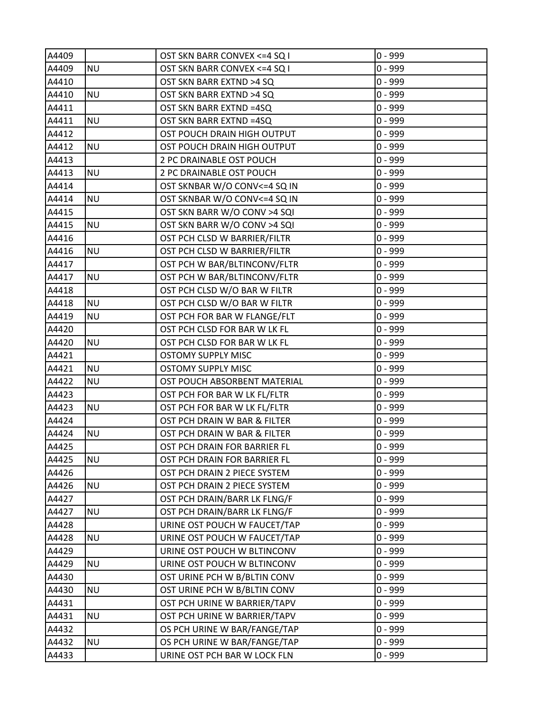| A4409 |           | OST SKN BARR CONVEX <= 4 SQ I | $0 - 999$ |
|-------|-----------|-------------------------------|-----------|
| A4409 | <b>NU</b> | OST SKN BARR CONVEX <= 4 SQ I | $0 - 999$ |
| A4410 |           | OST SKN BARR EXTND >4 SQ      | $0 - 999$ |
| A4410 | <b>NU</b> | OST SKN BARR EXTND >4 SQ      | $0 - 999$ |
| A4411 |           | OST SKN BARR EXTND =4SQ       | $0 - 999$ |
| A4411 | <b>NU</b> | OST SKN BARR EXTND =4SQ       | $0 - 999$ |
| A4412 |           | OST POUCH DRAIN HIGH OUTPUT   | $0 - 999$ |
| A4412 | <b>NU</b> | OST POUCH DRAIN HIGH OUTPUT   | $0 - 999$ |
| A4413 |           | 2 PC DRAINABLE OST POUCH      | $0 - 999$ |
| A4413 | <b>NU</b> | 2 PC DRAINABLE OST POUCH      | $0 - 999$ |
| A4414 |           | OST SKNBAR W/O CONV<=4 SQ IN  | $0 - 999$ |
| A4414 | <b>NU</b> | OST SKNBAR W/O CONV<=4 SQ IN  | $0 - 999$ |
| A4415 |           | OST SKN BARR W/O CONV >4 SQI  | $0 - 999$ |
| A4415 | <b>NU</b> | OST SKN BARR W/O CONV >4 SQI  | $0 - 999$ |
| A4416 |           | OST PCH CLSD W BARRIER/FILTR  | $0 - 999$ |
| A4416 | <b>NU</b> | OST PCH CLSD W BARRIER/FILTR  | $0 - 999$ |
| A4417 |           | OST PCH W BAR/BLTINCONV/FLTR  | $0 - 999$ |
| A4417 | <b>NU</b> | OST PCH W BAR/BLTINCONV/FLTR  | $0 - 999$ |
| A4418 |           | OST PCH CLSD W/O BAR W FILTR  | $0 - 999$ |
| A4418 | <b>NU</b> | OST PCH CLSD W/O BAR W FILTR  | $0 - 999$ |
| A4419 | <b>NU</b> | OST PCH FOR BAR W FLANGE/FLT  | $0 - 999$ |
| A4420 |           | OST PCH CLSD FOR BAR W LK FL  | $0 - 999$ |
| A4420 | <b>NU</b> | OST PCH CLSD FOR BAR W LK FL  | $0 - 999$ |
| A4421 |           | <b>OSTOMY SUPPLY MISC</b>     | $0 - 999$ |
| A4421 | <b>NU</b> | <b>OSTOMY SUPPLY MISC</b>     | $0 - 999$ |
| A4422 | <b>NU</b> | OST POUCH ABSORBENT MATERIAL  | $0 - 999$ |
| A4423 |           | OST PCH FOR BAR W LK FL/FLTR  | $0 - 999$ |
| A4423 | <b>NU</b> | OST PCH FOR BAR W LK FL/FLTR  | $0 - 999$ |
| A4424 |           | OST PCH DRAIN W BAR & FILTER  | $0 - 999$ |
| A4424 | <b>NU</b> | OST PCH DRAIN W BAR & FILTER  | $0 - 999$ |
| A4425 |           | OST PCH DRAIN FOR BARRIER FL  | $0 - 999$ |
| A4425 | <b>NU</b> | OST PCH DRAIN FOR BARRIER FL  | $0 - 999$ |
| A4426 |           | OST PCH DRAIN 2 PIECE SYSTEM  | $0 - 999$ |
| A4426 | <b>NU</b> | OST PCH DRAIN 2 PIECE SYSTEM  | $0 - 999$ |
| A4427 |           | OST PCH DRAIN/BARR LK FLNG/F  | $0 - 999$ |
| A4427 | <b>NU</b> | OST PCH DRAIN/BARR LK FLNG/F  | $0 - 999$ |
| A4428 |           | URINE OST POUCH W FAUCET/TAP  | $0 - 999$ |
| A4428 | <b>NU</b> | URINE OST POUCH W FAUCET/TAP  | $0 - 999$ |
| A4429 |           | URINE OST POUCH W BLTINCONV   | $0 - 999$ |
| A4429 | <b>NU</b> | URINE OST POUCH W BLTINCONV   | $0 - 999$ |
| A4430 |           | OST URINE PCH W B/BLTIN CONV  | $0 - 999$ |
| A4430 | <b>NU</b> | OST URINE PCH W B/BLTIN CONV  | $0 - 999$ |
| A4431 |           | OST PCH URINE W BARRIER/TAPV  | $0 - 999$ |
| A4431 | <b>NU</b> | OST PCH URINE W BARRIER/TAPV  | $0 - 999$ |
| A4432 |           | OS PCH URINE W BAR/FANGE/TAP  | $0 - 999$ |
| A4432 | <b>NU</b> | OS PCH URINE W BAR/FANGE/TAP  | $0 - 999$ |
| A4433 |           | URINE OST PCH BAR W LOCK FLN  | $0 - 999$ |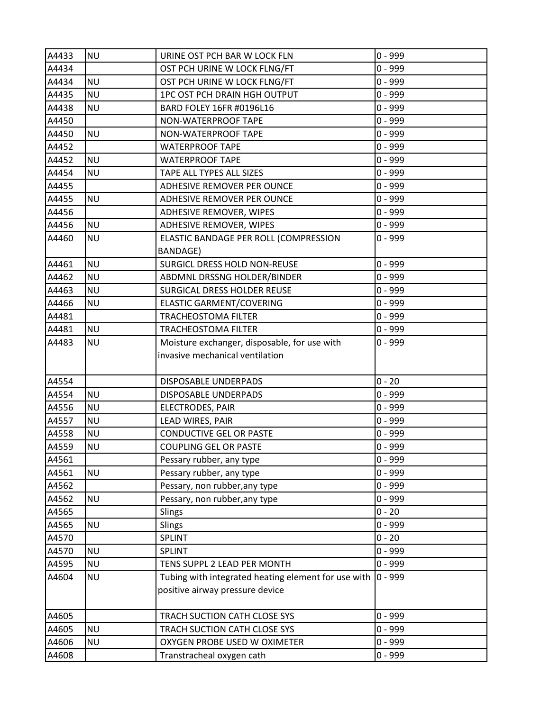| $0 - 999$<br>A4434<br>OST PCH URINE W LOCK FLNG/FT<br>A4434<br><b>NU</b><br>0 - 999<br>OST PCH URINE W LOCK FLNG/FT<br>$0 - 999$<br>A4435<br><b>NU</b><br>1PC OST PCH DRAIN HGH OUTPUT<br>A4438<br><b>NU</b><br>$0 - 999$<br>BARD FOLEY 16FR #0196L16<br>A4450<br>0 - 999<br>NON-WATERPROOF TAPE<br>$0 - 999$<br>A4450<br><b>NU</b><br>NON-WATERPROOF TAPE<br>A4452<br>0 - 999<br><b>WATERPROOF TAPE</b><br>A4452<br>$0 - 999$<br><b>NU</b><br><b>WATERPROOF TAPE</b> |  |
|-----------------------------------------------------------------------------------------------------------------------------------------------------------------------------------------------------------------------------------------------------------------------------------------------------------------------------------------------------------------------------------------------------------------------------------------------------------------------|--|
|                                                                                                                                                                                                                                                                                                                                                                                                                                                                       |  |
|                                                                                                                                                                                                                                                                                                                                                                                                                                                                       |  |
|                                                                                                                                                                                                                                                                                                                                                                                                                                                                       |  |
|                                                                                                                                                                                                                                                                                                                                                                                                                                                                       |  |
|                                                                                                                                                                                                                                                                                                                                                                                                                                                                       |  |
|                                                                                                                                                                                                                                                                                                                                                                                                                                                                       |  |
|                                                                                                                                                                                                                                                                                                                                                                                                                                                                       |  |
|                                                                                                                                                                                                                                                                                                                                                                                                                                                                       |  |
| $0 - 999$<br>A4454<br><b>NU</b><br>TAPE ALL TYPES ALL SIZES                                                                                                                                                                                                                                                                                                                                                                                                           |  |
| $0 - 999$<br>A4455<br>ADHESIVE REMOVER PER OUNCE                                                                                                                                                                                                                                                                                                                                                                                                                      |  |
| $0 - 999$<br>A4455<br><b>NU</b><br>ADHESIVE REMOVER PER OUNCE                                                                                                                                                                                                                                                                                                                                                                                                         |  |
| $0 - 999$<br>A4456<br>ADHESIVE REMOVER, WIPES                                                                                                                                                                                                                                                                                                                                                                                                                         |  |
| A4456<br>$0 - 999$<br><b>NU</b><br>ADHESIVE REMOVER, WIPES                                                                                                                                                                                                                                                                                                                                                                                                            |  |
| <b>NU</b><br>ELASTIC BANDAGE PER ROLL (COMPRESSION<br>0 - 999<br>A4460                                                                                                                                                                                                                                                                                                                                                                                                |  |
| <b>BANDAGE)</b>                                                                                                                                                                                                                                                                                                                                                                                                                                                       |  |
| $0 - 999$<br>A4461<br><b>NU</b><br>SURGICL DRESS HOLD NON-REUSE                                                                                                                                                                                                                                                                                                                                                                                                       |  |
| A4462<br>ABDMNL DRSSNG HOLDER/BINDER<br>0 - 999<br><b>NU</b>                                                                                                                                                                                                                                                                                                                                                                                                          |  |
| A4463<br><b>NU</b><br>SURGICAL DRESS HOLDER REUSE<br>0 - 999                                                                                                                                                                                                                                                                                                                                                                                                          |  |
| A4466<br><b>NU</b><br>ELASTIC GARMENT/COVERING<br>$0 - 999$                                                                                                                                                                                                                                                                                                                                                                                                           |  |
| $0 - 999$<br>A4481<br><b>TRACHEOSTOMA FILTER</b>                                                                                                                                                                                                                                                                                                                                                                                                                      |  |
| <b>NU</b><br>$0 - 999$<br>A4481<br><b>TRACHEOSTOMA FILTER</b>                                                                                                                                                                                                                                                                                                                                                                                                         |  |
| <b>NU</b><br>Moisture exchanger, disposable, for use with<br>0 - 999<br>A4483                                                                                                                                                                                                                                                                                                                                                                                         |  |
| invasive mechanical ventilation                                                                                                                                                                                                                                                                                                                                                                                                                                       |  |
|                                                                                                                                                                                                                                                                                                                                                                                                                                                                       |  |
| $0 - 20$<br>A4554<br>DISPOSABLE UNDERPADS                                                                                                                                                                                                                                                                                                                                                                                                                             |  |
| A4554<br><b>NU</b><br>0 - 999<br>DISPOSABLE UNDERPADS                                                                                                                                                                                                                                                                                                                                                                                                                 |  |
| A4556<br><b>NU</b><br>$0 - 999$<br>ELECTRODES, PAIR                                                                                                                                                                                                                                                                                                                                                                                                                   |  |
| $0 - 999$<br>A4557<br><b>NU</b><br>LEAD WIRES, PAIR                                                                                                                                                                                                                                                                                                                                                                                                                   |  |
| <b>CONDUCTIVE GEL OR PASTE</b><br>0 - 999<br>A4558<br><b>NU</b>                                                                                                                                                                                                                                                                                                                                                                                                       |  |
| A4559<br>$0 - 999$<br><b>NU</b><br><b>COUPLING GEL OR PASTE</b><br>A4561                                                                                                                                                                                                                                                                                                                                                                                              |  |
| $0 - 999$<br>Pessary rubber, any type<br><b>NU</b><br>$0 - 999$                                                                                                                                                                                                                                                                                                                                                                                                       |  |
| A4561<br>Pessary rubber, any type<br>$0 - 999$                                                                                                                                                                                                                                                                                                                                                                                                                        |  |
| A4562<br>Pessary, non rubber, any type<br>$0 - 999$<br>A4562<br><b>NU</b>                                                                                                                                                                                                                                                                                                                                                                                             |  |
| Pessary, non rubber, any type<br>$0 - 20$<br>A4565<br>Slings                                                                                                                                                                                                                                                                                                                                                                                                          |  |
| $0 - 999$<br>A4565<br><b>NU</b><br>Slings                                                                                                                                                                                                                                                                                                                                                                                                                             |  |
| $0 - 20$<br>A4570<br>SPLINT                                                                                                                                                                                                                                                                                                                                                                                                                                           |  |
| $0 - 999$<br>A4570<br><b>NU</b><br>SPLINT                                                                                                                                                                                                                                                                                                                                                                                                                             |  |
| $0 - 999$<br>A4595<br><b>NU</b><br>TENS SUPPL 2 LEAD PER MONTH                                                                                                                                                                                                                                                                                                                                                                                                        |  |
| <b>NU</b><br>$0 - 999$<br>A4604<br>Tubing with integrated heating element for use with                                                                                                                                                                                                                                                                                                                                                                                |  |
| positive airway pressure device                                                                                                                                                                                                                                                                                                                                                                                                                                       |  |
|                                                                                                                                                                                                                                                                                                                                                                                                                                                                       |  |
| A4605<br>0 - 999<br>TRACH SUCTION CATH CLOSE SYS                                                                                                                                                                                                                                                                                                                                                                                                                      |  |
| <b>NU</b><br>$0 - 999$<br>A4605<br>TRACH SUCTION CATH CLOSE SYS                                                                                                                                                                                                                                                                                                                                                                                                       |  |
| $0 - 999$<br>A4606<br><b>NU</b><br>OXYGEN PROBE USED W OXIMETER                                                                                                                                                                                                                                                                                                                                                                                                       |  |
| $0 - 999$<br>A4608<br>Transtracheal oxygen cath                                                                                                                                                                                                                                                                                                                                                                                                                       |  |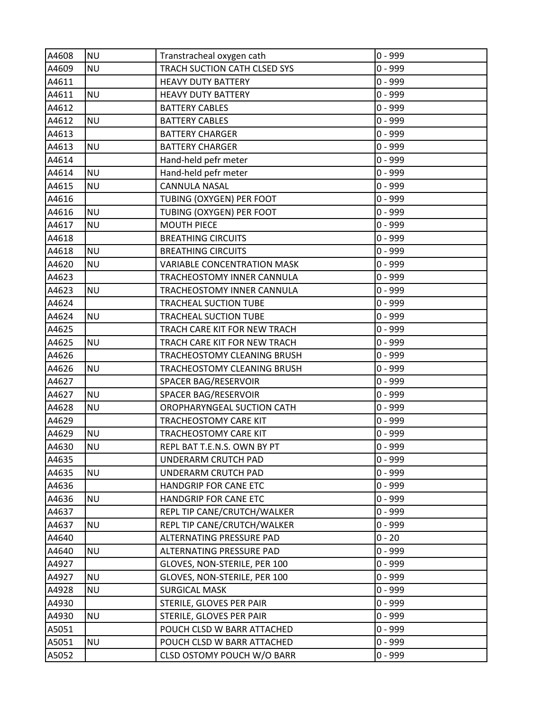| A4608 | <b>NU</b> | Transtracheal oxygen cath          | $0 - 999$ |
|-------|-----------|------------------------------------|-----------|
| A4609 | <b>NU</b> | TRACH SUCTION CATH CLSED SYS       | $0 - 999$ |
| A4611 |           | <b>HEAVY DUTY BATTERY</b>          | $0 - 999$ |
| A4611 | <b>NU</b> | <b>HEAVY DUTY BATTERY</b>          | $0 - 999$ |
| A4612 |           | <b>BATTERY CABLES</b>              | $0 - 999$ |
| A4612 | <b>NU</b> | <b>BATTERY CABLES</b>              | $0 - 999$ |
| A4613 |           | <b>BATTERY CHARGER</b>             | $0 - 999$ |
| A4613 | <b>NU</b> | <b>BATTERY CHARGER</b>             | $0 - 999$ |
| A4614 |           | Hand-held pefr meter               | $0 - 999$ |
| A4614 | <b>NU</b> | Hand-held pefr meter               | $0 - 999$ |
| A4615 | <b>NU</b> | <b>CANNULA NASAL</b>               | $0 - 999$ |
| A4616 |           | TUBING (OXYGEN) PER FOOT           | $0 - 999$ |
| A4616 | <b>NU</b> | TUBING (OXYGEN) PER FOOT           | $0 - 999$ |
| A4617 | <b>NU</b> | <b>MOUTH PIECE</b>                 | $0 - 999$ |
| A4618 |           | <b>BREATHING CIRCUITS</b>          | $0 - 999$ |
| A4618 | <b>NU</b> | <b>BREATHING CIRCUITS</b>          | $0 - 999$ |
| A4620 | <b>NU</b> | <b>VARIABLE CONCENTRATION MASK</b> | $0 - 999$ |
| A4623 |           | TRACHEOSTOMY INNER CANNULA         | $0 - 999$ |
| A4623 | <b>NU</b> | TRACHEOSTOMY INNER CANNULA         | $0 - 999$ |
| A4624 |           | <b>TRACHEAL SUCTION TUBE</b>       | $0 - 999$ |
| A4624 | <b>NU</b> | TRACHEAL SUCTION TUBE              | $0 - 999$ |
| A4625 |           | TRACH CARE KIT FOR NEW TRACH       | $0 - 999$ |
| A4625 | <b>NU</b> | TRACH CARE KIT FOR NEW TRACH       | $0 - 999$ |
| A4626 |           | TRACHEOSTOMY CLEANING BRUSH        | $0 - 999$ |
| A4626 | <b>NU</b> | TRACHEOSTOMY CLEANING BRUSH        | $0 - 999$ |
| A4627 |           | SPACER BAG/RESERVOIR               | $0 - 999$ |
| A4627 | <b>NU</b> | SPACER BAG/RESERVOIR               | $0 - 999$ |
| A4628 | <b>NU</b> | OROPHARYNGEAL SUCTION CATH         | $0 - 999$ |
| A4629 |           | TRACHEOSTOMY CARE KIT              | $0 - 999$ |
| A4629 | <b>NU</b> | <b>TRACHEOSTOMY CARE KIT</b>       | $0 - 999$ |
| A4630 | <b>NU</b> | REPL BAT T.E.N.S. OWN BY PT        | $0 - 999$ |
| A4635 |           | UNDERARM CRUTCH PAD                | $0 - 999$ |
| A4635 | <b>NU</b> | UNDERARM CRUTCH PAD                | $0 - 999$ |
| A4636 |           | HANDGRIP FOR CANE ETC              | $0 - 999$ |
| A4636 | <b>NU</b> | HANDGRIP FOR CANE ETC              | $0 - 999$ |
| A4637 |           | REPL TIP CANE/CRUTCH/WALKER        | $0 - 999$ |
| A4637 | <b>NU</b> | REPL TIP CANE/CRUTCH/WALKER        | $0 - 999$ |
| A4640 |           | ALTERNATING PRESSURE PAD           | $0 - 20$  |
| A4640 | <b>NU</b> | ALTERNATING PRESSURE PAD           | $0 - 999$ |
| A4927 |           | GLOVES, NON-STERILE, PER 100       | $0 - 999$ |
| A4927 | <b>NU</b> | GLOVES, NON-STERILE, PER 100       | $0 - 999$ |
| A4928 | <b>NU</b> | <b>SURGICAL MASK</b>               | $0 - 999$ |
| A4930 |           | STERILE, GLOVES PER PAIR           | $0 - 999$ |
| A4930 | <b>NU</b> | STERILE, GLOVES PER PAIR           | $0 - 999$ |
| A5051 |           | POUCH CLSD W BARR ATTACHED         | $0 - 999$ |
| A5051 | <b>NU</b> | POUCH CLSD W BARR ATTACHED         | $0 - 999$ |
| A5052 |           | CLSD OSTOMY POUCH W/O BARR         | $0 - 999$ |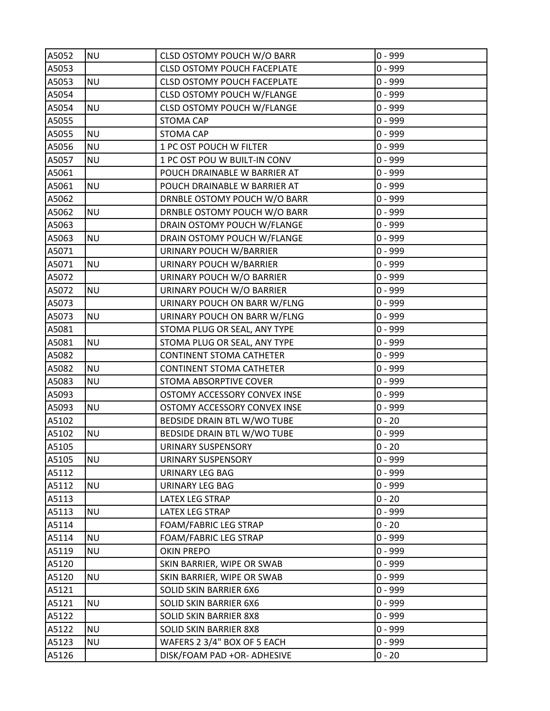| A5052 | <b>NU</b> | CLSD OSTOMY POUCH W/O BARR         | $0 - 999$ |
|-------|-----------|------------------------------------|-----------|
| A5053 |           | <b>CLSD OSTOMY POUCH FACEPLATE</b> | $0 - 999$ |
| A5053 | <b>NU</b> | <b>CLSD OSTOMY POUCH FACEPLATE</b> | $0 - 999$ |
| A5054 |           | CLSD OSTOMY POUCH W/FLANGE         | $0 - 999$ |
| A5054 | <b>NU</b> | CLSD OSTOMY POUCH W/FLANGE         | $0 - 999$ |
| A5055 |           | <b>STOMA CAP</b>                   | $0 - 999$ |
| A5055 | <b>NU</b> | <b>STOMA CAP</b>                   | $0 - 999$ |
| A5056 | <b>NU</b> | 1 PC OST POUCH W FILTER            | $0 - 999$ |
| A5057 | <b>NU</b> | 1 PC OST POU W BUILT-IN CONV       | $0 - 999$ |
| A5061 |           | POUCH DRAINABLE W BARRIER AT       | $0 - 999$ |
| A5061 | <b>NU</b> | POUCH DRAINABLE W BARRIER AT       | $0 - 999$ |
| A5062 |           | DRNBLE OSTOMY POUCH W/O BARR       | $0 - 999$ |
| A5062 | <b>NU</b> | DRNBLE OSTOMY POUCH W/O BARR       | $0 - 999$ |
| A5063 |           | DRAIN OSTOMY POUCH W/FLANGE        | $0 - 999$ |
| A5063 | <b>NU</b> | DRAIN OSTOMY POUCH W/FLANGE        | $0 - 999$ |
| A5071 |           | URINARY POUCH W/BARRIER            | $0 - 999$ |
| A5071 | <b>NU</b> | URINARY POUCH W/BARRIER            | $0 - 999$ |
| A5072 |           | URINARY POUCH W/O BARRIER          | $0 - 999$ |
| A5072 | <b>NU</b> | URINARY POUCH W/O BARRIER          | $0 - 999$ |
| A5073 |           | URINARY POUCH ON BARR W/FLNG       | $0 - 999$ |
| A5073 | <b>NU</b> | URINARY POUCH ON BARR W/FLNG       | $0 - 999$ |
| A5081 |           | STOMA PLUG OR SEAL, ANY TYPE       | $0 - 999$ |
| A5081 | <b>NU</b> | STOMA PLUG OR SEAL, ANY TYPE       | $0 - 999$ |
| A5082 |           | <b>CONTINENT STOMA CATHETER</b>    | $0 - 999$ |
| A5082 | <b>NU</b> | <b>CONTINENT STOMA CATHETER</b>    | $0 - 999$ |
| A5083 | <b>NU</b> | STOMA ABSORPTIVE COVER             | $0 - 999$ |
| A5093 |           | OSTOMY ACCESSORY CONVEX INSE       | $0 - 999$ |
| A5093 | <b>NU</b> | OSTOMY ACCESSORY CONVEX INSE       | $0 - 999$ |
| A5102 |           | BEDSIDE DRAIN BTL W/WO TUBE        | $0 - 20$  |
| A5102 | <b>NU</b> | BEDSIDE DRAIN BTL W/WO TUBE        | $0 - 999$ |
| A5105 |           | <b>URINARY SUSPENSORY</b>          | $0 - 20$  |
| A5105 | <b>NU</b> | URINARY SUSPENSORY                 | $0 - 999$ |
| A5112 |           | URINARY LEG BAG                    | $0 - 999$ |
| A5112 | <b>NU</b> | <b>URINARY LEG BAG</b>             | $0 - 999$ |
| A5113 |           | LATEX LEG STRAP                    | $0 - 20$  |
| A5113 | <b>NU</b> | LATEX LEG STRAP                    | $0 - 999$ |
| A5114 |           | FOAM/FABRIC LEG STRAP              | $0 - 20$  |
| A5114 | <b>NU</b> | <b>FOAM/FABRIC LEG STRAP</b>       | $0 - 999$ |
| A5119 | <b>NU</b> | <b>OKIN PREPO</b>                  | $0 - 999$ |
| A5120 |           | SKIN BARRIER, WIPE OR SWAB         | $0 - 999$ |
| A5120 | <b>NU</b> | SKIN BARRIER, WIPE OR SWAB         | $0 - 999$ |
| A5121 |           | <b>SOLID SKIN BARRIER 6X6</b>      | $0 - 999$ |
| A5121 | <b>NU</b> | SOLID SKIN BARRIER 6X6             | $0 - 999$ |
| A5122 |           | SOLID SKIN BARRIER 8X8             | $0 - 999$ |
| A5122 | <b>NU</b> | <b>SOLID SKIN BARRIER 8X8</b>      | $0 - 999$ |
| A5123 | <b>NU</b> | WAFERS 2 3/4" BOX OF 5 EACH        | $0 - 999$ |
| A5126 |           | DISK/FOAM PAD +OR- ADHESIVE        | $0 - 20$  |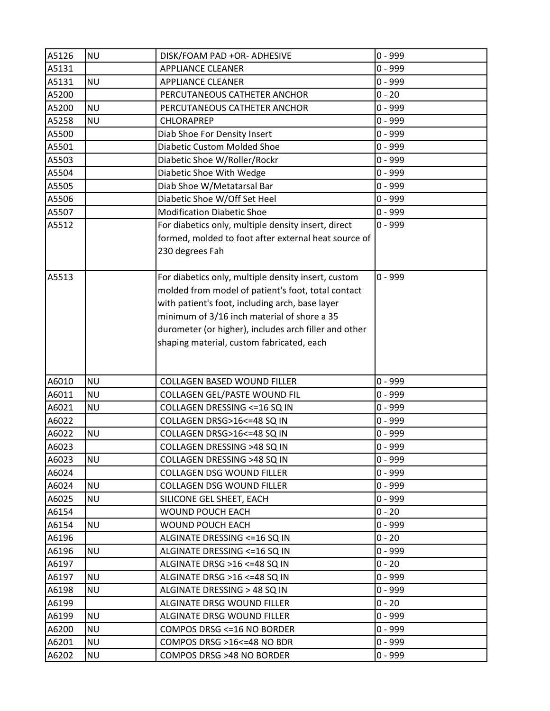| A5126          | <b>NU</b>              | DISK/FOAM PAD +OR- ADHESIVE                                    | $0 - 999$              |
|----------------|------------------------|----------------------------------------------------------------|------------------------|
| A5131          |                        | <b>APPLIANCE CLEANER</b>                                       | $0 - 999$              |
| A5131          | <b>NU</b>              | <b>APPLIANCE CLEANER</b>                                       | $0 - 999$              |
| A5200          |                        | PERCUTANEOUS CATHETER ANCHOR                                   | $0 - 20$               |
| A5200          | <b>NU</b>              | PERCUTANEOUS CATHETER ANCHOR                                   | $0 - 999$              |
| A5258          | <b>NU</b>              | CHLORAPREP                                                     | $0 - 999$              |
| A5500          |                        | Diab Shoe For Density Insert                                   | $0 - 999$              |
| A5501          |                        | Diabetic Custom Molded Shoe                                    | $0 - 999$              |
| A5503          |                        | Diabetic Shoe W/Roller/Rockr                                   | $0 - 999$              |
| A5504          |                        | Diabetic Shoe With Wedge                                       | $0 - 999$              |
| A5505          |                        | Diab Shoe W/Metatarsal Bar                                     | $0 - 999$              |
| A5506          |                        | Diabetic Shoe W/Off Set Heel                                   | $0 - 999$              |
| A5507          |                        | <b>Modification Diabetic Shoe</b>                              | $0 - 999$              |
| A5512          |                        | For diabetics only, multiple density insert, direct            | $0 - 999$              |
|                |                        | formed, molded to foot after external heat source of           |                        |
|                |                        | 230 degrees Fah                                                |                        |
|                |                        |                                                                |                        |
| A5513          |                        | For diabetics only, multiple density insert, custom            | $0 - 999$              |
|                |                        | molded from model of patient's foot, total contact             |                        |
|                |                        | with patient's foot, including arch, base layer                |                        |
|                |                        | minimum of 3/16 inch material of shore a 35                    |                        |
|                |                        | durometer (or higher), includes arch filler and other          |                        |
|                |                        | shaping material, custom fabricated, each                      |                        |
|                |                        |                                                                |                        |
|                |                        |                                                                |                        |
| A6010          | <b>NU</b>              | <b>COLLAGEN BASED WOUND FILLER</b>                             | $0 - 999$              |
| A6011          | <b>NU</b>              | COLLAGEN GEL/PASTE WOUND FIL                                   | $0 - 999$              |
| A6021          | <b>NU</b>              | COLLAGEN DRESSING <= 16 SQ IN                                  | $0 - 999$              |
| A6022          |                        | COLLAGEN DRSG>16<=48 SQ IN                                     | $0 - 999$              |
| A6022          | <b>NU</b>              | COLLAGEN DRSG>16 <= 48 SQ IN                                   | $0 - 999$              |
| A6023          |                        | COLLAGEN DRESSING >48 SQ IN                                    | $0 - 999$              |
| A6023          | <b>NU</b>              | COLLAGEN DRESSING >48 SQ IN                                    | $0 - 999$              |
| A6024          |                        | <b>COLLAGEN DSG WOUND FILLER</b>                               | $0 - 999$              |
| A6024          | <b>NU</b>              | COLLAGEN DSG WOUND FILLER                                      | $0 - 999$<br>$0 - 999$ |
| A6025          | <b>NU</b>              | SILICONE GEL SHEET, EACH                                       | $0 - 20$               |
| A6154          |                        | <b>WOUND POUCH EACH</b>                                        |                        |
| A6154          | <b>NU</b>              | WOUND POUCH EACH                                               | $0 - 999$<br>$0 - 20$  |
| A6196          |                        | ALGINATE DRESSING <= 16 SQ IN                                  | $0 - 999$              |
| A6196          | <b>NU</b>              | ALGINATE DRESSING <= 16 SQ IN<br>ALGINATE DRSG >16 <= 48 SQ IN |                        |
| A6197          |                        |                                                                | $0 - 20$               |
| A6197          | <b>NU</b>              | ALGINATE DRSG >16 <= 48 SQ IN                                  | $0 - 999$              |
| A6198          | <b>NU</b>              | ALGINATE DRESSING > 48 SQ IN                                   | $0 - 999$              |
| A6199          |                        | ALGINATE DRSG WOUND FILLER                                     | $0 - 20$               |
| A6199          | <b>NU</b>              | ALGINATE DRSG WOUND FILLER                                     | $0 - 999$              |
| A6200          | <b>NU</b>              | COMPOS DRSG <= 16 NO BORDER                                    | $0 - 999$              |
|                |                        |                                                                |                        |
| A6201<br>A6202 | <b>NU</b><br><b>NU</b> | COMPOS DRSG >16<=48 NO BDR<br>COMPOS DRSG >48 NO BORDER        | $0 - 999$<br>$0 - 999$ |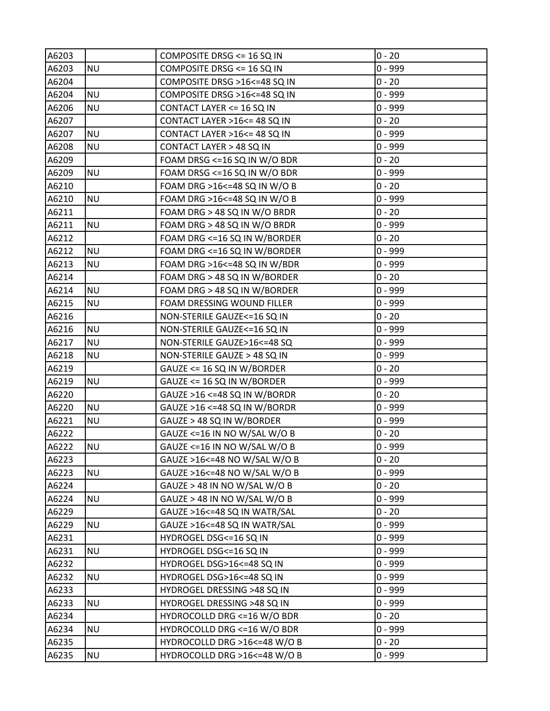| A6203 |           | COMPOSITE DRSG <= 16 SQ IN     | $0 - 20$  |
|-------|-----------|--------------------------------|-----------|
| A6203 | <b>NU</b> | COMPOSITE DRSG <= 16 SQ IN     | $0 - 999$ |
| A6204 |           | COMPOSITE DRSG >16<=48 SQ IN   | $0 - 20$  |
| A6204 | <b>NU</b> | COMPOSITE DRSG >16<=48 SQ IN   | $0 - 999$ |
| A6206 | <b>NU</b> | CONTACT LAYER <= 16 SQ IN      | $0 - 999$ |
| A6207 |           | CONTACT LAYER >16 <= 48 SQ IN  | $0 - 20$  |
| A6207 | <b>NU</b> | CONTACT LAYER >16 <= 48 SQ IN  | $0 - 999$ |
| A6208 | <b>NU</b> | CONTACT LAYER > 48 SQ IN       | $0 - 999$ |
| A6209 |           | FOAM DRSG <= 16 SQ IN W/O BDR  | $0 - 20$  |
| A6209 | <b>NU</b> | FOAM DRSG <= 16 SQ IN W/O BDR  | $0 - 999$ |
| A6210 |           | FOAM DRG >16 <= 48 SQ IN W/O B | $0 - 20$  |
| A6210 | <b>NU</b> | FOAM DRG >16 <= 48 SQ IN W/O B | $0 - 999$ |
| A6211 |           | FOAM DRG > 48 SQ IN W/O BRDR   | $0 - 20$  |
| A6211 | <b>NU</b> | FOAM DRG > 48 SQ IN W/O BRDR   | $0 - 999$ |
| A6212 |           | FOAM DRG <= 16 SQ IN W/BORDER  | $0 - 20$  |
| A6212 | <b>NU</b> | FOAM DRG <= 16 SQ IN W/BORDER  | $0 - 999$ |
| A6213 | <b>NU</b> | FOAM DRG >16<=48 SQ IN W/BDR   | $0 - 999$ |
| A6214 |           | FOAM DRG > 48 SQ IN W/BORDER   | $0 - 20$  |
| A6214 | <b>NU</b> | FOAM DRG > 48 SQ IN W/BORDER   | $0 - 999$ |
| A6215 | <b>NU</b> | FOAM DRESSING WOUND FILLER     | $0 - 999$ |
| A6216 |           | NON-STERILE GAUZE<=16 SQ IN    | $0 - 20$  |
| A6216 | <b>NU</b> | NON-STERILE GAUZE<=16 SQ IN    | $0 - 999$ |
| A6217 | <b>NU</b> | NON-STERILE GAUZE>16<=48 SQ    | $0 - 999$ |
| A6218 | <b>NU</b> | NON-STERILE GAUZE > 48 SQ IN   | $0 - 999$ |
| A6219 |           | GAUZE <= 16 SQ IN W/BORDER     | $0 - 20$  |
| A6219 | <b>NU</b> | GAUZE <= 16 SQ IN W/BORDER     | $0 - 999$ |
| A6220 |           | GAUZE >16 <=48 SQ IN W/BORDR   | $0 - 20$  |
| A6220 | <b>NU</b> | GAUZE >16 <= 48 SQ IN W/BORDR  | $0 - 999$ |
| A6221 | <b>NU</b> | GAUZE > 48 SQ IN W/BORDER      | $0 - 999$ |
| A6222 |           | GAUZE <= 16 IN NO W/SAL W/O B  | $0 - 20$  |
| A6222 | <b>NU</b> | GAUZE <= 16 IN NO W/SAL W/O B  | $0 - 999$ |
| A6223 |           | GAUZE >16<=48 NO W/SAL W/O B   | $0 - 20$  |
| A6223 | <b>NU</b> | GAUZE >16 <= 48 NO W/SAL W/O B | $0 - 999$ |
| A6224 |           | GAUZE > 48 IN NO W/SAL W/O B   | $0 - 20$  |
| A6224 | <b>NU</b> | GAUZE > 48 IN NO W/SAL W/O B   | $0 - 999$ |
| A6229 |           | GAUZE >16 <= 48 SQ IN WATR/SAL | $0 - 20$  |
| A6229 | <b>NU</b> | GAUZE >16 <= 48 SQ IN WATR/SAL | $0 - 999$ |
| A6231 |           | HYDROGEL DSG<=16 SQ IN         | $0 - 999$ |
| A6231 | <b>NU</b> | HYDROGEL DSG<=16 SQ IN         | $0 - 999$ |
| A6232 |           | HYDROGEL DSG>16 <= 48 SQ IN    | $0 - 999$ |
| A6232 | <b>NU</b> | HYDROGEL DSG>16<=48 SQ IN      | $0 - 999$ |
| A6233 |           | HYDROGEL DRESSING >48 SQ IN    | $0 - 999$ |
| A6233 | <b>NU</b> | HYDROGEL DRESSING >48 SQ IN    | $0 - 999$ |
| A6234 |           | HYDROCOLLD DRG <= 16 W/O BDR   | $0 - 20$  |
| A6234 | <b>NU</b> | HYDROCOLLD DRG <= 16 W/O BDR   | $0 - 999$ |
| A6235 |           | HYDROCOLLD DRG >16<=48 W/O B   | $0 - 20$  |
| A6235 | <b>NU</b> | HYDROCOLLD DRG >16<=48 W/O B   | $0 - 999$ |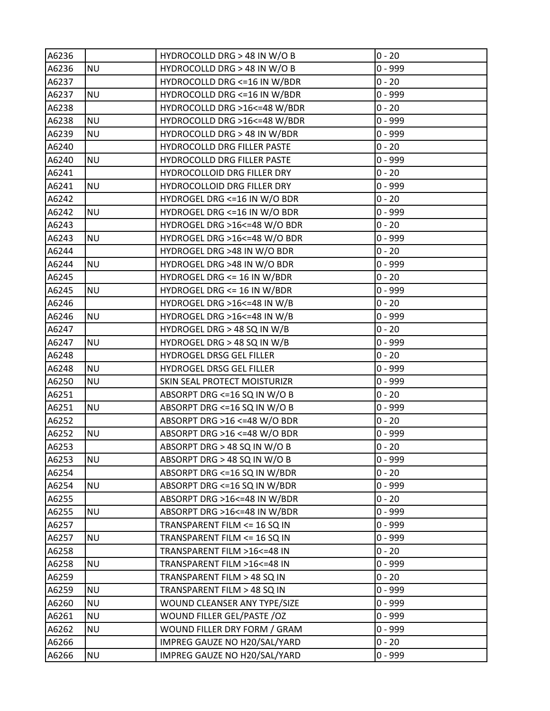| A6236 |           | HYDROCOLLD DRG > 48 IN W/O B   | $0 - 20$  |
|-------|-----------|--------------------------------|-----------|
| A6236 | <b>NU</b> | HYDROCOLLD DRG > 48 IN W/O B   | $0 - 999$ |
| A6237 |           | HYDROCOLLD DRG <= 16 IN W/BDR  | $0 - 20$  |
| A6237 | <b>NU</b> | HYDROCOLLD DRG <= 16 IN W/BDR  | $0 - 999$ |
| A6238 |           | HYDROCOLLD DRG >16<=48 W/BDR   | $0 - 20$  |
| A6238 | <b>NU</b> | HYDROCOLLD DRG >16<=48 W/BDR   | 0 - 999   |
| A6239 | <b>NU</b> | HYDROCOLLD DRG > 48 IN W/BDR   | 0 - 999   |
| A6240 |           | HYDROCOLLD DRG FILLER PASTE    | $0 - 20$  |
| A6240 | <b>NU</b> | HYDROCOLLD DRG FILLER PASTE    | $0 - 999$ |
| A6241 |           | HYDROCOLLOID DRG FILLER DRY    | $0 - 20$  |
| A6241 | <b>NU</b> | HYDROCOLLOID DRG FILLER DRY    | $0 - 999$ |
| A6242 |           | HYDROGEL DRG <= 16 IN W/O BDR  | $0 - 20$  |
| A6242 | <b>NU</b> | HYDROGEL DRG <= 16 IN W/O BDR  | $0 - 999$ |
| A6243 |           | HYDROGEL DRG >16<=48 W/O BDR   | $0 - 20$  |
| A6243 | <b>NU</b> | HYDROGEL DRG >16<=48 W/O BDR   | 0 - 999   |
| A6244 |           | HYDROGEL DRG >48 IN W/O BDR    | $0 - 20$  |
| A6244 | <b>NU</b> | HYDROGEL DRG >48 IN W/O BDR    | 0 - 999   |
| A6245 |           | HYDROGEL DRG <= 16 IN W/BDR    | $0 - 20$  |
| A6245 | <b>NU</b> | HYDROGEL DRG <= 16 IN W/BDR    | 0 - 999   |
| A6246 |           | HYDROGEL DRG >16 <= 48 IN W/B  | $0 - 20$  |
| A6246 | <b>NU</b> | HYDROGEL DRG >16<=48 IN W/B    | $0 - 999$ |
| A6247 |           | HYDROGEL DRG > 48 SQ IN W/B    | $0 - 20$  |
| A6247 | <b>NU</b> | HYDROGEL DRG > 48 SQ IN W/B    | 0 - 999   |
| A6248 |           | HYDROGEL DRSG GEL FILLER       | $0 - 20$  |
| A6248 | <b>NU</b> | HYDROGEL DRSG GEL FILLER       | 0 - 999   |
| A6250 | <b>NU</b> | SKIN SEAL PROTECT MOISTURIZR   | $0 - 999$ |
| A6251 |           | ABSORPT DRG <= 16 SQ IN W/O B  | $0 - 20$  |
| A6251 | <b>NU</b> | ABSORPT DRG <= 16 SQ IN W/O B  | 0 - 999   |
| A6252 |           | ABSORPT DRG >16 <= 48 W/O BDR  | $0 - 20$  |
| A6252 | <b>NU</b> | ABSORPT DRG >16 <= 48 W/O BDR  | 0 - 999   |
| A6253 |           | ABSORPT DRG > 48 SQ IN W/O B   | $0 - 20$  |
| A6253 | <b>NU</b> | ABSORPT DRG > 48 SQ IN W/O B   | $0 - 999$ |
| A6254 |           | ABSORPT DRG <= 16 SQ IN W/BDR  | $0 - 20$  |
| A6254 | <b>NU</b> | ABSORPT DRG <= 16 SQ IN W/BDR  | $0 - 999$ |
| A6255 |           | ABSORPT DRG >16<=48 IN W/BDR   | $0 - 20$  |
| A6255 | <b>NU</b> | ABSORPT DRG >16 <= 48 IN W/BDR | $0 - 999$ |
| A6257 |           | TRANSPARENT FILM <= 16 SQ IN   | $0 - 999$ |
| A6257 | <b>NU</b> | TRANSPARENT FILM <= 16 SQ IN   | $0 - 999$ |
| A6258 |           | TRANSPARENT FILM >16<=48 IN    | $0 - 20$  |
| A6258 | <b>NU</b> | TRANSPARENT FILM >16<=48 IN    | $0 - 999$ |
| A6259 |           | TRANSPARENT FILM > 48 SQ IN    | $0 - 20$  |
| A6259 | <b>NU</b> | TRANSPARENT FILM > 48 SQ IN    | $0 - 999$ |
| A6260 | <b>NU</b> | WOUND CLEANSER ANY TYPE/SIZE   | $0 - 999$ |
| A6261 | <b>NU</b> | WOUND FILLER GEL/PASTE /OZ     | $0 - 999$ |
| A6262 | <b>NU</b> | WOUND FILLER DRY FORM / GRAM   | $0 - 999$ |
| A6266 |           | IMPREG GAUZE NO H20/SAL/YARD   | $0 - 20$  |
| A6266 | <b>NU</b> | IMPREG GAUZE NO H20/SAL/YARD   | $0 - 999$ |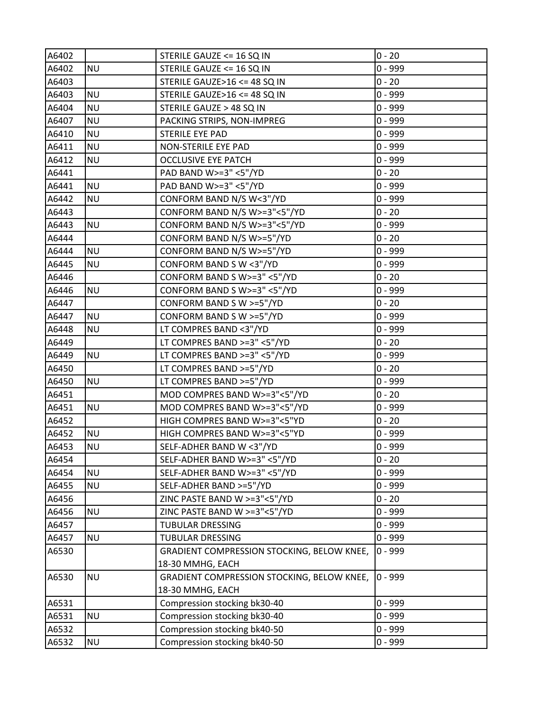| A6402 |           | STERILE GAUZE <= 16 SQ IN                  | $0 - 20$  |
|-------|-----------|--------------------------------------------|-----------|
| A6402 | <b>NU</b> | STERILE GAUZE <= 16 SQ IN                  | $0 - 999$ |
| A6403 |           | STERILE GAUZE>16 <= 48 SQ IN               | $0 - 20$  |
| A6403 | <b>NU</b> | STERILE GAUZE>16 <= 48 SQ IN               | 0 - 999   |
| A6404 | <b>NU</b> | STERILE GAUZE > 48 SQ IN                   | 0 - 999   |
| A6407 | <b>NU</b> | PACKING STRIPS, NON-IMPREG                 | 0 - 999   |
| A6410 | <b>NU</b> | STERILE EYE PAD                            | 0 - 999   |
| A6411 | <b>NU</b> | <b>NON-STERILE EYE PAD</b>                 | $0 - 999$ |
| A6412 | <b>NU</b> | <b>OCCLUSIVE EYE PATCH</b>                 | 0 - 999   |
| A6441 |           | PAD BAND W>=3" <5"/YD                      | $0 - 20$  |
| A6441 | <b>NU</b> | PAD BAND W>=3" <5"/YD                      | 0 - 999   |
| A6442 | <b>NU</b> | CONFORM BAND N/S W<3"/YD                   | 0 - 999   |
| A6443 |           | CONFORM BAND N/S W>=3"<5"/YD               | $0 - 20$  |
| A6443 | <b>NU</b> | CONFORM BAND N/S W>=3"<5"/YD               | 0 - 999   |
| A6444 |           | CONFORM BAND N/S W>=5"/YD                  | $0 - 20$  |
| A6444 | <b>NU</b> | CONFORM BAND N/S W>=5"/YD                  | $0 - 999$ |
| A6445 | <b>NU</b> | CONFORM BAND S W <3"/YD                    | 0 - 999   |
| A6446 |           | CONFORM BAND S W>=3" <5"/YD                | $0 - 20$  |
| A6446 | <b>NU</b> | CONFORM BAND S W>=3" <5"/YD                | 0 - 999   |
| A6447 |           | CONFORM BAND S W >=5"/YD                   | $0 - 20$  |
| A6447 | <b>NU</b> | CONFORM BAND S W >=5"/YD                   | $0 - 999$ |
| A6448 | <b>NU</b> | LT COMPRES BAND <3"/YD                     | 0 - 999   |
| A6449 |           | LT COMPRES BAND >=3" <5"/YD                | $0 - 20$  |
| A6449 | <b>NU</b> | LT COMPRES BAND >=3" <5"/YD                | 0 - 999   |
| A6450 |           | LT COMPRES BAND >=5"/YD                    | $0 - 20$  |
| A6450 | <b>NU</b> | LT COMPRES BAND >=5"/YD                    | 0 - 999   |
| A6451 |           | MOD COMPRES BAND W>=3"<5"/YD               | $0 - 20$  |
| A6451 | <b>NU</b> | MOD COMPRES BAND W>=3"<5"/YD               | 0 - 999   |
| A6452 |           | HIGH COMPRES BAND W>=3"<5"YD               | $0 - 20$  |
| A6452 | <b>NU</b> | HIGH COMPRES BAND W>=3"<5"YD               | 0 - 999   |
| A6453 | <b>NU</b> | SELF-ADHER BAND W <3"/YD                   | $0 - 999$ |
| A6454 |           | SELF-ADHER BAND W>=3" <5"/YD               | $0 - 20$  |
| A6454 | <b>NU</b> | SELF-ADHER BAND W>=3" <5"/YD               | $0 - 999$ |
| A6455 | <b>NU</b> | SELF-ADHER BAND >=5"/YD                    | $0 - 999$ |
| A6456 |           | ZINC PASTE BAND W >=3"<5"/YD               | $0 - 20$  |
| A6456 | <b>NU</b> | ZINC PASTE BAND W >=3"<5"/YD               | $0 - 999$ |
| A6457 |           | <b>TUBULAR DRESSING</b>                    | $0 - 999$ |
| A6457 | <b>NU</b> | <b>TUBULAR DRESSING</b>                    | $0 - 999$ |
| A6530 |           | GRADIENT COMPRESSION STOCKING, BELOW KNEE, | $0 - 999$ |
|       |           | 18-30 MMHG, EACH                           |           |
| A6530 | <b>NU</b> | GRADIENT COMPRESSION STOCKING, BELOW KNEE, | $0 - 999$ |
|       |           | 18-30 MMHG, EACH                           |           |
| A6531 |           | Compression stocking bk30-40               | $0 - 999$ |
| A6531 | <b>NU</b> | Compression stocking bk30-40               | 0 - 999   |
| A6532 |           | Compression stocking bk40-50               | $0 - 999$ |
| A6532 | <b>NU</b> | Compression stocking bk40-50               | $0 - 999$ |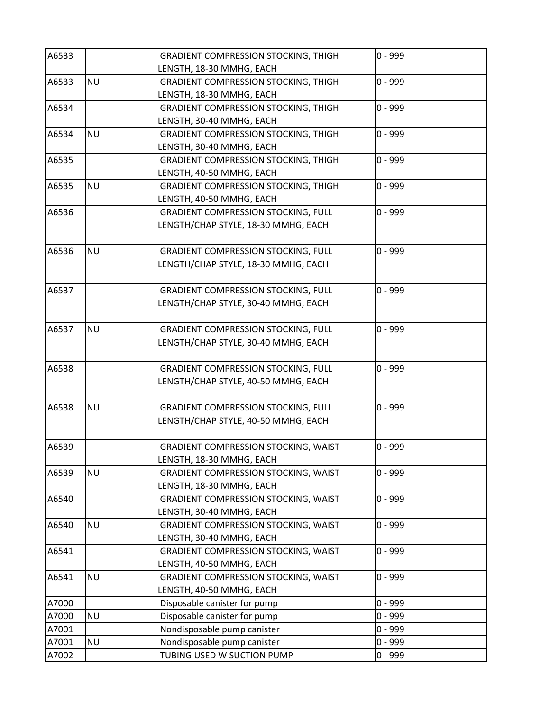| A6533 |           | <b>GRADIENT COMPRESSION STOCKING, THIGH</b> | $0 - 999$ |
|-------|-----------|---------------------------------------------|-----------|
|       |           | LENGTH, 18-30 MMHG, EACH                    |           |
| A6533 | <b>NU</b> | <b>GRADIENT COMPRESSION STOCKING, THIGH</b> | $0 - 999$ |
|       |           | LENGTH, 18-30 MMHG, EACH                    |           |
| A6534 |           | <b>GRADIENT COMPRESSION STOCKING, THIGH</b> | $0 - 999$ |
|       |           | LENGTH, 30-40 MMHG, EACH                    |           |
| A6534 | <b>NU</b> | <b>GRADIENT COMPRESSION STOCKING, THIGH</b> | $0 - 999$ |
|       |           | LENGTH, 30-40 MMHG, EACH                    |           |
| A6535 |           | <b>GRADIENT COMPRESSION STOCKING, THIGH</b> | $0 - 999$ |
|       |           | LENGTH, 40-50 MMHG, EACH                    |           |
| A6535 | <b>NU</b> | <b>GRADIENT COMPRESSION STOCKING, THIGH</b> | $0 - 999$ |
|       |           | LENGTH, 40-50 MMHG, EACH                    |           |
| A6536 |           | <b>GRADIENT COMPRESSION STOCKING, FULL</b>  | $0 - 999$ |
|       |           | LENGTH/CHAP STYLE, 18-30 MMHG, EACH         |           |
| A6536 | <b>NU</b> | <b>GRADIENT COMPRESSION STOCKING, FULL</b>  | $0 - 999$ |
|       |           | LENGTH/CHAP STYLE, 18-30 MMHG, EACH         |           |
|       |           |                                             |           |
| A6537 |           | <b>GRADIENT COMPRESSION STOCKING, FULL</b>  | $0 - 999$ |
|       |           | LENGTH/CHAP STYLE, 30-40 MMHG, EACH         |           |
|       |           |                                             |           |
| A6537 | <b>NU</b> | <b>GRADIENT COMPRESSION STOCKING, FULL</b>  | $0 - 999$ |
|       |           | LENGTH/CHAP STYLE, 30-40 MMHG, EACH         |           |
|       |           |                                             |           |
| A6538 |           | <b>GRADIENT COMPRESSION STOCKING, FULL</b>  | $0 - 999$ |
|       |           | LENGTH/CHAP STYLE, 40-50 MMHG, EACH         |           |
|       |           |                                             |           |
| A6538 | <b>NU</b> | <b>GRADIENT COMPRESSION STOCKING, FULL</b>  | $0 - 999$ |
|       |           | LENGTH/CHAP STYLE, 40-50 MMHG, EACH         |           |
|       |           |                                             |           |
| A6539 |           | <b>GRADIENT COMPRESSION STOCKING, WAIST</b> | 0 - 999   |
|       |           | LENGTH, 18-30 MMHG, EACH                    |           |
| A6539 | <b>NU</b> | <b>GRADIENT COMPRESSION STOCKING, WAIST</b> | $0 - 999$ |
|       |           | LENGTH, 18-30 MMHG, EACH                    |           |
| A6540 |           | <b>GRADIENT COMPRESSION STOCKING, WAIST</b> | 0 - 999   |
|       |           | LENGTH, 30-40 MMHG, EACH                    |           |
| A6540 | <b>NU</b> | <b>GRADIENT COMPRESSION STOCKING, WAIST</b> | $0 - 999$ |
|       |           | LENGTH, 30-40 MMHG, EACH                    |           |
| A6541 |           | <b>GRADIENT COMPRESSION STOCKING, WAIST</b> | $0 - 999$ |
|       |           | LENGTH, 40-50 MMHG, EACH                    |           |
| A6541 | <b>NU</b> | <b>GRADIENT COMPRESSION STOCKING, WAIST</b> | $0 - 999$ |
|       |           | LENGTH, 40-50 MMHG, EACH                    |           |
| A7000 |           | Disposable canister for pump                | $0 - 999$ |
| A7000 | <b>NU</b> | Disposable canister for pump                | $0 - 999$ |
| A7001 |           | Nondisposable pump canister                 | $0 - 999$ |
| A7001 | <b>NU</b> | Nondisposable pump canister                 | $0 - 999$ |
| A7002 |           | TUBING USED W SUCTION PUMP                  | $0 - 999$ |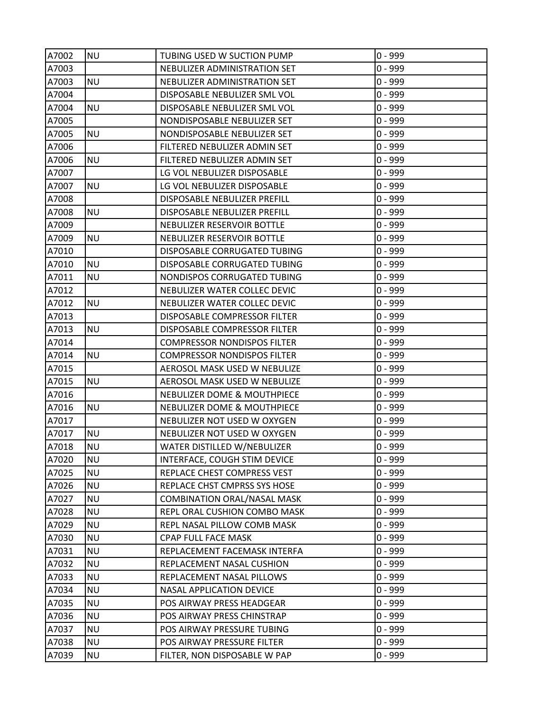| A7002 | NU        | TUBING USED W SUCTION PUMP         | $0 - 999$ |
|-------|-----------|------------------------------------|-----------|
| A7003 |           | NEBULIZER ADMINISTRATION SET       | $0 - 999$ |
| A7003 | <b>NU</b> | NEBULIZER ADMINISTRATION SET       | $0 - 999$ |
| A7004 |           | DISPOSABLE NEBULIZER SML VOL       | $0 - 999$ |
| A7004 | <b>NU</b> | DISPOSABLE NEBULIZER SML VOL       | $0 - 999$ |
| A7005 |           | NONDISPOSABLE NEBULIZER SET        | $0 - 999$ |
| A7005 | <b>NU</b> | NONDISPOSABLE NEBULIZER SET        | $0 - 999$ |
| A7006 |           | FILTERED NEBULIZER ADMIN SET       | $0 - 999$ |
| A7006 | <b>NU</b> | FILTERED NEBULIZER ADMIN SET       | $0 - 999$ |
| A7007 |           | LG VOL NEBULIZER DISPOSABLE        | $0 - 999$ |
| A7007 | <b>NU</b> | LG VOL NEBULIZER DISPOSABLE        | $0 - 999$ |
| A7008 |           | DISPOSABLE NEBULIZER PREFILL       | $0 - 999$ |
| A7008 | <b>NU</b> | DISPOSABLE NEBULIZER PREFILL       | $0 - 999$ |
| A7009 |           | NEBULIZER RESERVOIR BOTTLE         | $0 - 999$ |
| A7009 | <b>NU</b> | NEBULIZER RESERVOIR BOTTLE         | $0 - 999$ |
| A7010 |           | DISPOSABLE CORRUGATED TUBING       | $0 - 999$ |
| A7010 | <b>NU</b> | DISPOSABLE CORRUGATED TUBING       | $0 - 999$ |
| A7011 | <b>NU</b> | NONDISPOS CORRUGATED TUBING        | $0 - 999$ |
| A7012 |           | NEBULIZER WATER COLLEC DEVIC       | $0 - 999$ |
| A7012 | <b>NU</b> | NEBULIZER WATER COLLEC DEVIC       | $0 - 999$ |
| A7013 |           | DISPOSABLE COMPRESSOR FILTER       | $0 - 999$ |
| A7013 | <b>NU</b> | DISPOSABLE COMPRESSOR FILTER       | $0 - 999$ |
| A7014 |           | <b>COMPRESSOR NONDISPOS FILTER</b> | $0 - 999$ |
| A7014 | <b>NU</b> | <b>COMPRESSOR NONDISPOS FILTER</b> | $0 - 999$ |
| A7015 |           | AEROSOL MASK USED W NEBULIZE       | $0 - 999$ |
| A7015 | <b>NU</b> | AEROSOL MASK USED W NEBULIZE       | $0 - 999$ |
| A7016 |           | NEBULIZER DOME & MOUTHPIECE        | $0 - 999$ |
| A7016 | <b>NU</b> | NEBULIZER DOME & MOUTHPIECE        | $0 - 999$ |
| A7017 |           | NEBULIZER NOT USED W OXYGEN        | $0 - 999$ |
| A7017 | <b>NU</b> | NEBULIZER NOT USED W OXYGEN        | $0 - 999$ |
| A7018 | <b>NU</b> | WATER DISTILLED W/NEBULIZER        | $0 - 999$ |
| A7020 | <b>NU</b> | INTERFACE, COUGH STIM DEVICE       | $0 - 999$ |
| A7025 | <b>NU</b> | REPLACE CHEST COMPRESS VEST        | $0 - 999$ |
| A7026 | <b>NU</b> | REPLACE CHST CMPRSS SYS HOSE       | $0 - 999$ |
| A7027 | <b>NU</b> | <b>COMBINATION ORAL/NASAL MASK</b> | $0 - 999$ |
| A7028 | <b>NU</b> | REPL ORAL CUSHION COMBO MASK       | $0 - 999$ |
| A7029 | <b>NU</b> | REPL NASAL PILLOW COMB MASK        | $0 - 999$ |
| A7030 | <b>NU</b> | CPAP FULL FACE MASK                | $0 - 999$ |
| A7031 | <b>NU</b> | REPLACEMENT FACEMASK INTERFA       | $0 - 999$ |
| A7032 | <b>NU</b> | REPLACEMENT NASAL CUSHION          | $0 - 999$ |
| A7033 | <b>NU</b> | REPLACEMENT NASAL PILLOWS          | $0 - 999$ |
| A7034 | <b>NU</b> | <b>NASAL APPLICATION DEVICE</b>    | $0 - 999$ |
| A7035 | <b>NU</b> | POS AIRWAY PRESS HEADGEAR          | $0 - 999$ |
| A7036 | <b>NU</b> | POS AIRWAY PRESS CHINSTRAP         | $0 - 999$ |
| A7037 | <b>NU</b> | POS AIRWAY PRESSURE TUBING         | $0 - 999$ |
| A7038 | <b>NU</b> | POS AIRWAY PRESSURE FILTER         | $0 - 999$ |
| A7039 | <b>NU</b> | FILTER, NON DISPOSABLE W PAP       | $0 - 999$ |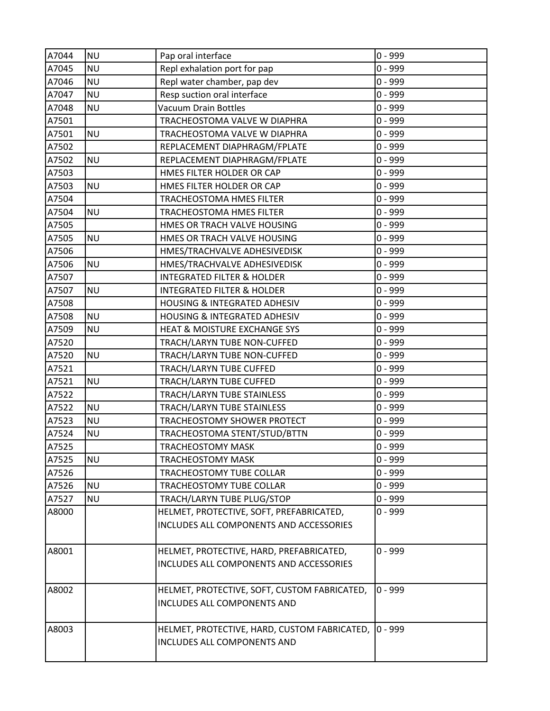| A7044 | <b>NU</b> | Pap oral interface                                                          | $0 - 999$ |
|-------|-----------|-----------------------------------------------------------------------------|-----------|
| A7045 | <b>NU</b> | Repl exhalation port for pap                                                | $0 - 999$ |
| A7046 | <b>NU</b> | Repl water chamber, pap dev                                                 | $0 - 999$ |
| A7047 | <b>NU</b> | Resp suction oral interface                                                 | $0 - 999$ |
| A7048 | <b>NU</b> | Vacuum Drain Bottles                                                        | $0 - 999$ |
| A7501 |           | TRACHEOSTOMA VALVE W DIAPHRA                                                | $0 - 999$ |
| A7501 | <b>NU</b> | TRACHEOSTOMA VALVE W DIAPHRA                                                | $0 - 999$ |
| A7502 |           | REPLACEMENT DIAPHRAGM/FPLATE                                                | $0 - 999$ |
| A7502 | <b>NU</b> | REPLACEMENT DIAPHRAGM/FPLATE                                                | $0 - 999$ |
| A7503 |           | HMES FILTER HOLDER OR CAP                                                   | $0 - 999$ |
| A7503 | <b>NU</b> | HMES FILTER HOLDER OR CAP                                                   | $0 - 999$ |
| A7504 |           | TRACHEOSTOMA HMES FILTER                                                    | $0 - 999$ |
| A7504 | <b>NU</b> | <b>TRACHEOSTOMA HMES FILTER</b>                                             | $0 - 999$ |
| A7505 |           | HMES OR TRACH VALVE HOUSING                                                 | $0 - 999$ |
| A7505 | <b>NU</b> | HMES OR TRACH VALVE HOUSING                                                 | $0 - 999$ |
| A7506 |           | HMES/TRACHVALVE ADHESIVEDISK                                                | $0 - 999$ |
| A7506 | <b>NU</b> | HMES/TRACHVALVE ADHESIVEDISK                                                | $0 - 999$ |
| A7507 |           | <b>INTEGRATED FILTER &amp; HOLDER</b>                                       | $0 - 999$ |
| A7507 | <b>NU</b> | <b>INTEGRATED FILTER &amp; HOLDER</b>                                       | $0 - 999$ |
| A7508 |           | <b>HOUSING &amp; INTEGRATED ADHESIV</b>                                     | $0 - 999$ |
| A7508 | <b>NU</b> | HOUSING & INTEGRATED ADHESIV                                                | $0 - 999$ |
| A7509 | <b>NU</b> | <b>HEAT &amp; MOISTURE EXCHANGE SYS</b>                                     | $0 - 999$ |
| A7520 |           | TRACH/LARYN TUBE NON-CUFFED                                                 | $0 - 999$ |
| A7520 | <b>NU</b> | TRACH/LARYN TUBE NON-CUFFED                                                 | $0 - 999$ |
| A7521 |           | TRACH/LARYN TUBE CUFFED                                                     | $0 - 999$ |
| A7521 | <b>NU</b> | TRACH/LARYN TUBE CUFFED                                                     | $0 - 999$ |
| A7522 |           | TRACH/LARYN TUBE STAINLESS                                                  | $0 - 999$ |
| A7522 | <b>NU</b> | TRACH/LARYN TUBE STAINLESS                                                  | $0 - 999$ |
| A7523 | <b>NU</b> | TRACHEOSTOMY SHOWER PROTECT                                                 | $0 - 999$ |
| A7524 | <b>NU</b> | TRACHEOSTOMA STENT/STUD/BTTN                                                | $0 - 999$ |
| A7525 |           | <b>TRACHEOSTOMY MASK</b>                                                    | $0 - 999$ |
| A7525 | <b>NU</b> | <b>TRACHEOSTOMY MASK</b>                                                    | $0 - 999$ |
| A7526 |           | TRACHEOSTOMY TUBE COLLAR                                                    | $0 - 999$ |
| A7526 | <b>NU</b> | TRACHEOSTOMY TUBE COLLAR                                                    | $0 - 999$ |
| A7527 | <b>NU</b> | TRACH/LARYN TUBE PLUG/STOP                                                  | $0 - 999$ |
| A8000 |           | HELMET, PROTECTIVE, SOFT, PREFABRICATED,                                    | $0 - 999$ |
|       |           | INCLUDES ALL COMPONENTS AND ACCESSORIES                                     |           |
| A8001 |           | HELMET, PROTECTIVE, HARD, PREFABRICATED,                                    | $0 - 999$ |
|       |           | INCLUDES ALL COMPONENTS AND ACCESSORIES                                     |           |
| A8002 |           | HELMET, PROTECTIVE, SOFT, CUSTOM FABRICATED,<br>INCLUDES ALL COMPONENTS AND | $0 - 999$ |
| A8003 |           | HELMET, PROTECTIVE, HARD, CUSTOM FABRICATED,<br>INCLUDES ALL COMPONENTS AND | $0 - 999$ |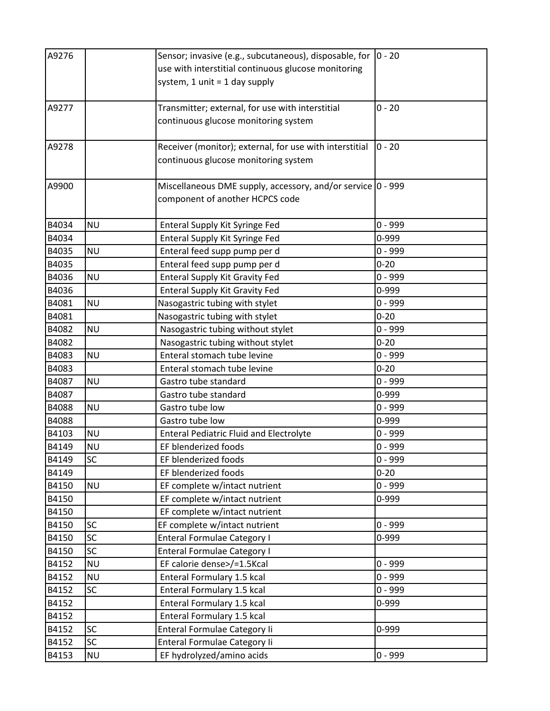| A9276 |           | Sensor; invasive (e.g., subcutaneous), disposable, for  0 - 20 |           |
|-------|-----------|----------------------------------------------------------------|-----------|
|       |           | use with interstitial continuous glucose monitoring            |           |
|       |           | system, 1 unit = 1 day supply                                  |           |
|       |           |                                                                |           |
| A9277 |           | Transmitter; external, for use with interstitial               | $0 - 20$  |
|       |           | continuous glucose monitoring system                           |           |
|       |           |                                                                |           |
| A9278 |           | Receiver (monitor); external, for use with interstitial        | $0 - 20$  |
|       |           | continuous glucose monitoring system                           |           |
|       |           |                                                                |           |
| A9900 |           | Miscellaneous DME supply, accessory, and/or service 0 - 999    |           |
|       |           | component of another HCPCS code                                |           |
|       |           |                                                                |           |
| B4034 | <b>NU</b> | Enteral Supply Kit Syringe Fed                                 | $0 - 999$ |
| B4034 |           | Enteral Supply Kit Syringe Fed                                 | 0-999     |
| B4035 | <b>NU</b> | Enteral feed supp pump per d                                   | $0 - 999$ |
| B4035 |           | Enteral feed supp pump per d                                   | $0 - 20$  |
| B4036 | <b>NU</b> | <b>Enteral Supply Kit Gravity Fed</b>                          | $0 - 999$ |
| B4036 |           | <b>Enteral Supply Kit Gravity Fed</b>                          | 0-999     |
| B4081 | <b>NU</b> | Nasogastric tubing with stylet                                 | $0 - 999$ |
| B4081 |           | Nasogastric tubing with stylet                                 | $0 - 20$  |
| B4082 | <b>NU</b> | Nasogastric tubing without stylet                              | $0 - 999$ |
| B4082 |           | Nasogastric tubing without stylet                              | $0 - 20$  |
| B4083 | <b>NU</b> | Enteral stomach tube levine                                    | $0 - 999$ |
| B4083 |           | Enteral stomach tube levine                                    | $0 - 20$  |
| B4087 | <b>NU</b> | Gastro tube standard                                           | $0 - 999$ |
| B4087 |           | Gastro tube standard                                           | 0-999     |
| B4088 | <b>NU</b> | Gastro tube low                                                | $0 - 999$ |
| B4088 |           | Gastro tube low                                                | 0-999     |
| B4103 | <b>NU</b> | <b>Enteral Pediatric Fluid and Electrolyte</b>                 | $0 - 999$ |
| B4149 | <b>NU</b> | EF blenderized foods                                           | $0 - 999$ |
| B4149 | SC        | EF blenderized foods                                           | $0 - 999$ |
| B4149 |           | EF blenderized foods                                           | $0 - 20$  |
| B4150 | <b>NU</b> | EF complete w/intact nutrient                                  | $0 - 999$ |
| B4150 |           | EF complete w/intact nutrient                                  | 0-999     |
| B4150 |           | EF complete w/intact nutrient                                  |           |
| B4150 | SC        | EF complete w/intact nutrient                                  | $0 - 999$ |
| B4150 | SC        | <b>Enteral Formulae Category I</b>                             | 0-999     |
| B4150 | SC        | Enteral Formulae Category I                                    |           |
| B4152 | <b>NU</b> | EF calorie dense>/=1.5Kcal                                     | $0 - 999$ |
| B4152 | <b>NU</b> | Enteral Formulary 1.5 kcal                                     | $0 - 999$ |
| B4152 | SC        | Enteral Formulary 1.5 kcal                                     | $0 - 999$ |
| B4152 |           | Enteral Formulary 1.5 kcal                                     | 0-999     |
| B4152 |           | Enteral Formulary 1.5 kcal                                     |           |
| B4152 | SC        | Enteral Formulae Category li                                   | 0-999     |
| B4152 | SC        | Enteral Formulae Category Ii                                   |           |
| B4153 | <b>NU</b> | EF hydrolyzed/amino acids                                      | $0 - 999$ |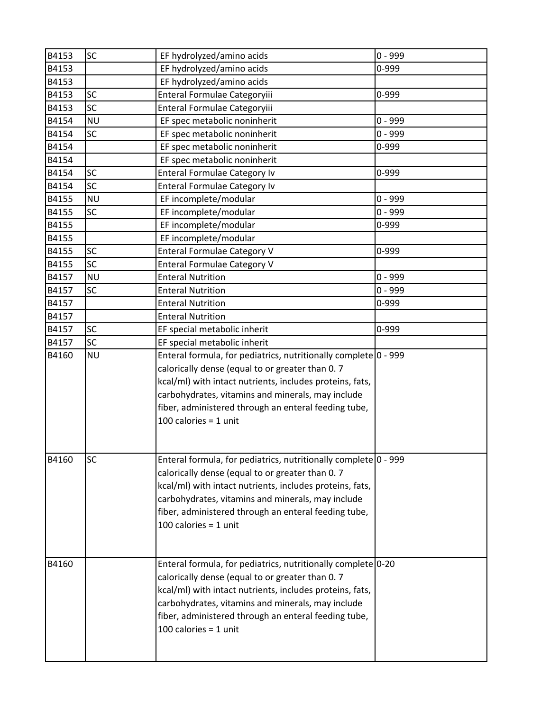| B4153 | <b>SC</b> | EF hydrolyzed/amino acids                                                                                                                                                                                                                                                                                              | $0 - 999$ |
|-------|-----------|------------------------------------------------------------------------------------------------------------------------------------------------------------------------------------------------------------------------------------------------------------------------------------------------------------------------|-----------|
| B4153 |           | EF hydrolyzed/amino acids                                                                                                                                                                                                                                                                                              | 0-999     |
| B4153 |           | EF hydrolyzed/amino acids                                                                                                                                                                                                                                                                                              |           |
| B4153 | SC        | Enteral Formulae Categoryiii                                                                                                                                                                                                                                                                                           | 0-999     |
| B4153 | SC        | Enteral Formulae Categoryiii                                                                                                                                                                                                                                                                                           |           |
| B4154 | <b>NU</b> | EF spec metabolic noninherit                                                                                                                                                                                                                                                                                           | $0 - 999$ |
| B4154 | <b>SC</b> | EF spec metabolic noninherit                                                                                                                                                                                                                                                                                           | $0 - 999$ |
| B4154 |           | EF spec metabolic noninherit                                                                                                                                                                                                                                                                                           | 0-999     |
| B4154 |           | EF spec metabolic noninherit                                                                                                                                                                                                                                                                                           |           |
| B4154 | SC        | <b>Enteral Formulae Category Iv</b>                                                                                                                                                                                                                                                                                    | 0-999     |
| B4154 | SC        | <b>Enteral Formulae Category Iv</b>                                                                                                                                                                                                                                                                                    |           |
| B4155 | <b>NU</b> | EF incomplete/modular                                                                                                                                                                                                                                                                                                  | $0 - 999$ |
| B4155 | <b>SC</b> | EF incomplete/modular                                                                                                                                                                                                                                                                                                  | $0 - 999$ |
| B4155 |           | EF incomplete/modular                                                                                                                                                                                                                                                                                                  | 0-999     |
| B4155 |           | EF incomplete/modular                                                                                                                                                                                                                                                                                                  |           |
| B4155 | <b>SC</b> | <b>Enteral Formulae Category V</b>                                                                                                                                                                                                                                                                                     | 0-999     |
| B4155 | SC        | <b>Enteral Formulae Category V</b>                                                                                                                                                                                                                                                                                     |           |
| B4157 | <b>NU</b> | <b>Enteral Nutrition</b>                                                                                                                                                                                                                                                                                               | $0 - 999$ |
| B4157 | <b>SC</b> | <b>Enteral Nutrition</b>                                                                                                                                                                                                                                                                                               | $0 - 999$ |
| B4157 |           | <b>Enteral Nutrition</b>                                                                                                                                                                                                                                                                                               | 0-999     |
| B4157 |           | <b>Enteral Nutrition</b>                                                                                                                                                                                                                                                                                               |           |
| B4157 | SC        | EF special metabolic inherit                                                                                                                                                                                                                                                                                           | 0-999     |
| B4157 | <b>SC</b> | EF special metabolic inherit                                                                                                                                                                                                                                                                                           |           |
| B4160 | <b>NU</b> | Enteral formula, for pediatrics, nutritionally complete 0 - 999<br>calorically dense (equal to or greater than 0.7<br>kcal/ml) with intact nutrients, includes proteins, fats,<br>carbohydrates, vitamins and minerals, may include<br>fiber, administered through an enteral feeding tube,<br>100 calories = $1$ unit |           |
| B4160 | SC        | Enteral formula, for pediatrics, nutritionally complete 0 - 999<br>calorically dense (equal to or greater than 0.7<br>kcal/ml) with intact nutrients, includes proteins, fats,<br>carbohydrates, vitamins and minerals, may include<br>fiber, administered through an enteral feeding tube,<br>100 calories = $1$ unit |           |
| B4160 |           | Enteral formula, for pediatrics, nutritionally complete 0-20<br>calorically dense (equal to or greater than 0.7<br>kcal/ml) with intact nutrients, includes proteins, fats,<br>carbohydrates, vitamins and minerals, may include<br>fiber, administered through an enteral feeding tube,<br>100 calories = $1$ unit    |           |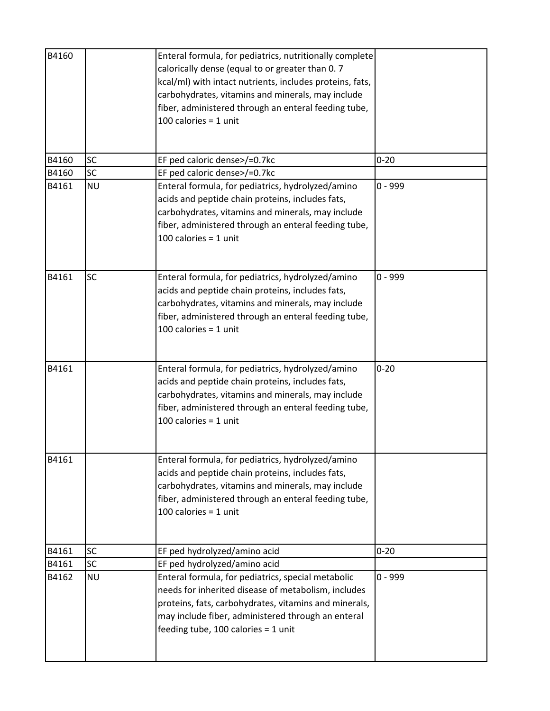| B4160 |           | Enteral formula, for pediatrics, nutritionally complete<br>calorically dense (equal to or greater than 0.7<br>kcal/ml) with intact nutrients, includes proteins, fats,<br>carbohydrates, vitamins and minerals, may include<br>fiber, administered through an enteral feeding tube,<br>100 calories = $1$ unit |           |
|-------|-----------|----------------------------------------------------------------------------------------------------------------------------------------------------------------------------------------------------------------------------------------------------------------------------------------------------------------|-----------|
| B4160 | <b>SC</b> | EF ped caloric dense>/=0.7kc                                                                                                                                                                                                                                                                                   | $0 - 20$  |
| B4160 | <b>SC</b> | EF ped caloric dense>/=0.7kc                                                                                                                                                                                                                                                                                   |           |
| B4161 | <b>NU</b> | Enteral formula, for pediatrics, hydrolyzed/amino<br>acids and peptide chain proteins, includes fats,<br>carbohydrates, vitamins and minerals, may include<br>fiber, administered through an enteral feeding tube,<br>100 calories = $1$ unit                                                                  | $0 - 999$ |
| B4161 | <b>SC</b> | Enteral formula, for pediatrics, hydrolyzed/amino<br>acids and peptide chain proteins, includes fats,<br>carbohydrates, vitamins and minerals, may include<br>fiber, administered through an enteral feeding tube,<br>100 calories = $1$ unit                                                                  | $0 - 999$ |
| B4161 |           | Enteral formula, for pediatrics, hydrolyzed/amino<br>acids and peptide chain proteins, includes fats,<br>carbohydrates, vitamins and minerals, may include<br>fiber, administered through an enteral feeding tube,<br>100 calories = $1$ unit                                                                  | $0 - 20$  |
| B4161 |           | Enteral formula, for pediatrics, hydrolyzed/amino<br>acids and peptide chain proteins, includes fats,<br>carbohydrates, vitamins and minerals, may include<br>fiber, administered through an enteral feeding tube,<br>100 calories = $1$ unit                                                                  |           |
| B4161 | <b>SC</b> | EF ped hydrolyzed/amino acid                                                                                                                                                                                                                                                                                   | $0 - 20$  |
| B4161 | <b>SC</b> | EF ped hydrolyzed/amino acid                                                                                                                                                                                                                                                                                   |           |
| B4162 | <b>NU</b> | Enteral formula, for pediatrics, special metabolic<br>needs for inherited disease of metabolism, includes<br>proteins, fats, carbohydrates, vitamins and minerals,<br>may include fiber, administered through an enteral<br>feeding tube, 100 calories = $1$ unit                                              | $0 - 999$ |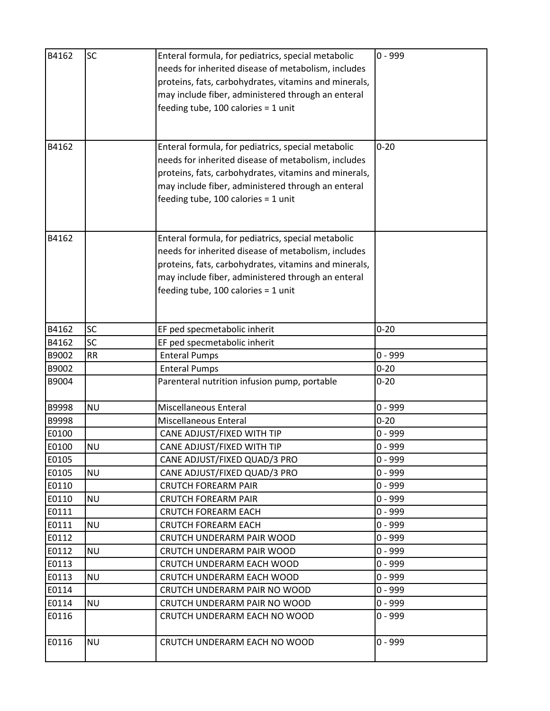| B4162<br>B4162 | <b>SC</b> | Enteral formula, for pediatrics, special metabolic<br>needs for inherited disease of metabolism, includes<br>proteins, fats, carbohydrates, vitamins and minerals,<br>may include fiber, administered through an enteral<br>feeding tube, $100$ calories = 1 unit<br>Enteral formula, for pediatrics, special metabolic<br>needs for inherited disease of metabolism, includes | $0 - 999$<br>$0 - 20$ |
|----------------|-----------|--------------------------------------------------------------------------------------------------------------------------------------------------------------------------------------------------------------------------------------------------------------------------------------------------------------------------------------------------------------------------------|-----------------------|
|                |           | proteins, fats, carbohydrates, vitamins and minerals,<br>may include fiber, administered through an enteral<br>feeding tube, $100$ calories = 1 unit                                                                                                                                                                                                                           |                       |
| B4162          |           | Enteral formula, for pediatrics, special metabolic<br>needs for inherited disease of metabolism, includes<br>proteins, fats, carbohydrates, vitamins and minerals,<br>may include fiber, administered through an enteral<br>feeding tube, $100$ calories = 1 unit                                                                                                              |                       |
| B4162          | <b>SC</b> | EF ped specmetabolic inherit                                                                                                                                                                                                                                                                                                                                                   | $0 - 20$              |
| B4162          | SC        | EF ped specmetabolic inherit                                                                                                                                                                                                                                                                                                                                                   |                       |
| B9002          | <b>RR</b> | <b>Enteral Pumps</b>                                                                                                                                                                                                                                                                                                                                                           | $0 - 999$             |
| B9002          |           | <b>Enteral Pumps</b>                                                                                                                                                                                                                                                                                                                                                           | $0 - 20$              |
| B9004          |           | Parenteral nutrition infusion pump, portable                                                                                                                                                                                                                                                                                                                                   | $0 - 20$              |
| B9998          | <b>NU</b> | Miscellaneous Enteral                                                                                                                                                                                                                                                                                                                                                          | $0 - 999$             |
| B9998          |           | Miscellaneous Enteral                                                                                                                                                                                                                                                                                                                                                          | $0 - 20$              |
| E0100          |           | CANE ADJUST/FIXED WITH TIP                                                                                                                                                                                                                                                                                                                                                     | $0 - 999$             |
| E0100          | <b>NU</b> | CANE ADJUST/FIXED WITH TIP                                                                                                                                                                                                                                                                                                                                                     | $0 - 999$             |
| E0105          |           | CANE ADJUST/FIXED QUAD/3 PRO                                                                                                                                                                                                                                                                                                                                                   | $0 - 999$             |
| E0105          | <b>NU</b> | CANE ADJUST/FIXED QUAD/3 PRO                                                                                                                                                                                                                                                                                                                                                   | $0 - 999$             |
| E0110          |           | <b>CRUTCH FOREARM PAIR</b>                                                                                                                                                                                                                                                                                                                                                     | $0 - 999$             |
| E0110          | <b>NU</b> | <b>CRUTCH FOREARM PAIR</b>                                                                                                                                                                                                                                                                                                                                                     | $0 - 999$             |
| E0111          |           | <b>CRUTCH FOREARM EACH</b>                                                                                                                                                                                                                                                                                                                                                     | $0 - 999$             |
| E0111          | <b>NU</b> | <b>CRUTCH FOREARM EACH</b>                                                                                                                                                                                                                                                                                                                                                     | $0 - 999$             |
| E0112          |           | CRUTCH UNDERARM PAIR WOOD                                                                                                                                                                                                                                                                                                                                                      | $0 - 999$             |
| E0112          | <b>NU</b> | CRUTCH UNDERARM PAIR WOOD                                                                                                                                                                                                                                                                                                                                                      | $0 - 999$             |
| E0113          |           | CRUTCH UNDERARM EACH WOOD                                                                                                                                                                                                                                                                                                                                                      | $0 - 999$             |
| E0113          | <b>NU</b> | CRUTCH UNDERARM EACH WOOD                                                                                                                                                                                                                                                                                                                                                      | $0 - 999$             |
| E0114          |           | CRUTCH UNDERARM PAIR NO WOOD                                                                                                                                                                                                                                                                                                                                                   | $0 - 999$             |
| E0114          | <b>NU</b> | CRUTCH UNDERARM PAIR NO WOOD                                                                                                                                                                                                                                                                                                                                                   | $0 - 999$             |
| E0116          |           | CRUTCH UNDERARM EACH NO WOOD                                                                                                                                                                                                                                                                                                                                                   | $0 - 999$             |
| E0116          | <b>NU</b> | CRUTCH UNDERARM EACH NO WOOD                                                                                                                                                                                                                                                                                                                                                   | $0 - 999$             |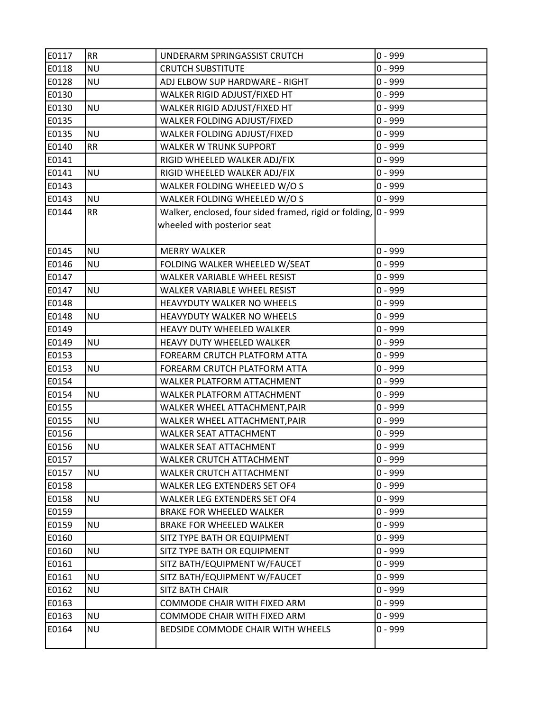| E0117 | <b>RR</b> | UNDERARM SPRINGASSIST CRUTCH                           | $0 - 999$ |
|-------|-----------|--------------------------------------------------------|-----------|
| E0118 | <b>NU</b> | <b>CRUTCH SUBSTITUTE</b>                               | $0 - 999$ |
| E0128 | <b>NU</b> | ADJ ELBOW SUP HARDWARE - RIGHT                         | $0 - 999$ |
| E0130 |           | WALKER RIGID ADJUST/FIXED HT                           | $0 - 999$ |
| E0130 | <b>NU</b> | WALKER RIGID ADJUST/FIXED HT                           | $0 - 999$ |
| E0135 |           | WALKER FOLDING ADJUST/FIXED                            | $0 - 999$ |
| E0135 | <b>NU</b> | WALKER FOLDING ADJUST/FIXED                            | $0 - 999$ |
| E0140 | <b>RR</b> | <b>WALKER W TRUNK SUPPORT</b>                          | $0 - 999$ |
| E0141 |           | RIGID WHEELED WALKER ADJ/FIX                           | $0 - 999$ |
| E0141 | <b>NU</b> | RIGID WHEELED WALKER ADJ/FIX                           | $0 - 999$ |
| E0143 |           | WALKER FOLDING WHEELED W/O S                           | $0 - 999$ |
| E0143 | <b>NU</b> | WALKER FOLDING WHEELED W/O S                           | $0 - 999$ |
| E0144 | <b>RR</b> | Walker, enclosed, four sided framed, rigid or folding, | $0 - 999$ |
|       |           | wheeled with posterior seat                            |           |
|       |           |                                                        |           |
| E0145 | <b>NU</b> | <b>MERRY WALKER</b>                                    | $0 - 999$ |
| E0146 | <b>NU</b> | FOLDING WALKER WHEELED W/SEAT                          | $0 - 999$ |
| E0147 |           | WALKER VARIABLE WHEEL RESIST                           | $0 - 999$ |
| E0147 | <b>NU</b> | WALKER VARIABLE WHEEL RESIST                           | $0 - 999$ |
| E0148 |           | HEAVYDUTY WALKER NO WHEELS                             | $0 - 999$ |
| E0148 | <b>NU</b> | HEAVYDUTY WALKER NO WHEELS                             | $0 - 999$ |
| E0149 |           | HEAVY DUTY WHEELED WALKER                              | $0 - 999$ |
| E0149 | <b>NU</b> | HEAVY DUTY WHEELED WALKER                              | $0 - 999$ |
| E0153 |           | FOREARM CRUTCH PLATFORM ATTA                           | $0 - 999$ |
| E0153 | <b>NU</b> | FOREARM CRUTCH PLATFORM ATTA                           | $0 - 999$ |
| E0154 |           | WALKER PLATFORM ATTACHMENT                             | $0 - 999$ |
| E0154 | <b>NU</b> | WALKER PLATFORM ATTACHMENT                             | $0 - 999$ |
| E0155 |           | WALKER WHEEL ATTACHMENT, PAIR                          | $0 - 999$ |
| E0155 | <b>NU</b> | WALKER WHEEL ATTACHMENT, PAIR                          | $0 - 999$ |
| E0156 |           | <b>WALKER SEAT ATTACHMENT</b>                          | $0 - 999$ |
| E0156 | <b>NU</b> | <b>WALKER SEAT ATTACHMENT</b>                          | $0 - 999$ |
| E0157 |           | <b>WALKER CRUTCH ATTACHMENT</b>                        | $0 - 999$ |
| E0157 | <b>NU</b> | WALKER CRUTCH ATTACHMENT                               | $0 - 999$ |
| E0158 |           | WALKER LEG EXTENDERS SET OF4                           | $0 - 999$ |
| E0158 | <b>NU</b> | WALKER LEG EXTENDERS SET OF4                           | $0 - 999$ |
| E0159 |           | <b>BRAKE FOR WHEELED WALKER</b>                        | $0 - 999$ |
| E0159 | <b>NU</b> | <b>BRAKE FOR WHEELED WALKER</b>                        | $0 - 999$ |
| E0160 |           | SITZ TYPE BATH OR EQUIPMENT                            | $0 - 999$ |
| E0160 | <b>NU</b> | SITZ TYPE BATH OR EQUIPMENT                            | $0 - 999$ |
| E0161 |           | SITZ BATH/EQUIPMENT W/FAUCET                           | $0 - 999$ |
| E0161 | <b>NU</b> | SITZ BATH/EQUIPMENT W/FAUCET                           | $0 - 999$ |
| E0162 | <b>NU</b> | SITZ BATH CHAIR                                        | $0 - 999$ |
| E0163 |           | COMMODE CHAIR WITH FIXED ARM                           | $0 - 999$ |
| E0163 | <b>NU</b> | COMMODE CHAIR WITH FIXED ARM                           | $0 - 999$ |
| E0164 | <b>NU</b> | BEDSIDE COMMODE CHAIR WITH WHEELS                      | $0 - 999$ |
|       |           |                                                        |           |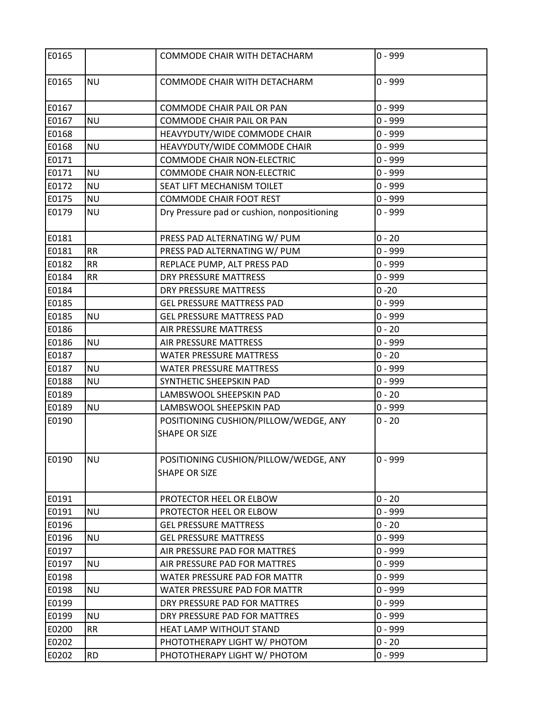| E0165 |           | COMMODE CHAIR WITH DETACHARM                                  | $0 - 999$ |
|-------|-----------|---------------------------------------------------------------|-----------|
| E0165 | <b>NU</b> | COMMODE CHAIR WITH DETACHARM                                  | $0 - 999$ |
| E0167 |           | <b>COMMODE CHAIR PAIL OR PAN</b>                              | $0 - 999$ |
| E0167 | <b>NU</b> | <b>COMMODE CHAIR PAIL OR PAN</b>                              | $0 - 999$ |
| E0168 |           | HEAVYDUTY/WIDE COMMODE CHAIR                                  | $0 - 999$ |
| E0168 | <b>NU</b> | HEAVYDUTY/WIDE COMMODE CHAIR                                  | $0 - 999$ |
| E0171 |           | <b>COMMODE CHAIR NON-ELECTRIC</b>                             | $0 - 999$ |
| E0171 | <b>NU</b> | <b>COMMODE CHAIR NON-ELECTRIC</b>                             | $0 - 999$ |
| E0172 | <b>NU</b> | SEAT LIFT MECHANISM TOILET                                    | $0 - 999$ |
| E0175 | <b>NU</b> | <b>COMMODE CHAIR FOOT REST</b>                                | $0 - 999$ |
| E0179 | <b>NU</b> | Dry Pressure pad or cushion, nonpositioning                   | $0 - 999$ |
| E0181 |           | PRESS PAD ALTERNATING W/ PUM                                  | $0 - 20$  |
| E0181 | <b>RR</b> | PRESS PAD ALTERNATING W/ PUM                                  | $0 - 999$ |
| E0182 | <b>RR</b> | REPLACE PUMP, ALT PRESS PAD                                   | $0 - 999$ |
| E0184 | <b>RR</b> | <b>DRY PRESSURE MATTRESS</b>                                  | $0 - 999$ |
| E0184 |           | <b>DRY PRESSURE MATTRESS</b>                                  | $0 - 20$  |
| E0185 |           | <b>GEL PRESSURE MATTRESS PAD</b>                              | $0 - 999$ |
| E0185 | <b>NU</b> | <b>GEL PRESSURE MATTRESS PAD</b>                              | $0 - 999$ |
| E0186 |           | AIR PRESSURE MATTRESS                                         | $0 - 20$  |
| E0186 | <b>NU</b> | AIR PRESSURE MATTRESS                                         | $0 - 999$ |
| E0187 |           | <b>WATER PRESSURE MATTRESS</b>                                | $0 - 20$  |
| E0187 | <b>NU</b> | <b>WATER PRESSURE MATTRESS</b>                                | $0 - 999$ |
| E0188 | <b>NU</b> | SYNTHETIC SHEEPSKIN PAD                                       | $0 - 999$ |
| E0189 |           | LAMBSWOOL SHEEPSKIN PAD                                       | $0 - 20$  |
| E0189 | <b>NU</b> | LAMBSWOOL SHEEPSKIN PAD                                       | $0 - 999$ |
| E0190 |           | POSITIONING CUSHION/PILLOW/WEDGE, ANY<br><b>SHAPE OR SIZE</b> | $0 - 20$  |
| E0190 | <b>NU</b> | POSITIONING CUSHION/PILLOW/WEDGE, ANY<br><b>SHAPE OR SIZE</b> | $0 - 999$ |
| E0191 |           | PROTECTOR HEEL OR ELBOW                                       | $0 - 20$  |
| E0191 | <b>NU</b> | PROTECTOR HEEL OR ELBOW                                       | $0 - 999$ |
| E0196 |           | <b>GEL PRESSURE MATTRESS</b>                                  | $0 - 20$  |
| E0196 | <b>NU</b> | <b>GEL PRESSURE MATTRESS</b>                                  | $0 - 999$ |
| E0197 |           | AIR PRESSURE PAD FOR MATTRES                                  | $0 - 999$ |
| E0197 | <b>NU</b> | AIR PRESSURE PAD FOR MATTRES                                  | $0 - 999$ |
| E0198 |           | WATER PRESSURE PAD FOR MATTR                                  | $0 - 999$ |
| E0198 | <b>NU</b> | WATER PRESSURE PAD FOR MATTR                                  | $0 - 999$ |
| E0199 |           | DRY PRESSURE PAD FOR MATTRES                                  | $0 - 999$ |
| E0199 | <b>NU</b> | DRY PRESSURE PAD FOR MATTRES                                  | $0 - 999$ |
| E0200 | <b>RR</b> | HEAT LAMP WITHOUT STAND                                       | $0 - 999$ |
| E0202 |           | PHOTOTHERAPY LIGHT W/ PHOTOM                                  | $0 - 20$  |
| E0202 | <b>RD</b> | PHOTOTHERAPY LIGHT W/ PHOTOM                                  | $0 - 999$ |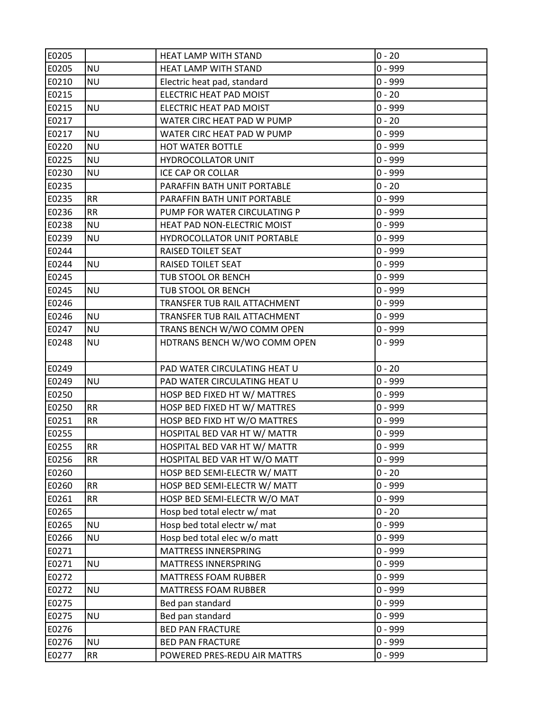| E0205 |           | <b>HEAT LAMP WITH STAND</b>  | $0 - 20$  |
|-------|-----------|------------------------------|-----------|
| E0205 | <b>NU</b> | HEAT LAMP WITH STAND         | $0 - 999$ |
| E0210 | <b>NU</b> | Electric heat pad, standard  | $0 - 999$ |
| E0215 |           | ELECTRIC HEAT PAD MOIST      | $0 - 20$  |
| E0215 | <b>NU</b> | ELECTRIC HEAT PAD MOIST      | $0 - 999$ |
| E0217 |           | WATER CIRC HEAT PAD W PUMP   | $0 - 20$  |
| E0217 | <b>NU</b> | WATER CIRC HEAT PAD W PUMP   | $0 - 999$ |
| E0220 | <b>NU</b> | HOT WATER BOTTLE             | 0 - 999   |
| E0225 | <b>NU</b> | <b>HYDROCOLLATOR UNIT</b>    | $0 - 999$ |
| E0230 | <b>NU</b> | <b>ICE CAP OR COLLAR</b>     | $0 - 999$ |
| E0235 |           | PARAFFIN BATH UNIT PORTABLE  | $0 - 20$  |
| E0235 | <b>RR</b> | PARAFFIN BATH UNIT PORTABLE  | $0 - 999$ |
| E0236 | <b>RR</b> | PUMP FOR WATER CIRCULATING P | $0 - 999$ |
| E0238 | <b>NU</b> | HEAT PAD NON-ELECTRIC MOIST  | $0 - 999$ |
| E0239 | <b>NU</b> | HYDROCOLLATOR UNIT PORTABLE  | $0 - 999$ |
| E0244 |           | RAISED TOILET SEAT           | $0 - 999$ |
| E0244 | <b>NU</b> | RAISED TOILET SEAT           | $0 - 999$ |
| E0245 |           | TUB STOOL OR BENCH           | $0 - 999$ |
| E0245 | <b>NU</b> | TUB STOOL OR BENCH           | $0 - 999$ |
| E0246 |           | TRANSFER TUB RAIL ATTACHMENT | $0 - 999$ |
| E0246 | <b>NU</b> | TRANSFER TUB RAIL ATTACHMENT | $0 - 999$ |
| E0247 | <b>NU</b> | TRANS BENCH W/WO COMM OPEN   | $0 - 999$ |
| E0248 | <b>NU</b> | HDTRANS BENCH W/WO COMM OPEN | $0 - 999$ |
| E0249 |           | PAD WATER CIRCULATING HEAT U | $0 - 20$  |
| E0249 | <b>NU</b> | PAD WATER CIRCULATING HEAT U | 0 - 999   |
| E0250 |           | HOSP BED FIXED HT W/ MATTRES | $0 - 999$ |
| E0250 | <b>RR</b> | HOSP BED FIXED HT W/ MATTRES | $0 - 999$ |
| E0251 | <b>RR</b> | HOSP BED FIXD HT W/O MATTRES | $0 - 999$ |
| E0255 |           | HOSPITAL BED VAR HT W/ MATTR | $0 - 999$ |
| E0255 | <b>RR</b> | HOSPITAL BED VAR HT W/ MATTR | $0 - 999$ |
| E0256 | <b>RR</b> | HOSPITAL BED VAR HT W/O MATT | $0 - 999$ |
| E0260 |           | HOSP BED SEMI-ELECTR W/ MATT | $0 - 20$  |
| E0260 | <b>RR</b> | HOSP BED SEMI-ELECTR W/ MATT | $0 - 999$ |
| E0261 | <b>RR</b> | HOSP BED SEMI-ELECTR W/O MAT | $0 - 999$ |
| E0265 |           | Hosp bed total electr w/ mat | $0 - 20$  |
| E0265 | <b>NU</b> | Hosp bed total electr w/ mat | $0 - 999$ |
| E0266 | <b>NU</b> | Hosp bed total elec w/o matt | $0 - 999$ |
| E0271 |           | MATTRESS INNERSPRING         | $0 - 999$ |
| E0271 | <b>NU</b> | MATTRESS INNERSPRING         | $0 - 999$ |
| E0272 |           | <b>MATTRESS FOAM RUBBER</b>  | $0 - 999$ |
| E0272 | <b>NU</b> | <b>MATTRESS FOAM RUBBER</b>  | $0 - 999$ |
| E0275 |           | Bed pan standard             | $0 - 999$ |
| E0275 | <b>NU</b> | Bed pan standard             | $0 - 999$ |
| E0276 |           | <b>BED PAN FRACTURE</b>      | $0 - 999$ |
| E0276 | <b>NU</b> | <b>BED PAN FRACTURE</b>      | $0 - 999$ |
| E0277 | RR        | POWERED PRES-REDU AIR MATTRS | $0 - 999$ |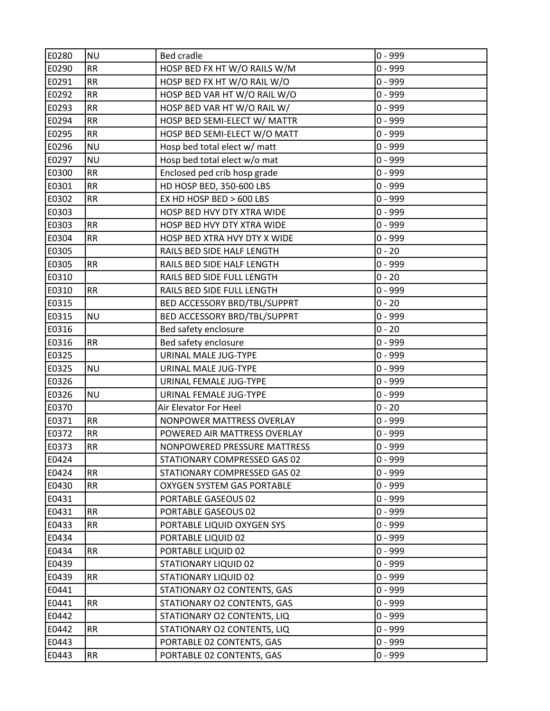| E0280 | <b>NU</b> | <b>Bed cradle</b>            | $0 - 999$ |
|-------|-----------|------------------------------|-----------|
| E0290 | <b>RR</b> | HOSP BED FX HT W/O RAILS W/M | $0 - 999$ |
| E0291 | <b>RR</b> | HOSP BED FX HT W/O RAIL W/O  | $0 - 999$ |
| E0292 | <b>RR</b> | HOSP BED VAR HT W/O RAIL W/O | $0 - 999$ |
| E0293 | <b>RR</b> | HOSP BED VAR HT W/O RAIL W/  | $0 - 999$ |
| E0294 | <b>RR</b> | HOSP BED SEMI-ELECT W/ MATTR | $0 - 999$ |
| E0295 | <b>RR</b> | HOSP BED SEMI-ELECT W/O MATT | $0 - 999$ |
| E0296 | <b>NU</b> | Hosp bed total elect w/ matt | $0 - 999$ |
| E0297 | <b>NU</b> | Hosp bed total elect w/o mat | $0 - 999$ |
| E0300 | <b>RR</b> | Enclosed ped crib hosp grade | $0 - 999$ |
| E0301 | <b>RR</b> | HD HOSP BED, 350-600 LBS     | $0 - 999$ |
| E0302 | <b>RR</b> | EX HD HOSP BED > 600 LBS     | $0 - 999$ |
| E0303 |           | HOSP BED HVY DTY XTRA WIDE   | $0 - 999$ |
| E0303 | <b>RR</b> | HOSP BED HVY DTY XTRA WIDE   | $0 - 999$ |
| E0304 | <b>RR</b> | HOSP BED XTRA HVY DTY X WIDE | $0 - 999$ |
| E0305 |           | RAILS BED SIDE HALF LENGTH   | $0 - 20$  |
| E0305 | <b>RR</b> | RAILS BED SIDE HALF LENGTH   | $0 - 999$ |
| E0310 |           | RAILS BED SIDE FULL LENGTH   | $0 - 20$  |
| E0310 | <b>RR</b> | RAILS BED SIDE FULL LENGTH   | $0 - 999$ |
| E0315 |           | BED ACCESSORY BRD/TBL/SUPPRT | $0 - 20$  |
| E0315 | <b>NU</b> | BED ACCESSORY BRD/TBL/SUPPRT | $0 - 999$ |
| E0316 |           | Bed safety enclosure         | $0 - 20$  |
| E0316 | <b>RR</b> | Bed safety enclosure         | $0 - 999$ |
| E0325 |           | URINAL MALE JUG-TYPE         | $0 - 999$ |
| E0325 | <b>NU</b> | URINAL MALE JUG-TYPE         | $0 - 999$ |
| E0326 |           | URINAL FEMALE JUG-TYPE       | $0 - 999$ |
| E0326 | <b>NU</b> | URINAL FEMALE JUG-TYPE       | $0 - 999$ |
| E0370 |           | Air Elevator For Heel        | $0 - 20$  |
| E0371 | <b>RR</b> | NONPOWER MATTRESS OVERLAY    | $0 - 999$ |
| E0372 | <b>RR</b> | POWERED AIR MATTRESS OVERLAY | $0 - 999$ |
| E0373 | <b>RR</b> | NONPOWERED PRESSURE MATTRESS | $0 - 999$ |
| E0424 |           | STATIONARY COMPRESSED GAS 02 | $0 - 999$ |
| E0424 | <b>RR</b> | STATIONARY COMPRESSED GAS 02 | $0 - 999$ |
| E0430 | <b>RR</b> | OXYGEN SYSTEM GAS PORTABLE   | $0 - 999$ |
| E0431 |           | PORTABLE GASEOUS 02          | $0 - 999$ |
| E0431 | <b>RR</b> | PORTABLE GASEOUS 02          | $0 - 999$ |
| E0433 | <b>RR</b> | PORTABLE LIQUID OXYGEN SYS   | $0 - 999$ |
| E0434 |           | PORTABLE LIQUID 02           | $0 - 999$ |
| E0434 | <b>RR</b> | PORTABLE LIQUID 02           | $0 - 999$ |
| E0439 |           | <b>STATIONARY LIQUID 02</b>  | $0 - 999$ |
| E0439 | <b>RR</b> | STATIONARY LIQUID 02         | $0 - 999$ |
| E0441 |           | STATIONARY O2 CONTENTS, GAS  | $0 - 999$ |
| E0441 | <b>RR</b> | STATIONARY O2 CONTENTS, GAS  | $0 - 999$ |
| E0442 |           | STATIONARY O2 CONTENTS, LIQ  | $0 - 999$ |
| E0442 | <b>RR</b> | STATIONARY O2 CONTENTS, LIQ  | $0 - 999$ |
| E0443 |           | PORTABLE 02 CONTENTS, GAS    | $0 - 999$ |
| E0443 | <b>RR</b> | PORTABLE 02 CONTENTS, GAS    | $0 - 999$ |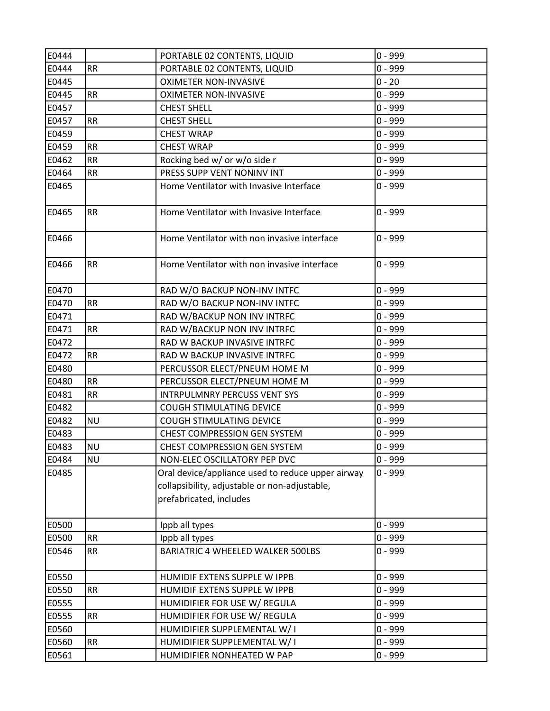| E0444 |           | PORTABLE 02 CONTENTS, LIQUID                                                                                                  | $0 - 999$ |
|-------|-----------|-------------------------------------------------------------------------------------------------------------------------------|-----------|
| E0444 | <b>RR</b> | PORTABLE 02 CONTENTS, LIQUID                                                                                                  | $0 - 999$ |
| E0445 |           | <b>OXIMETER NON-INVASIVE</b>                                                                                                  | $0 - 20$  |
| E0445 | <b>RR</b> | <b>OXIMETER NON-INVASIVE</b>                                                                                                  | $0 - 999$ |
| E0457 |           | <b>CHEST SHELL</b>                                                                                                            | $0 - 999$ |
| E0457 | <b>RR</b> | <b>CHEST SHELL</b>                                                                                                            | $0 - 999$ |
| E0459 |           | <b>CHEST WRAP</b>                                                                                                             | $0 - 999$ |
| E0459 | <b>RR</b> | <b>CHEST WRAP</b>                                                                                                             | $0 - 999$ |
| E0462 | RR        | Rocking bed w/ or w/o side r                                                                                                  | $0 - 999$ |
| E0464 | <b>RR</b> | PRESS SUPP VENT NONINV INT                                                                                                    | $0 - 999$ |
| E0465 |           | Home Ventilator with Invasive Interface                                                                                       | $0 - 999$ |
| E0465 | <b>RR</b> | Home Ventilator with Invasive Interface                                                                                       | $0 - 999$ |
| E0466 |           | Home Ventilator with non invasive interface                                                                                   | $0 - 999$ |
| E0466 | <b>RR</b> | Home Ventilator with non invasive interface                                                                                   | $0 - 999$ |
| E0470 |           | RAD W/O BACKUP NON-INV INTFC                                                                                                  | $0 - 999$ |
| E0470 | <b>RR</b> | RAD W/O BACKUP NON-INV INTFC                                                                                                  | $0 - 999$ |
| E0471 |           | RAD W/BACKUP NON INV INTRFC                                                                                                   | $0 - 999$ |
| E0471 | <b>RR</b> | RAD W/BACKUP NON INV INTRFC                                                                                                   | $0 - 999$ |
| E0472 |           | RAD W BACKUP INVASIVE INTRFC                                                                                                  | $0 - 999$ |
| E0472 | <b>RR</b> | RAD W BACKUP INVASIVE INTRFC                                                                                                  | $0 - 999$ |
| E0480 |           | PERCUSSOR ELECT/PNEUM HOME M                                                                                                  | $0 - 999$ |
| E0480 | <b>RR</b> | PERCUSSOR ELECT/PNEUM HOME M                                                                                                  | $0 - 999$ |
| E0481 | <b>RR</b> | <b>INTRPULMNRY PERCUSS VENT SYS</b>                                                                                           | $0 - 999$ |
| E0482 |           | COUGH STIMULATING DEVICE                                                                                                      | $0 - 999$ |
| E0482 | <b>NU</b> | <b>COUGH STIMULATING DEVICE</b>                                                                                               | $0 - 999$ |
| E0483 |           | CHEST COMPRESSION GEN SYSTEM                                                                                                  | $0 - 999$ |
| E0483 | <b>NU</b> | CHEST COMPRESSION GEN SYSTEM                                                                                                  | $0 - 999$ |
| E0484 | <b>NU</b> | NON-ELEC OSCILLATORY PEP DVC                                                                                                  | $0 - 999$ |
| E0485 |           | Oral device/appliance used to reduce upper airway<br>collapsibility, adjustable or non-adjustable,<br>prefabricated, includes | $0 - 999$ |
| E0500 |           | Ippb all types                                                                                                                | $0 - 999$ |
| E0500 | RR        | Ippb all types                                                                                                                | $0 - 999$ |
| E0546 | <b>RR</b> | BARIATRIC 4 WHEELED WALKER 500LBS                                                                                             | $0 - 999$ |
| E0550 |           | HUMIDIF EXTENS SUPPLE W IPPB                                                                                                  | $0 - 999$ |
| E0550 | <b>RR</b> | HUMIDIF EXTENS SUPPLE W IPPB                                                                                                  | $0 - 999$ |
| E0555 |           | HUMIDIFIER FOR USE W/ REGULA                                                                                                  | $0 - 999$ |
| E0555 | <b>RR</b> | HUMIDIFIER FOR USE W/ REGULA                                                                                                  | $0 - 999$ |
| E0560 |           | HUMIDIFIER SUPPLEMENTAL W/ I                                                                                                  | $0 - 999$ |
| E0560 | RR        | HUMIDIFIER SUPPLEMENTAL W/I                                                                                                   | $0 - 999$ |
| E0561 |           | HUMIDIFIER NONHEATED W PAP                                                                                                    | $0 - 999$ |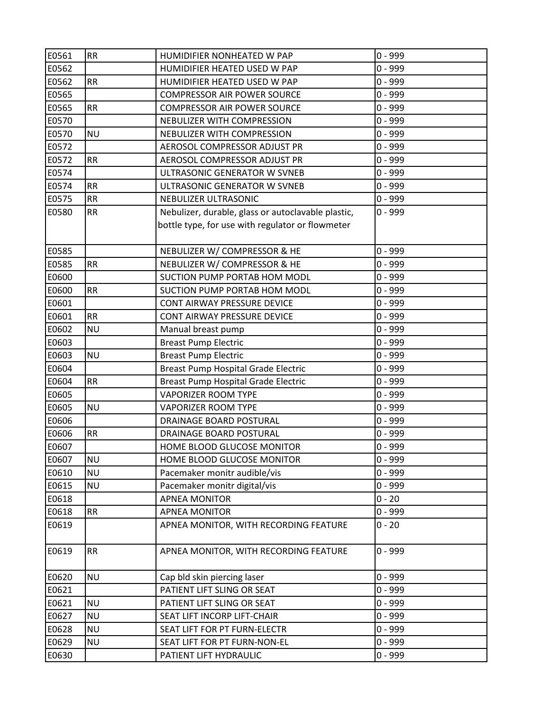| E0561 | <b>RR</b> | HUMIDIFIER NONHEATED W PAP                         | $0 - 999$ |
|-------|-----------|----------------------------------------------------|-----------|
| E0562 |           | HUMIDIFIER HEATED USED W PAP                       | $0 - 999$ |
| E0562 | <b>RR</b> | HUMIDIFIER HEATED USED W PAP                       | $0 - 999$ |
| E0565 |           | <b>COMPRESSOR AIR POWER SOURCE</b>                 | $0 - 999$ |
| E0565 | <b>RR</b> | <b>COMPRESSOR AIR POWER SOURCE</b>                 | $0 - 999$ |
| E0570 |           | NEBULIZER WITH COMPRESSION                         | $0 - 999$ |
| E0570 | <b>NU</b> | NEBULIZER WITH COMPRESSION                         | $0 - 999$ |
| E0572 |           | AEROSOL COMPRESSOR ADJUST PR                       | $0 - 999$ |
| E0572 | <b>RR</b> | AEROSOL COMPRESSOR ADJUST PR                       | $0 - 999$ |
| E0574 |           | ULTRASONIC GENERATOR W SVNEB                       | $0 - 999$ |
| E0574 | <b>RR</b> | ULTRASONIC GENERATOR W SVNEB                       | $0 - 999$ |
| E0575 | <b>RR</b> | NEBULIZER ULTRASONIC                               | $0 - 999$ |
| E0580 | <b>RR</b> | Nebulizer, durable, glass or autoclavable plastic, | $0 - 999$ |
|       |           | bottle type, for use with regulator or flowmeter   |           |
| E0585 |           | NEBULIZER W/ COMPRESSOR & HE                       | $0 - 999$ |
| E0585 | <b>RR</b> | NEBULIZER W/ COMPRESSOR & HE                       | $0 - 999$ |
| E0600 |           | SUCTION PUMP PORTAB HOM MODL                       | $0 - 999$ |
| E0600 | <b>RR</b> | SUCTION PUMP PORTAB HOM MODL                       | $0 - 999$ |
| E0601 |           | CONT AIRWAY PRESSURE DEVICE                        | $0 - 999$ |
| E0601 | <b>RR</b> | CONT AIRWAY PRESSURE DEVICE                        | $0 - 999$ |
| E0602 | <b>NU</b> | Manual breast pump                                 | $0 - 999$ |
| E0603 |           | <b>Breast Pump Electric</b>                        | $0 - 999$ |
| E0603 | <b>NU</b> | <b>Breast Pump Electric</b>                        | $0 - 999$ |
| E0604 |           | Breast Pump Hospital Grade Electric                | $0 - 999$ |
| E0604 | <b>RR</b> | Breast Pump Hospital Grade Electric                | $0 - 999$ |
| E0605 |           | <b>VAPORIZER ROOM TYPE</b>                         | $0 - 999$ |
| E0605 | <b>NU</b> | <b>VAPORIZER ROOM TYPE</b>                         | $0 - 999$ |
| E0606 |           | DRAINAGE BOARD POSTURAL                            | $0 - 999$ |
| E0606 | <b>RR</b> | DRAINAGE BOARD POSTURAL                            | $0 - 999$ |
| E0607 |           | HOME BLOOD GLUCOSE MONITOR                         | $0 - 999$ |
| E0607 | <b>NU</b> | HOME BLOOD GLUCOSE MONITOR                         | $0 - 999$ |
| E0610 | <b>NU</b> | Pacemaker monitr audible/vis                       | $0 - 999$ |
| E0615 | <b>NU</b> | Pacemaker monitr digital/vis                       | $0 - 999$ |
| E0618 |           | <b>APNEA MONITOR</b>                               | $0 - 20$  |
| E0618 | <b>RR</b> | <b>APNEA MONITOR</b>                               | $0 - 999$ |
| E0619 |           | APNEA MONITOR, WITH RECORDING FEATURE              | $0 - 20$  |
| E0619 | <b>RR</b> | APNEA MONITOR, WITH RECORDING FEATURE              | $0 - 999$ |
| E0620 | <b>NU</b> | Cap bld skin piercing laser                        | $0 - 999$ |
| E0621 |           | PATIENT LIFT SLING OR SEAT                         | $0 - 999$ |
| E0621 | <b>NU</b> | PATIENT LIFT SLING OR SEAT                         | $0 - 999$ |
| E0627 | <b>NU</b> | SEAT LIFT INCORP LIFT-CHAIR                        | $0 - 999$ |
| E0628 | <b>NU</b> | SEAT LIFT FOR PT FURN-ELECTR                       | $0 - 999$ |
| E0629 | <b>NU</b> | SEAT LIFT FOR PT FURN-NON-EL                       | $0 - 999$ |
| E0630 |           | PATIENT LIFT HYDRAULIC                             | $0 - 999$ |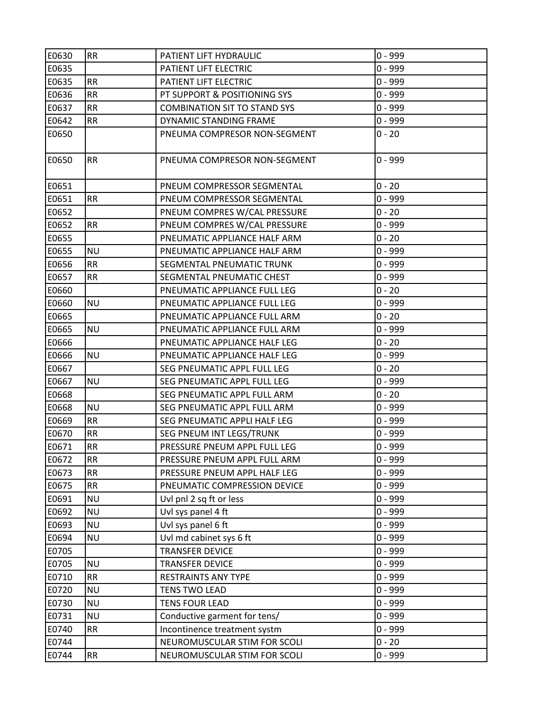| E0630 | <b>RR</b> | PATIENT LIFT HYDRAULIC              | $0 - 999$ |
|-------|-----------|-------------------------------------|-----------|
| E0635 |           | PATIENT LIFT ELECTRIC               | $0 - 999$ |
| E0635 | <b>RR</b> | PATIENT LIFT ELECTRIC               | $0 - 999$ |
| E0636 | <b>RR</b> | PT SUPPORT & POSITIONING SYS        | $0 - 999$ |
| E0637 | <b>RR</b> | <b>COMBINATION SIT TO STAND SYS</b> | $0 - 999$ |
| E0642 | <b>RR</b> | DYNAMIC STANDING FRAME              | $0 - 999$ |
| E0650 |           | PNEUMA COMPRESOR NON-SEGMENT        | $0 - 20$  |
| E0650 | <b>RR</b> | PNEUMA COMPRESOR NON-SEGMENT        | $0 - 999$ |
| E0651 |           | PNEUM COMPRESSOR SEGMENTAL          | $0 - 20$  |
| E0651 | <b>RR</b> | PNEUM COMPRESSOR SEGMENTAL          | $0 - 999$ |
| E0652 |           | PNEUM COMPRES W/CAL PRESSURE        | $0 - 20$  |
| E0652 | <b>RR</b> | PNEUM COMPRES W/CAL PRESSURE        | $0 - 999$ |
| E0655 |           | PNEUMATIC APPLIANCE HALF ARM        | $0 - 20$  |
| E0655 | <b>NU</b> | PNEUMATIC APPLIANCE HALF ARM        | $0 - 999$ |
| E0656 | <b>RR</b> | SEGMENTAL PNEUMATIC TRUNK           | $0 - 999$ |
| E0657 | <b>RR</b> | SEGMENTAL PNEUMATIC CHEST           | $0 - 999$ |
| E0660 |           | PNEUMATIC APPLIANCE FULL LEG        | $0 - 20$  |
| E0660 | ΝU        | PNEUMATIC APPLIANCE FULL LEG        | $0 - 999$ |
| E0665 |           | PNEUMATIC APPLIANCE FULL ARM        | $0 - 20$  |
| E0665 | <b>NU</b> | PNEUMATIC APPLIANCE FULL ARM        | $0 - 999$ |
| E0666 |           | PNEUMATIC APPLIANCE HALF LEG        | $0 - 20$  |
| E0666 | <b>NU</b> | PNEUMATIC APPLIANCE HALF LEG        | $0 - 999$ |
| E0667 |           | SEG PNEUMATIC APPL FULL LEG         | $0 - 20$  |
| E0667 | <b>NU</b> | SEG PNEUMATIC APPL FULL LEG         | $0 - 999$ |
| E0668 |           | SEG PNEUMATIC APPL FULL ARM         | $0 - 20$  |
| E0668 | <b>NU</b> | SEG PNEUMATIC APPL FULL ARM         | $0 - 999$ |
| E0669 | <b>RR</b> | SEG PNEUMATIC APPLI HALF LEG        | $0 - 999$ |
| E0670 | <b>RR</b> | SEG PNEUM INT LEGS/TRUNK            | $0 - 999$ |
| E0671 | <b>RR</b> | PRESSURE PNEUM APPL FULL LEG        | $0 - 999$ |
| E0672 | <b>RR</b> | PRESSURE PNEUM APPL FULL ARM        | $0 - 999$ |
| E0673 | <b>RR</b> | PRESSURE PNEUM APPL HALF LEG        | $0 - 999$ |
| E0675 | <b>RR</b> | PNEUMATIC COMPRESSION DEVICE        | $0 - 999$ |
| E0691 | <b>NU</b> | Uvl pnl 2 sq ft or less             | $0 - 999$ |
| E0692 | <b>NU</b> | Uvl sys panel 4 ft                  | $0 - 999$ |
| E0693 | <b>NU</b> | Uvl sys panel 6 ft                  | $0 - 999$ |
| E0694 | <b>NU</b> | Uvl md cabinet sys 6 ft             | $0 - 999$ |
| E0705 |           | <b>TRANSFER DEVICE</b>              | $0 - 999$ |
| E0705 | <b>NU</b> | <b>TRANSFER DEVICE</b>              | $0 - 999$ |
| E0710 | <b>RR</b> | RESTRAINTS ANY TYPE                 | $0 - 999$ |
| E0720 | <b>NU</b> | <b>TENS TWO LEAD</b>                | $0 - 999$ |
| E0730 | <b>NU</b> | <b>TENS FOUR LEAD</b>               | $0 - 999$ |
| E0731 | <b>NU</b> | Conductive garment for tens/        | $0 - 999$ |
| E0740 | <b>RR</b> | Incontinence treatment systm        | $0 - 999$ |
| E0744 |           | NEUROMUSCULAR STIM FOR SCOLI        | $0 - 20$  |
| E0744 | RR        | NEUROMUSCULAR STIM FOR SCOLI        | $0 - 999$ |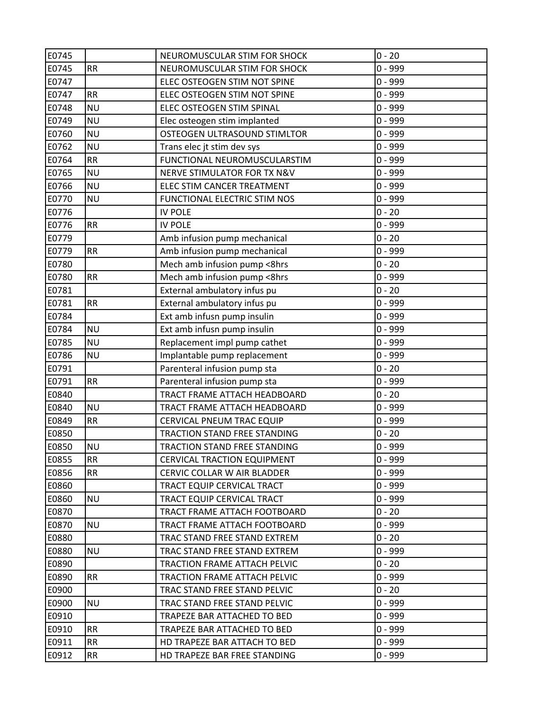| E0745 |           | NEUROMUSCULAR STIM FOR SHOCK        | $0 - 20$  |
|-------|-----------|-------------------------------------|-----------|
| E0745 | <b>RR</b> | NEUROMUSCULAR STIM FOR SHOCK        | $0 - 999$ |
| E0747 |           | ELEC OSTEOGEN STIM NOT SPINE        | $0 - 999$ |
| E0747 | <b>RR</b> | ELEC OSTEOGEN STIM NOT SPINE        | $0 - 999$ |
| E0748 | <b>NU</b> | ELEC OSTEOGEN STIM SPINAL           | $0 - 999$ |
| E0749 | <b>NU</b> | Elec osteogen stim implanted        | $0 - 999$ |
| E0760 | <b>NU</b> | OSTEOGEN ULTRASOUND STIMLTOR        | $0 - 999$ |
| E0762 | <b>NU</b> | Trans elec jt stim dev sys          | $0 - 999$ |
| E0764 | <b>RR</b> | FUNCTIONAL NEUROMUSCULARSTIM        | $0 - 999$ |
| E0765 | <b>NU</b> | NERVE STIMULATOR FOR TX N&V         | $0 - 999$ |
| E0766 | <b>NU</b> | ELEC STIM CANCER TREATMENT          | $0 - 999$ |
| E0770 | <b>NU</b> | FUNCTIONAL ELECTRIC STIM NOS        | $0 - 999$ |
| E0776 |           | <b>IV POLE</b>                      | $0 - 20$  |
| E0776 | <b>RR</b> | <b>IV POLE</b>                      | $0 - 999$ |
| E0779 |           | Amb infusion pump mechanical        | $0 - 20$  |
| E0779 | <b>RR</b> | Amb infusion pump mechanical        | $0 - 999$ |
| E0780 |           | Mech amb infusion pump <8hrs        | $0 - 20$  |
| E0780 | <b>RR</b> | Mech amb infusion pump <8hrs        | $0 - 999$ |
| E0781 |           | External ambulatory infus pu        | $0 - 20$  |
| E0781 | <b>RR</b> | External ambulatory infus pu        | $0 - 999$ |
| E0784 |           | Ext amb infusn pump insulin         | $0 - 999$ |
| E0784 | <b>NU</b> | Ext amb infusn pump insulin         | $0 - 999$ |
| E0785 | <b>NU</b> | Replacement impl pump cathet        | $0 - 999$ |
| E0786 | <b>NU</b> | Implantable pump replacement        | $0 - 999$ |
| E0791 |           | Parenteral infusion pump sta        | $0 - 20$  |
| E0791 | <b>RR</b> | Parenteral infusion pump sta        | $0 - 999$ |
| E0840 |           | TRACT FRAME ATTACH HEADBOARD        | $0 - 20$  |
| E0840 | <b>NU</b> | TRACT FRAME ATTACH HEADBOARD        | $0 - 999$ |
| E0849 | RR        | CERVICAL PNEUM TRAC EQUIP           | $0 - 999$ |
| E0850 |           | TRACTION STAND FREE STANDING        | $0 - 20$  |
| E0850 | <b>NU</b> | <b>TRACTION STAND FREE STANDING</b> | $0 - 999$ |
| E0855 | <b>RR</b> | <b>CERVICAL TRACTION EQUIPMENT</b>  | $0 - 999$ |
| E0856 | <b>RR</b> | CERVIC COLLAR W AIR BLADDER         | $0 - 999$ |
| E0860 |           | TRACT EQUIP CERVICAL TRACT          | $0 - 999$ |
| E0860 | <b>NU</b> | TRACT EQUIP CERVICAL TRACT          | $0 - 999$ |
| E0870 |           | TRACT FRAME ATTACH FOOTBOARD        | $0 - 20$  |
| E0870 | <b>NU</b> | TRACT FRAME ATTACH FOOTBOARD        | $0 - 999$ |
| E0880 |           | TRAC STAND FREE STAND EXTREM        | $0 - 20$  |
| E0880 | <b>NU</b> | TRAC STAND FREE STAND EXTREM        | $0 - 999$ |
| E0890 |           | TRACTION FRAME ATTACH PELVIC        | $0 - 20$  |
| E0890 | <b>RR</b> | TRACTION FRAME ATTACH PELVIC        | $0 - 999$ |
| E0900 |           | TRAC STAND FREE STAND PELVIC        | $0 - 20$  |
| E0900 | <b>NU</b> | TRAC STAND FREE STAND PELVIC        | $0 - 999$ |
| E0910 |           | TRAPEZE BAR ATTACHED TO BED         | $0 - 999$ |
| E0910 | <b>RR</b> | TRAPEZE BAR ATTACHED TO BED         | $0 - 999$ |
| E0911 | <b>RR</b> | HD TRAPEZE BAR ATTACH TO BED        | $0 - 999$ |
| E0912 | <b>RR</b> | HD TRAPEZE BAR FREE STANDING        | $0 - 999$ |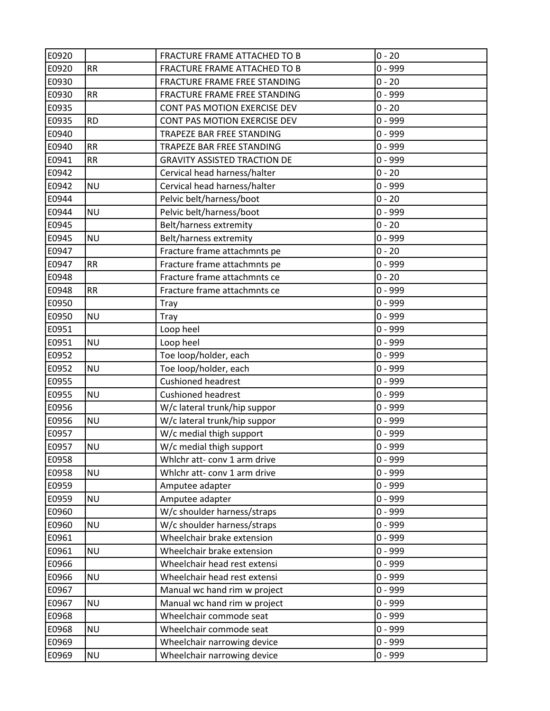| E0920 |           | FRACTURE FRAME ATTACHED TO B        | $0 - 20$  |
|-------|-----------|-------------------------------------|-----------|
| E0920 | <b>RR</b> | FRACTURE FRAME ATTACHED TO B        | $0 - 999$ |
| E0930 |           | FRACTURE FRAME FREE STANDING        | $0 - 20$  |
| E0930 | <b>RR</b> | FRACTURE FRAME FREE STANDING        | $0 - 999$ |
| E0935 |           | CONT PAS MOTION EXERCISE DEV        | $0 - 20$  |
| E0935 | <b>RD</b> | CONT PAS MOTION EXERCISE DEV        | $0 - 999$ |
| E0940 |           | TRAPEZE BAR FREE STANDING           | $0 - 999$ |
| E0940 | <b>RR</b> | TRAPEZE BAR FREE STANDING           | $0 - 999$ |
| E0941 | <b>RR</b> | <b>GRAVITY ASSISTED TRACTION DE</b> | $0 - 999$ |
| E0942 |           | Cervical head harness/halter        | $0 - 20$  |
| E0942 | <b>NU</b> | Cervical head harness/halter        | $0 - 999$ |
| E0944 |           | Pelvic belt/harness/boot            | $0 - 20$  |
| E0944 | <b>NU</b> | Pelvic belt/harness/boot            | $0 - 999$ |
| E0945 |           | Belt/harness extremity              | $0 - 20$  |
| E0945 | <b>NU</b> | Belt/harness extremity              | $0 - 999$ |
| E0947 |           | Fracture frame attachmnts pe        | $0 - 20$  |
| E0947 | <b>RR</b> | Fracture frame attachmnts pe        | $0 - 999$ |
| E0948 |           | Fracture frame attachmnts ce        | $0 - 20$  |
| E0948 | <b>RR</b> | Fracture frame attachmnts ce        | $0 - 999$ |
| E0950 |           | Tray                                | $0 - 999$ |
| E0950 | <b>NU</b> | Tray                                | $0 - 999$ |
| E0951 |           | Loop heel                           | $0 - 999$ |
| E0951 | <b>NU</b> | Loop heel                           | $0 - 999$ |
| E0952 |           | Toe loop/holder, each               | $0 - 999$ |
| E0952 | <b>NU</b> | Toe loop/holder, each               | 0 - 999   |
| E0955 |           | <b>Cushioned headrest</b>           | $0 - 999$ |
| E0955 | <b>NU</b> | <b>Cushioned headrest</b>           | $0 - 999$ |
| E0956 |           | W/c lateral trunk/hip suppor        | $0 - 999$ |
| E0956 | <b>NU</b> | W/c lateral trunk/hip suppor        | $0 - 999$ |
| E0957 |           | W/c medial thigh support            | $0 - 999$ |
| E0957 | <b>NU</b> | W/c medial thigh support            | $0 - 999$ |
| E0958 |           | Whlchr att- conv 1 arm drive        | $0 - 999$ |
| E0958 | <b>NU</b> | Whlchr att- conv 1 arm drive        | $0 - 999$ |
| E0959 |           | Amputee adapter                     | $0 - 999$ |
| E0959 | <b>NU</b> | Amputee adapter                     | $0 - 999$ |
| E0960 |           | W/c shoulder harness/straps         | $0 - 999$ |
| E0960 | <b>NU</b> | W/c shoulder harness/straps         | $0 - 999$ |
| E0961 |           | Wheelchair brake extension          | $0 - 999$ |
| E0961 | <b>NU</b> | Wheelchair brake extension          | $0 - 999$ |
| E0966 |           | Wheelchair head rest extensi        | $0 - 999$ |
| E0966 | <b>NU</b> | Wheelchair head rest extensi        | $0 - 999$ |
| E0967 |           | Manual wc hand rim w project        | $0 - 999$ |
| E0967 | <b>NU</b> | Manual wc hand rim w project        | $0 - 999$ |
| E0968 |           | Wheelchair commode seat             | $0 - 999$ |
| E0968 | <b>NU</b> | Wheelchair commode seat             | $0 - 999$ |
| E0969 |           | Wheelchair narrowing device         | 0 - 999   |
| E0969 | <b>NU</b> | Wheelchair narrowing device         | $0 - 999$ |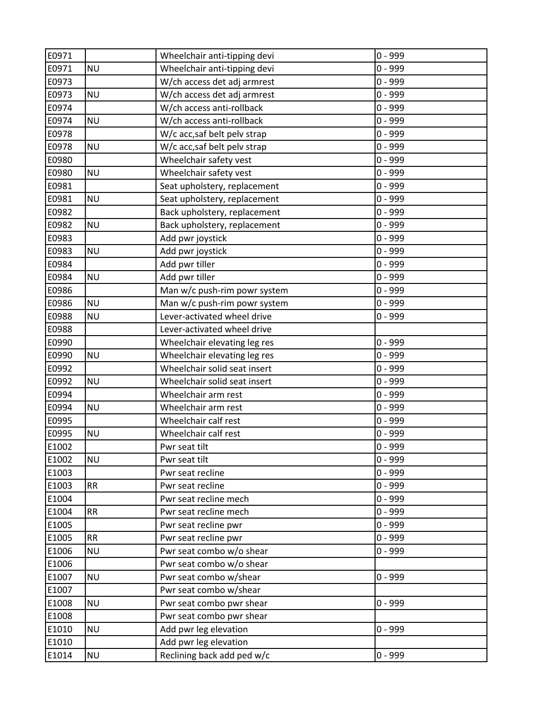| E0971 |           | Wheelchair anti-tipping devi | $0 - 999$ |
|-------|-----------|------------------------------|-----------|
| E0971 | <b>NU</b> | Wheelchair anti-tipping devi | $0 - 999$ |
| E0973 |           | W/ch access det adj armrest  | $0 - 999$ |
| E0973 | <b>NU</b> | W/ch access det adj armrest  | $0 - 999$ |
| E0974 |           | W/ch access anti-rollback    | $0 - 999$ |
| E0974 | <b>NU</b> | W/ch access anti-rollback    | $0 - 999$ |
| E0978 |           | W/c acc,saf belt pelv strap  | $0 - 999$ |
| E0978 | <b>NU</b> | W/c acc, saf belt pelv strap | $0 - 999$ |
| E0980 |           | Wheelchair safety vest       | $0 - 999$ |
| E0980 | <b>NU</b> | Wheelchair safety vest       | $0 - 999$ |
| E0981 |           | Seat upholstery, replacement | $0 - 999$ |
| E0981 | <b>NU</b> | Seat upholstery, replacement | $0 - 999$ |
| E0982 |           | Back upholstery, replacement | $0 - 999$ |
| E0982 | <b>NU</b> | Back upholstery, replacement | $0 - 999$ |
| E0983 |           | Add pwr joystick             | $0 - 999$ |
| E0983 | <b>NU</b> | Add pwr joystick             | $0 - 999$ |
| E0984 |           | Add pwr tiller               | $0 - 999$ |
| E0984 | <b>NU</b> | Add pwr tiller               | $0 - 999$ |
| E0986 |           | Man w/c push-rim powr system | $0 - 999$ |
| E0986 | <b>NU</b> | Man w/c push-rim powr system | $0 - 999$ |
| E0988 | <b>NU</b> | Lever-activated wheel drive  | $0 - 999$ |
| E0988 |           | Lever-activated wheel drive  |           |
| E0990 |           | Wheelchair elevating leg res | $0 - 999$ |
| E0990 | <b>NU</b> | Wheelchair elevating leg res | $0 - 999$ |
| E0992 |           | Wheelchair solid seat insert | $0 - 999$ |
| E0992 | <b>NU</b> | Wheelchair solid seat insert | $0 - 999$ |
| E0994 |           | Wheelchair arm rest          | $0 - 999$ |
| E0994 | <b>NU</b> | Wheelchair arm rest          | $0 - 999$ |
| E0995 |           | Wheelchair calf rest         | $0 - 999$ |
| E0995 | <b>NU</b> | Wheelchair calf rest         | $0 - 999$ |
| E1002 |           | Pwr seat tilt                | $0 - 999$ |
| E1002 | <b>NU</b> | Pwr seat tilt                | 0 - 999   |
| E1003 |           | Pwr seat recline             | $0 - 999$ |
| E1003 | <b>RR</b> | Pwr seat recline             | $0 - 999$ |
| E1004 |           | Pwr seat recline mech        | $0 - 999$ |
| E1004 | RR        | Pwr seat recline mech        | $0 - 999$ |
| E1005 |           | Pwr seat recline pwr         | $0 - 999$ |
| E1005 | <b>RR</b> | Pwr seat recline pwr         | $0 - 999$ |
| E1006 | <b>NU</b> | Pwr seat combo w/o shear     | $0 - 999$ |
| E1006 |           | Pwr seat combo w/o shear     |           |
| E1007 | <b>NU</b> | Pwr seat combo w/shear       | 0 - 999   |
| E1007 |           | Pwr seat combo w/shear       |           |
| E1008 | <b>NU</b> | Pwr seat combo pwr shear     | $0 - 999$ |
| E1008 |           | Pwr seat combo pwr shear     |           |
| E1010 | <b>NU</b> | Add pwr leg elevation        | $0 - 999$ |
| E1010 |           | Add pwr leg elevation        |           |
| E1014 | <b>NU</b> | Reclining back add ped w/c   | $0 - 999$ |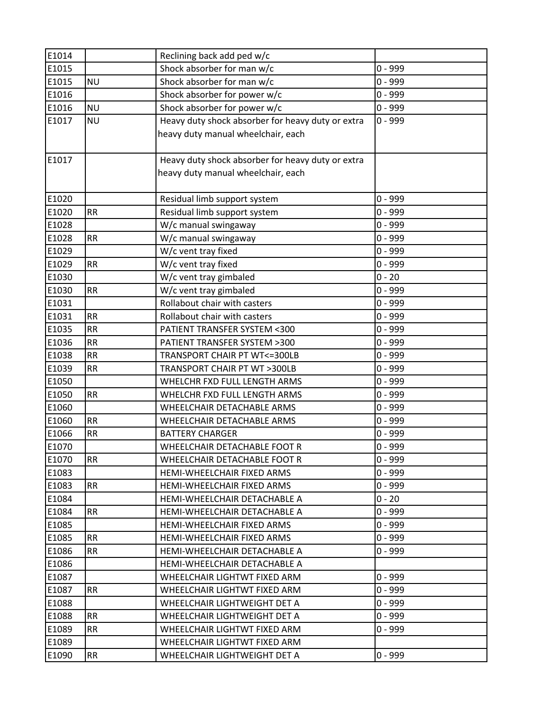| E1014 |           | Reclining back add ped w/c                        |           |
|-------|-----------|---------------------------------------------------|-----------|
| E1015 |           | Shock absorber for man w/c                        | $0 - 999$ |
| E1015 | <b>NU</b> | Shock absorber for man w/c                        | $0 - 999$ |
| E1016 |           | Shock absorber for power w/c                      | $0 - 999$ |
| E1016 | <b>NU</b> | Shock absorber for power w/c                      | $0 - 999$ |
| E1017 | <b>NU</b> | Heavy duty shock absorber for heavy duty or extra | $0 - 999$ |
|       |           | heavy duty manual wheelchair, each                |           |
|       |           |                                                   |           |
| E1017 |           | Heavy duty shock absorber for heavy duty or extra |           |
|       |           | heavy duty manual wheelchair, each                |           |
|       |           |                                                   |           |
| E1020 |           | Residual limb support system                      | $0 - 999$ |
| E1020 | <b>RR</b> | Residual limb support system                      | $0 - 999$ |
| E1028 |           | W/c manual swingaway                              | $0 - 999$ |
| E1028 | RR        | W/c manual swingaway                              | $0 - 999$ |
| E1029 |           | W/c vent tray fixed                               | $0 - 999$ |
| E1029 | <b>RR</b> | W/c vent tray fixed                               | $0 - 999$ |
| E1030 |           | W/c vent tray gimbaled                            | $0 - 20$  |
| E1030 | <b>RR</b> | W/c vent tray gimbaled                            | $0 - 999$ |
| E1031 |           | Rollabout chair with casters                      | $0 - 999$ |
| E1031 | <b>RR</b> | Rollabout chair with casters                      | $0 - 999$ |
| E1035 | <b>RR</b> | PATIENT TRANSFER SYSTEM <300                      | $0 - 999$ |
| E1036 | <b>RR</b> | PATIENT TRANSFER SYSTEM >300                      | $0 - 999$ |
| E1038 | <b>RR</b> | TRANSPORT CHAIR PT WT<=300LB                      | $0 - 999$ |
| E1039 | <b>RR</b> | TRANSPORT CHAIR PT WT >300LB                      | $0 - 999$ |
| E1050 |           | WHELCHR FXD FULL LENGTH ARMS                      | $0 - 999$ |
| E1050 | <b>RR</b> | WHELCHR FXD FULL LENGTH ARMS                      | $0 - 999$ |
| E1060 |           | WHEELCHAIR DETACHABLE ARMS                        | $0 - 999$ |
| E1060 | <b>RR</b> | WHEELCHAIR DETACHABLE ARMS                        | $0 - 999$ |
| E1066 | <b>RR</b> | <b>BATTERY CHARGER</b>                            | $0 - 999$ |
| E1070 |           | WHEELCHAIR DETACHABLE FOOT R                      | $0 - 999$ |
| E1070 | <b>RR</b> | WHEELCHAIR DETACHABLE FOOT R                      | $0 - 999$ |
| E1083 |           | HEMI-WHEELCHAIR FIXED ARMS                        | $0 - 999$ |
| E1083 | <b>RR</b> | HEMI-WHEELCHAIR FIXED ARMS                        | $0 - 999$ |
| E1084 |           | HEMI-WHEELCHAIR DETACHABLE A                      | $0 - 20$  |
| E1084 | <b>RR</b> | HEMI-WHEELCHAIR DETACHABLE A                      | $0 - 999$ |
| E1085 |           | HEMI-WHEELCHAIR FIXED ARMS                        | $0 - 999$ |
| E1085 | <b>RR</b> | HEMI-WHEELCHAIR FIXED ARMS                        | $0 - 999$ |
| E1086 | <b>RR</b> | HEMI-WHEELCHAIR DETACHABLE A                      | $0 - 999$ |
| E1086 |           | HEMI-WHEELCHAIR DETACHABLE A                      |           |
| E1087 |           | WHEELCHAIR LIGHTWT FIXED ARM                      | $0 - 999$ |
| E1087 | <b>RR</b> | WHEELCHAIR LIGHTWT FIXED ARM                      | $0 - 999$ |
| E1088 |           | WHEELCHAIR LIGHTWEIGHT DET A                      | $0 - 999$ |
| E1088 | <b>RR</b> | WHEELCHAIR LIGHTWEIGHT DET A                      | $0 - 999$ |
| E1089 | <b>RR</b> | WHEELCHAIR LIGHTWT FIXED ARM                      | $0 - 999$ |
| E1089 |           | WHEELCHAIR LIGHTWT FIXED ARM                      |           |
| E1090 | <b>RR</b> | WHEELCHAIR LIGHTWEIGHT DET A                      | $0 - 999$ |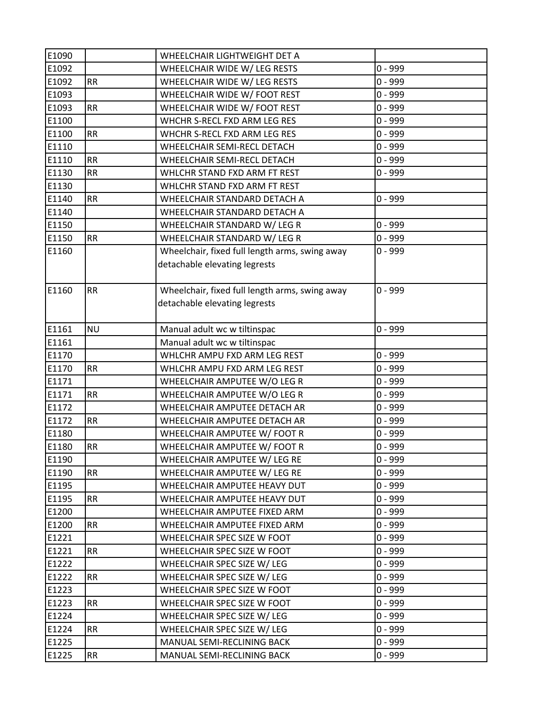| E1090 |           | WHEELCHAIR LIGHTWEIGHT DET A                   |           |
|-------|-----------|------------------------------------------------|-----------|
| E1092 |           | WHEELCHAIR WIDE W/ LEG RESTS                   | $0 - 999$ |
| E1092 | <b>RR</b> | WHEELCHAIR WIDE W/ LEG RESTS                   | $0 - 999$ |
| E1093 |           | WHEELCHAIR WIDE W/ FOOT REST                   | $0 - 999$ |
| E1093 | <b>RR</b> | WHEELCHAIR WIDE W/ FOOT REST                   | $0 - 999$ |
| E1100 |           | WHCHR S-RECL FXD ARM LEG RES                   | $0 - 999$ |
| E1100 | <b>RR</b> | WHCHR S-RECL FXD ARM LEG RES                   | $0 - 999$ |
| E1110 |           | WHEELCHAIR SEMI-RECL DETACH                    | $0 - 999$ |
| E1110 | <b>RR</b> | WHEELCHAIR SEMI-RECL DETACH                    | $0 - 999$ |
| E1130 | <b>RR</b> | WHLCHR STAND FXD ARM FT REST                   | $0 - 999$ |
| E1130 |           | WHLCHR STAND FXD ARM FT REST                   |           |
| E1140 | <b>RR</b> | WHEELCHAIR STANDARD DETACH A                   | $0 - 999$ |
| E1140 |           | WHEELCHAIR STANDARD DETACH A                   |           |
| E1150 |           | WHEELCHAIR STANDARD W/ LEG R                   | $0 - 999$ |
| E1150 | <b>RR</b> | WHEELCHAIR STANDARD W/ LEG R                   | $0 - 999$ |
| E1160 |           | Wheelchair, fixed full length arms, swing away | 0 - 999   |
|       |           | detachable elevating legrests                  |           |
|       |           |                                                |           |
| E1160 | <b>RR</b> | Wheelchair, fixed full length arms, swing away | $0 - 999$ |
|       |           | detachable elevating legrests                  |           |
|       |           |                                                |           |
| E1161 | <b>NU</b> | Manual adult wc w tiltinspac                   | $0 - 999$ |
| E1161 |           | Manual adult wc w tiltinspac                   |           |
| E1170 |           | WHLCHR AMPU FXD ARM LEG REST                   | $0 - 999$ |
| E1170 | <b>RR</b> | WHLCHR AMPU FXD ARM LEG REST                   | $0 - 999$ |
| E1171 |           | WHEELCHAIR AMPUTEE W/O LEG R                   | $0 - 999$ |
| E1171 | <b>RR</b> | WHEELCHAIR AMPUTEE W/O LEG R                   | $0 - 999$ |
| E1172 |           | WHEELCHAIR AMPUTEE DETACH AR                   | $0 - 999$ |
| E1172 | <b>RR</b> | WHEELCHAIR AMPUTEE DETACH AR                   | $0 - 999$ |
| E1180 |           | WHEELCHAIR AMPUTEE W/ FOOT R                   | $0 - 999$ |
| E1180 | <b>RR</b> | WHEELCHAIR AMPUTEE W/ FOOT R                   | $0 - 999$ |
| E1190 |           | WHEELCHAIR AMPUTEE W/ LEG RE                   | $0 - 999$ |
| E1190 | <b>RR</b> | WHEELCHAIR AMPUTEE W/ LEG RE                   | $0 - 999$ |
| E1195 |           | WHEELCHAIR AMPUTEE HEAVY DUT                   | $0 - 999$ |
| E1195 | <b>RR</b> | WHEELCHAIR AMPUTEE HEAVY DUT                   | $0 - 999$ |
| E1200 |           | WHEELCHAIR AMPUTEE FIXED ARM                   | $0 - 999$ |
| E1200 | <b>RR</b> | WHEELCHAIR AMPUTEE FIXED ARM                   | $0 - 999$ |
| E1221 |           | WHEELCHAIR SPEC SIZE W FOOT                    | $0 - 999$ |
| E1221 | <b>RR</b> | WHEELCHAIR SPEC SIZE W FOOT                    | $0 - 999$ |
| E1222 |           | WHEELCHAIR SPEC SIZE W/ LEG                    | $0 - 999$ |
| E1222 | <b>RR</b> | WHEELCHAIR SPEC SIZE W/ LEG                    | $0 - 999$ |
| E1223 |           | WHEELCHAIR SPEC SIZE W FOOT                    | $0 - 999$ |
| E1223 | <b>RR</b> | WHEELCHAIR SPEC SIZE W FOOT                    | $0 - 999$ |
| E1224 |           | WHEELCHAIR SPEC SIZE W/ LEG                    | $0 - 999$ |
| E1224 | <b>RR</b> | WHEELCHAIR SPEC SIZE W/ LEG                    | $0 - 999$ |
| E1225 |           | MANUAL SEMI-RECLINING BACK                     | $0 - 999$ |
| E1225 | <b>RR</b> | MANUAL SEMI-RECLINING BACK                     | $0 - 999$ |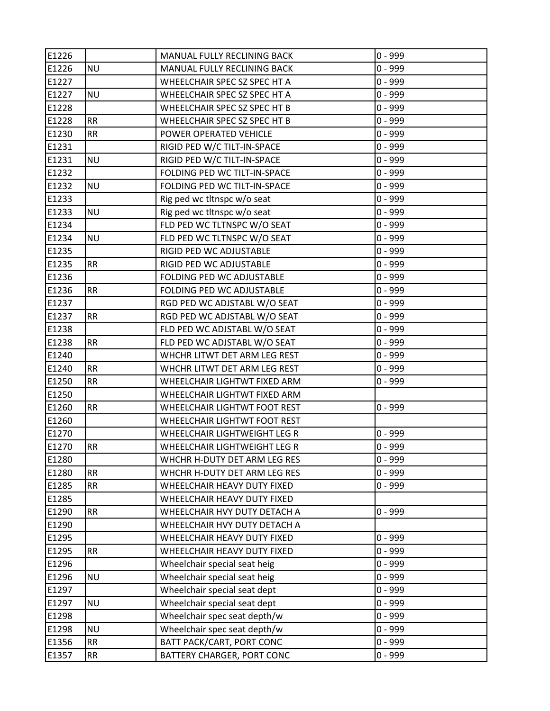| E1226 |           | MANUAL FULLY RECLINING BACK  | $0 - 999$ |
|-------|-----------|------------------------------|-----------|
| E1226 | <b>NU</b> | MANUAL FULLY RECLINING BACK  | $0 - 999$ |
| E1227 |           | WHEELCHAIR SPEC SZ SPEC HT A | $0 - 999$ |
| E1227 | <b>NU</b> | WHEELCHAIR SPEC SZ SPEC HT A | $0 - 999$ |
| E1228 |           | WHEELCHAIR SPEC SZ SPEC HT B | $0 - 999$ |
| E1228 | <b>RR</b> | WHEELCHAIR SPEC SZ SPEC HT B | $0 - 999$ |
| E1230 | <b>RR</b> | POWER OPERATED VEHICLE       | $0 - 999$ |
| E1231 |           | RIGID PED W/C TILT-IN-SPACE  | $0 - 999$ |
| E1231 | <b>NU</b> | RIGID PED W/C TILT-IN-SPACE  | $0 - 999$ |
| E1232 |           | FOLDING PED WC TILT-IN-SPACE | $0 - 999$ |
| E1232 | <b>NU</b> | FOLDING PED WC TILT-IN-SPACE | $0 - 999$ |
| E1233 |           | Rig ped wc tltnspc w/o seat  | $0 - 999$ |
| E1233 | <b>NU</b> | Rig ped wc tltnspc w/o seat  | $0 - 999$ |
| E1234 |           | FLD PED WC TLTNSPC W/O SEAT  | $0 - 999$ |
| E1234 | <b>NU</b> | FLD PED WC TLTNSPC W/O SEAT  | $0 - 999$ |
| E1235 |           | RIGID PED WC ADJUSTABLE      | $0 - 999$ |
| E1235 | <b>RR</b> | RIGID PED WC ADJUSTABLE      | $0 - 999$ |
| E1236 |           | FOLDING PED WC ADJUSTABLE    | $0 - 999$ |
| E1236 | <b>RR</b> | FOLDING PED WC ADJUSTABLE    | $0 - 999$ |
| E1237 |           | RGD PED WC ADJSTABL W/O SEAT | $0 - 999$ |
| E1237 | <b>RR</b> | RGD PED WC ADJSTABL W/O SEAT | $0 - 999$ |
| E1238 |           | FLD PED WC ADJSTABL W/O SEAT | $0 - 999$ |
| E1238 | <b>RR</b> | FLD PED WC ADJSTABL W/O SEAT | $0 - 999$ |
| E1240 |           | WHCHR LITWT DET ARM LEG REST | $0 - 999$ |
| E1240 | <b>RR</b> | WHCHR LITWT DET ARM LEG REST | $0 - 999$ |
| E1250 | <b>RR</b> | WHEELCHAIR LIGHTWT FIXED ARM | $0 - 999$ |
| E1250 |           | WHEELCHAIR LIGHTWT FIXED ARM |           |
| E1260 | <b>RR</b> | WHEELCHAIR LIGHTWT FOOT REST | $0 - 999$ |
| E1260 |           | WHEELCHAIR LIGHTWT FOOT REST |           |
| E1270 |           | WHEELCHAIR LIGHTWEIGHT LEG R | $0 - 999$ |
| E1270 | <b>RR</b> | WHEELCHAIR LIGHTWEIGHT LEG R | $0 - 999$ |
| E1280 |           | WHCHR H-DUTY DET ARM LEG RES | $0 - 999$ |
| E1280 | <b>RR</b> | WHCHR H-DUTY DET ARM LEG RES | $0 - 999$ |
| E1285 | <b>RR</b> | WHEELCHAIR HEAVY DUTY FIXED  | $0 - 999$ |
| E1285 |           | WHEELCHAIR HEAVY DUTY FIXED  |           |
| E1290 | <b>RR</b> | WHEELCHAIR HVY DUTY DETACH A | $0 - 999$ |
| E1290 |           | WHEELCHAIR HVY DUTY DETACH A |           |
| E1295 |           | WHEELCHAIR HEAVY DUTY FIXED  | 0 - 999   |
| E1295 | <b>RR</b> | WHEELCHAIR HEAVY DUTY FIXED  | $0 - 999$ |
| E1296 |           | Wheelchair special seat heig | $0 - 999$ |
| E1296 | <b>NU</b> | Wheelchair special seat heig | $0 - 999$ |
| E1297 |           | Wheelchair special seat dept | $0 - 999$ |
| E1297 | <b>NU</b> | Wheelchair special seat dept | $0 - 999$ |
| E1298 |           | Wheelchair spec seat depth/w | $0 - 999$ |
| E1298 | <b>NU</b> | Wheelchair spec seat depth/w | $0 - 999$ |
| E1356 | <b>RR</b> | BATT PACK/CART, PORT CONC    | $0 - 999$ |
| E1357 | RR        | BATTERY CHARGER, PORT CONC   | $0 - 999$ |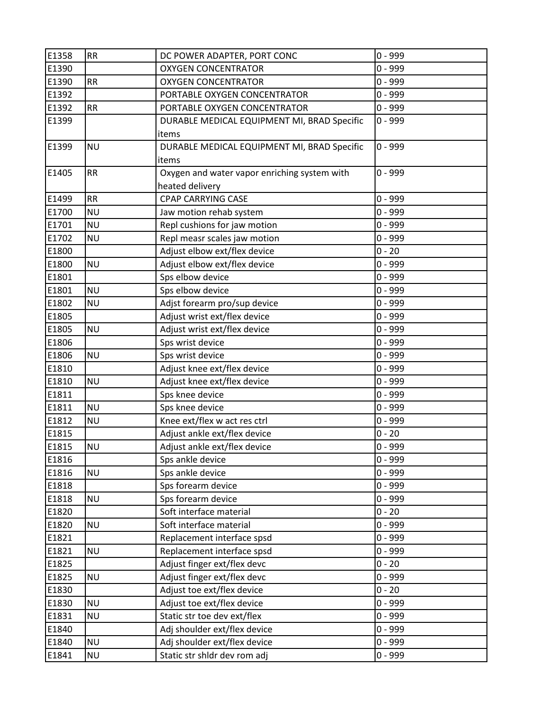| E1358 | <b>RR</b> | DC POWER ADAPTER, PORT CONC                  | $0 - 999$ |
|-------|-----------|----------------------------------------------|-----------|
| E1390 |           | <b>OXYGEN CONCENTRATOR</b>                   | $0 - 999$ |
| E1390 | <b>RR</b> | <b>OXYGEN CONCENTRATOR</b>                   | $0 - 999$ |
| E1392 |           | PORTABLE OXYGEN CONCENTRATOR                 | $0 - 999$ |
| E1392 | <b>RR</b> | PORTABLE OXYGEN CONCENTRATOR                 | $0 - 999$ |
| E1399 |           | DURABLE MEDICAL EQUIPMENT MI, BRAD Specific  | 0 - 999   |
|       |           | items                                        |           |
| E1399 | <b>NU</b> | DURABLE MEDICAL EQUIPMENT MI, BRAD Specific  | $0 - 999$ |
|       |           | items                                        |           |
| E1405 | <b>RR</b> | Oxygen and water vapor enriching system with | $0 - 999$ |
|       |           | heated delivery                              |           |
| E1499 | <b>RR</b> | <b>CPAP CARRYING CASE</b>                    | $0 - 999$ |
| E1700 | <b>NU</b> | Jaw motion rehab system                      | $0 - 999$ |
| E1701 | <b>NU</b> | Repl cushions for jaw motion                 | $0 - 999$ |
| E1702 | <b>NU</b> | Repl measr scales jaw motion                 | $0 - 999$ |
| E1800 |           | Adjust elbow ext/flex device                 | $0 - 20$  |
| E1800 | <b>NU</b> | Adjust elbow ext/flex device                 | $0 - 999$ |
| E1801 |           | Sps elbow device                             | $0 - 999$ |
| E1801 | <b>NU</b> | Sps elbow device                             | $0 - 999$ |
| E1802 | <b>NU</b> | Adjst forearm pro/sup device                 | $0 - 999$ |
| E1805 |           | Adjust wrist ext/flex device                 | 0 - 999   |
| E1805 | <b>NU</b> | Adjust wrist ext/flex device                 | $0 - 999$ |
| E1806 |           | Sps wrist device                             | $0 - 999$ |
| E1806 | <b>NU</b> | Sps wrist device                             | $0 - 999$ |
| E1810 |           | Adjust knee ext/flex device                  | 0 - 999   |
| E1810 | <b>NU</b> | Adjust knee ext/flex device                  | $0 - 999$ |
| E1811 |           | Sps knee device                              | $0 - 999$ |
| E1811 | <b>NU</b> | Sps knee device                              | $0 - 999$ |
| E1812 | <b>NU</b> | Knee ext/flex w act res ctrl                 | $0 - 999$ |
| E1815 |           | Adjust ankle ext/flex device                 | $0 - 20$  |
| E1815 | <b>NU</b> | Adjust ankle ext/flex device                 | $0 - 999$ |
| E1816 |           | Sps ankle device                             | $0 - 999$ |
| E1816 | <b>NU</b> | Sps ankle device                             | $0 - 999$ |
| E1818 |           | Sps forearm device                           | $0 - 999$ |
| E1818 | <b>NU</b> | Sps forearm device                           | $0 - 999$ |
| E1820 |           | Soft interface material                      | $0 - 20$  |
| E1820 | <b>NU</b> | Soft interface material                      | $0 - 999$ |
| E1821 |           | Replacement interface spsd                   | $0 - 999$ |
| E1821 | <b>NU</b> | Replacement interface spsd                   | $0 - 999$ |
| E1825 |           | Adjust finger ext/flex devc                  | $0 - 20$  |
| E1825 | <b>NU</b> | Adjust finger ext/flex devc                  | $0 - 999$ |
| E1830 |           | Adjust toe ext/flex device                   | $0 - 20$  |
| E1830 | <b>NU</b> | Adjust toe ext/flex device                   | $0 - 999$ |
| E1831 | <b>NU</b> | Static str toe dev ext/flex                  | $0 - 999$ |
| E1840 |           | Adj shoulder ext/flex device                 | $0 - 999$ |
| E1840 | <b>NU</b> | Adj shoulder ext/flex device                 | $0 - 999$ |
| E1841 | <b>NU</b> | Static str shldr dev rom adj                 | $0 - 999$ |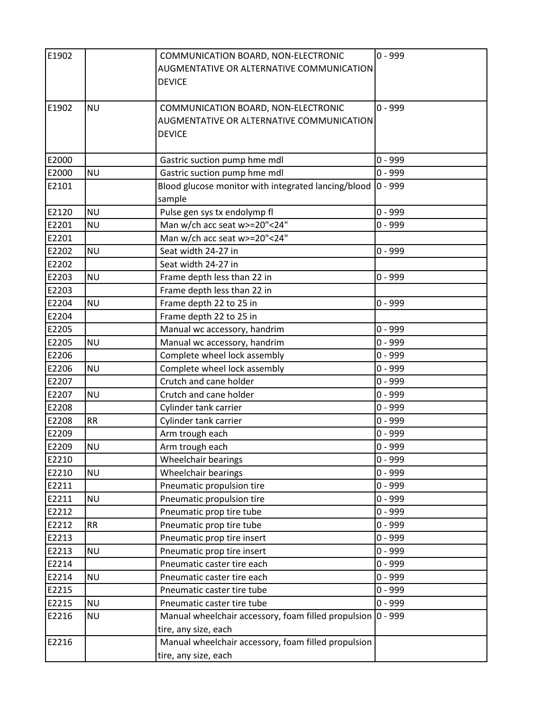| E1902 |           | COMMUNICATION BOARD, NON-ELECTRONIC<br>AUGMENTATIVE OR ALTERNATIVE COMMUNICATION<br><b>DEVICE</b> | $0 - 999$  |
|-------|-----------|---------------------------------------------------------------------------------------------------|------------|
| E1902 | <b>NU</b> | COMMUNICATION BOARD, NON-ELECTRONIC<br>AUGMENTATIVE OR ALTERNATIVE COMMUNICATION<br><b>DEVICE</b> | $0 - 999$  |
| E2000 |           | Gastric suction pump hme mdl                                                                      | $0 - 999$  |
| E2000 | <b>NU</b> | Gastric suction pump hme mdl                                                                      | $0 - 999$  |
| E2101 |           | Blood glucose monitor with integrated lancing/blood<br>sample                                     | $ 0 - 999$ |
| E2120 | <b>NU</b> | Pulse gen sys tx endolymp fl                                                                      | $0 - 999$  |
| E2201 | <b>NU</b> | Man w/ch acc seat w>=20"<24"                                                                      | $0 - 999$  |
| E2201 |           | Man w/ch acc seat w>=20"<24"                                                                      |            |
| E2202 | <b>NU</b> | Seat width 24-27 in                                                                               | $0 - 999$  |
| E2202 |           | Seat width 24-27 in                                                                               |            |
| E2203 | <b>NU</b> | Frame depth less than 22 in                                                                       | $0 - 999$  |
| E2203 |           | Frame depth less than 22 in                                                                       |            |
| E2204 | <b>NU</b> | Frame depth 22 to 25 in                                                                           | $0 - 999$  |
| E2204 |           | Frame depth 22 to 25 in                                                                           |            |
| E2205 |           | Manual wc accessory, handrim                                                                      | $0 - 999$  |
| E2205 | <b>NU</b> | Manual wc accessory, handrim                                                                      | $0 - 999$  |
| E2206 |           | Complete wheel lock assembly                                                                      | $0 - 999$  |
| E2206 | <b>NU</b> | Complete wheel lock assembly                                                                      | $0 - 999$  |
| E2207 |           | Crutch and cane holder                                                                            | $0 - 999$  |
| E2207 | <b>NU</b> | Crutch and cane holder                                                                            | $0 - 999$  |
| E2208 |           | Cylinder tank carrier                                                                             | $0 - 999$  |
| E2208 | <b>RR</b> | Cylinder tank carrier                                                                             | $0 - 999$  |
| E2209 |           | Arm trough each                                                                                   | $0 - 999$  |
| E2209 | <b>NU</b> | Arm trough each                                                                                   | $0 - 999$  |
| E2210 |           | Wheelchair bearings                                                                               | $0 - 999$  |
| E2210 | <b>NU</b> | Wheelchair bearings                                                                               | $0 - 999$  |
| E2211 |           | Pneumatic propulsion tire                                                                         | $0 - 999$  |
| E2211 | <b>NU</b> | Pneumatic propulsion tire                                                                         | $0 - 999$  |
| E2212 |           | Pneumatic prop tire tube                                                                          | $0 - 999$  |
| E2212 | <b>RR</b> | Pneumatic prop tire tube                                                                          | $0 - 999$  |
| E2213 |           | Pneumatic prop tire insert                                                                        | $0 - 999$  |
| E2213 | <b>NU</b> | Pneumatic prop tire insert                                                                        | $0 - 999$  |
| E2214 |           | Pneumatic caster tire each                                                                        | $0 - 999$  |
| E2214 | <b>NU</b> | Pneumatic caster tire each                                                                        | $0 - 999$  |
| E2215 |           | Pneumatic caster tire tube                                                                        | $0 - 999$  |
| E2215 | <b>NU</b> | Pneumatic caster tire tube                                                                        | $0 - 999$  |
| E2216 | <b>NU</b> | Manual wheelchair accessory, foam filled propulsion<br>tire, any size, each                       | $ 0 - 999$ |
| E2216 |           | Manual wheelchair accessory, foam filled propulsion                                               |            |
|       |           | tire, any size, each                                                                              |            |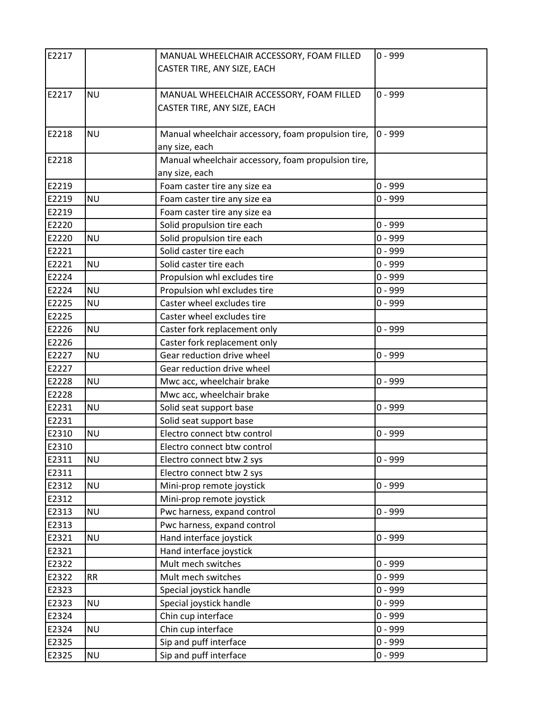| E2217 |           | MANUAL WHEELCHAIR ACCESSORY, FOAM FILLED           | $0 - 999$ |
|-------|-----------|----------------------------------------------------|-----------|
|       |           | CASTER TIRE, ANY SIZE, EACH                        |           |
|       |           |                                                    |           |
| E2217 | <b>NU</b> | MANUAL WHEELCHAIR ACCESSORY, FOAM FILLED           | $0 - 999$ |
|       |           | CASTER TIRE, ANY SIZE, EACH                        |           |
|       |           |                                                    |           |
| E2218 | <b>NU</b> | Manual wheelchair accessory, foam propulsion tire, | $0 - 999$ |
|       |           | any size, each                                     |           |
| E2218 |           | Manual wheelchair accessory, foam propulsion tire, |           |
|       |           | any size, each                                     |           |
| E2219 |           | Foam caster tire any size ea                       | $0 - 999$ |
| E2219 | <b>NU</b> | Foam caster tire any size ea                       | $0 - 999$ |
| E2219 |           | Foam caster tire any size ea                       |           |
| E2220 |           | Solid propulsion tire each                         | $0 - 999$ |
| E2220 | <b>NU</b> | Solid propulsion tire each                         | $0 - 999$ |
| E2221 |           | Solid caster tire each                             | $0 - 999$ |
| E2221 | <b>NU</b> | Solid caster tire each                             | $0 - 999$ |
| E2224 |           | Propulsion whl excludes tire                       | $0 - 999$ |
| E2224 | <b>NU</b> | Propulsion whl excludes tire                       | $0 - 999$ |
| E2225 | <b>NU</b> | Caster wheel excludes tire                         | $0 - 999$ |
| E2225 |           | Caster wheel excludes tire                         |           |
| E2226 | <b>NU</b> | Caster fork replacement only                       | $0 - 999$ |
| E2226 |           | Caster fork replacement only                       |           |
| E2227 | <b>NU</b> | Gear reduction drive wheel                         | $0 - 999$ |
| E2227 |           | Gear reduction drive wheel                         |           |
| E2228 | <b>NU</b> | Mwc acc, wheelchair brake                          | $0 - 999$ |
| E2228 |           | Mwc acc, wheelchair brake                          |           |
| E2231 | <b>NU</b> | Solid seat support base                            | $0 - 999$ |
| E2231 |           | Solid seat support base                            |           |
| E2310 | <b>NU</b> | Electro connect btw control                        | $0 - 999$ |
| E2310 |           | Electro connect btw control                        |           |
| E2311 | <b>NU</b> | Electro connect btw 2 sys                          | $0 - 999$ |
| E2311 |           | Electro connect btw 2 sys                          |           |
| E2312 | <b>NU</b> | Mini-prop remote joystick                          | $0 - 999$ |
| E2312 |           | Mini-prop remote joystick                          |           |
| E2313 | <b>NU</b> | Pwc harness, expand control                        | $0 - 999$ |
| E2313 |           | Pwc harness, expand control                        |           |
| E2321 | <b>NU</b> | Hand interface joystick                            | $0 - 999$ |
| E2321 |           | Hand interface joystick                            |           |
| E2322 |           | Mult mech switches                                 | $0 - 999$ |
| E2322 | <b>RR</b> | Mult mech switches                                 | $0 - 999$ |
| E2323 |           | Special joystick handle                            | $0 - 999$ |
| E2323 | <b>NU</b> | Special joystick handle                            | $0 - 999$ |
| E2324 |           | Chin cup interface                                 | $0 - 999$ |
| E2324 | <b>NU</b> | Chin cup interface                                 | $0 - 999$ |
| E2325 |           | Sip and puff interface                             | $0 - 999$ |
| E2325 | <b>NU</b> | Sip and puff interface                             | $0 - 999$ |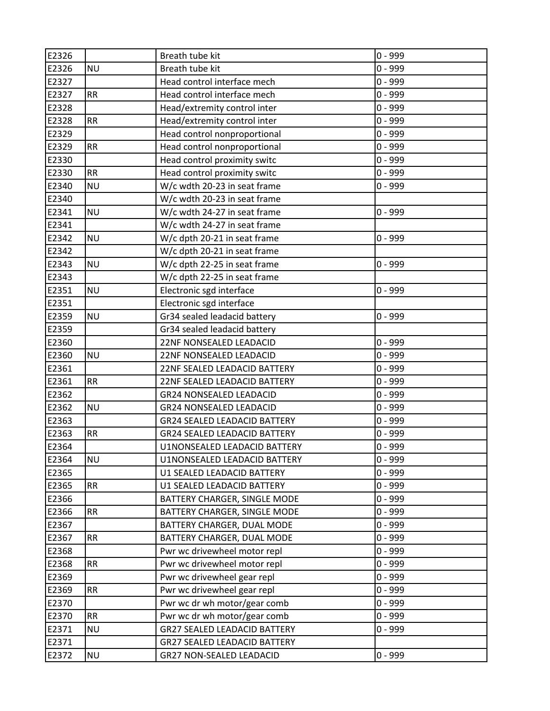| E2326 |           | Breath tube kit                     | $0 - 999$ |
|-------|-----------|-------------------------------------|-----------|
| E2326 | <b>NU</b> | Breath tube kit                     | $0 - 999$ |
| E2327 |           | Head control interface mech         | $0 - 999$ |
| E2327 | <b>RR</b> | Head control interface mech         | $0 - 999$ |
| E2328 |           | Head/extremity control inter        | $0 - 999$ |
| E2328 | <b>RR</b> | Head/extremity control inter        | $0 - 999$ |
| E2329 |           | Head control nonproportional        | $0 - 999$ |
| E2329 | <b>RR</b> | Head control nonproportional        | $0 - 999$ |
| E2330 |           | Head control proximity switc        | $0 - 999$ |
| E2330 | <b>RR</b> | Head control proximity switc        | $0 - 999$ |
| E2340 | <b>NU</b> | W/c wdth 20-23 in seat frame        | $0 - 999$ |
| E2340 |           | W/c wdth 20-23 in seat frame        |           |
| E2341 | <b>NU</b> | W/c wdth 24-27 in seat frame        | 0 - 999   |
| E2341 |           | W/c wdth 24-27 in seat frame        |           |
| E2342 | <b>NU</b> | W/c dpth 20-21 in seat frame        | $0 - 999$ |
| E2342 |           | W/c dpth 20-21 in seat frame        |           |
| E2343 | <b>NU</b> | W/c dpth 22-25 in seat frame        | $0 - 999$ |
| E2343 |           | W/c dpth 22-25 in seat frame        |           |
| E2351 | <b>NU</b> | Electronic sgd interface            | 0 - 999   |
| E2351 |           | Electronic sgd interface            |           |
| E2359 | <b>NU</b> | Gr34 sealed leadacid battery        | $0 - 999$ |
| E2359 |           | Gr34 sealed leadacid battery        |           |
| E2360 |           | 22NF NONSEALED LEADACID             | $0 - 999$ |
| E2360 | <b>NU</b> | 22NF NONSEALED LEADACID             | $0 - 999$ |
| E2361 |           | 22NF SEALED LEADACID BATTERY        | 0 - 999   |
| E2361 | <b>RR</b> | 22NF SEALED LEADACID BATTERY        | $0 - 999$ |
| E2362 |           | <b>GR24 NONSEALED LEADACID</b>      | $0 - 999$ |
| E2362 | <b>NU</b> | <b>GR24 NONSEALED LEADACID</b>      | $0 - 999$ |
| E2363 |           | <b>GR24 SEALED LEADACID BATTERY</b> | $0 - 999$ |
| E2363 | <b>RR</b> | <b>GR24 SEALED LEADACID BATTERY</b> | $0 - 999$ |
| E2364 |           | U1NONSEALED LEADACID BATTERY        | $0 - 999$ |
| E2364 | <b>NU</b> | U1NONSEALED LEADACID BATTERY        | 0 - 999   |
| E2365 |           | U1 SEALED LEADACID BATTERY          | $0 - 999$ |
| E2365 | <b>RR</b> | U1 SEALED LEADACID BATTERY          | $0 - 999$ |
| E2366 |           | BATTERY CHARGER, SINGLE MODE        | $0 - 999$ |
| E2366 | RR        | BATTERY CHARGER, SINGLE MODE        | $0 - 999$ |
| E2367 |           | BATTERY CHARGER, DUAL MODE          | $0 - 999$ |
| E2367 | <b>RR</b> | BATTERY CHARGER, DUAL MODE          | $0 - 999$ |
| E2368 |           | Pwr wc drivewheel motor repl        | 0 - 999   |
| E2368 | <b>RR</b> | Pwr wc drivewheel motor repl        | $0 - 999$ |
| E2369 |           | Pwr wc drivewheel gear repl         | $0 - 999$ |
| E2369 | <b>RR</b> | Pwr wc drivewheel gear repl         | $0 - 999$ |
| E2370 |           | Pwr wc dr wh motor/gear comb        | $0 - 999$ |
| E2370 | <b>RR</b> | Pwr wc dr wh motor/gear comb        | $0 - 999$ |
| E2371 | <b>NU</b> | <b>GR27 SEALED LEADACID BATTERY</b> | $0 - 999$ |
| E2371 |           | <b>GR27 SEALED LEADACID BATTERY</b> |           |
| E2372 | <b>NU</b> | GR27 NON-SEALED LEADACID            | $0 - 999$ |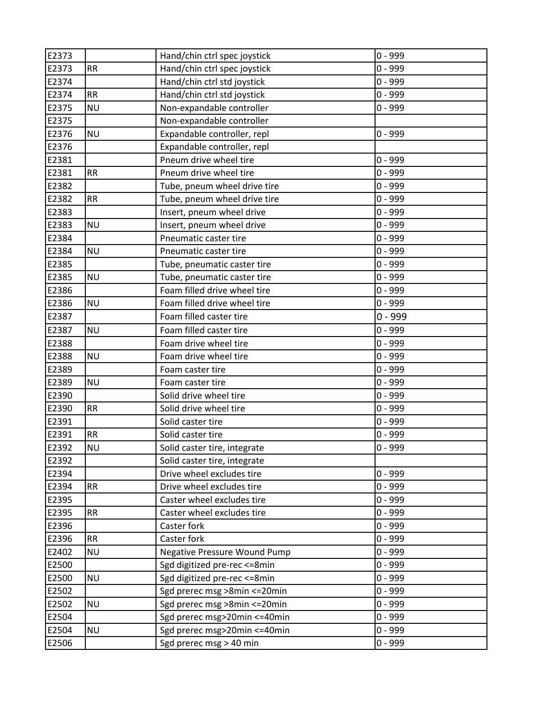| E2373 |           | Hand/chin ctrl spec joystick        | $0 - 999$ |
|-------|-----------|-------------------------------------|-----------|
| E2373 | <b>RR</b> | Hand/chin ctrl spec joystick        | $0 - 999$ |
| E2374 |           | Hand/chin ctrl std joystick         | $0 - 999$ |
| E2374 | RR        | Hand/chin ctrl std joystick         | $0 - 999$ |
| E2375 | <b>NU</b> | Non-expandable controller           | $0 - 999$ |
| E2375 |           | Non-expandable controller           |           |
| E2376 | <b>NU</b> | Expandable controller, repl         | $0 - 999$ |
| E2376 |           | Expandable controller, repl         |           |
| E2381 |           | Pneum drive wheel tire              | $0 - 999$ |
| E2381 | <b>RR</b> | Pneum drive wheel tire              | $0 - 999$ |
| E2382 |           | Tube, pneum wheel drive tire        | $0 - 999$ |
| E2382 | <b>RR</b> | Tube, pneum wheel drive tire        | $0 - 999$ |
| E2383 |           | Insert, pneum wheel drive           | $0 - 999$ |
| E2383 | <b>NU</b> | Insert, pneum wheel drive           | $0 - 999$ |
| E2384 |           | Pneumatic caster tire               | $0 - 999$ |
| E2384 | <b>NU</b> | Pneumatic caster tire               | $0 - 999$ |
| E2385 |           | Tube, pneumatic caster tire         | $0 - 999$ |
| E2385 | <b>NU</b> | Tube, pneumatic caster tire         | $0 - 999$ |
| E2386 |           | Foam filled drive wheel tire        | $0 - 999$ |
| E2386 | <b>NU</b> | Foam filled drive wheel tire        | $0 - 999$ |
| E2387 |           | Foam filled caster tire             | $0 - 999$ |
| E2387 | <b>NU</b> | Foam filled caster tire             | $0 - 999$ |
| E2388 |           | Foam drive wheel tire               | $0 - 999$ |
| E2388 | <b>NU</b> | Foam drive wheel tire               | $0 - 999$ |
| E2389 |           | Foam caster tire                    | $0 - 999$ |
| E2389 | <b>NU</b> | Foam caster tire                    | $0 - 999$ |
| E2390 |           | Solid drive wheel tire              | $0 - 999$ |
| E2390 | <b>RR</b> | Solid drive wheel tire              | $0 - 999$ |
| E2391 |           | Solid caster tire                   | $0 - 999$ |
| E2391 | <b>RR</b> | Solid caster tire                   | $0 - 999$ |
| E2392 | <b>NU</b> | Solid caster tire, integrate        | $0 - 999$ |
| E2392 |           | Solid caster tire, integrate        |           |
| E2394 |           | Drive wheel excludes tire           | $0 - 999$ |
| E2394 | <b>RR</b> | Drive wheel excludes tire           | $0 - 999$ |
| E2395 |           | Caster wheel excludes tire          | $0 - 999$ |
| E2395 | <b>RR</b> | Caster wheel excludes tire          | $0 - 999$ |
| E2396 |           | Caster fork                         | $0 - 999$ |
| E2396 | <b>RR</b> | Caster fork                         | $0 - 999$ |
| E2402 | <b>NU</b> | <b>Negative Pressure Wound Pump</b> | $0 - 999$ |
| E2500 |           | Sgd digitized pre-rec <= 8min       | $0 - 999$ |
| E2500 | <b>NU</b> | Sgd digitized pre-rec <= 8min       | $0 - 999$ |
| E2502 |           | Sgd prerec msg >8min <= 20min       | $0 - 999$ |
| E2502 | <b>NU</b> | Sgd prerec msg >8min <= 20min       | $0 - 999$ |
| E2504 |           | Sgd prerec msg>20min <= 40min       | $0 - 999$ |
| E2504 | <b>NU</b> | Sgd prerec msg>20min <= 40min       | $0 - 999$ |
| E2506 |           | Sgd prerec msg > 40 min             | $0 - 999$ |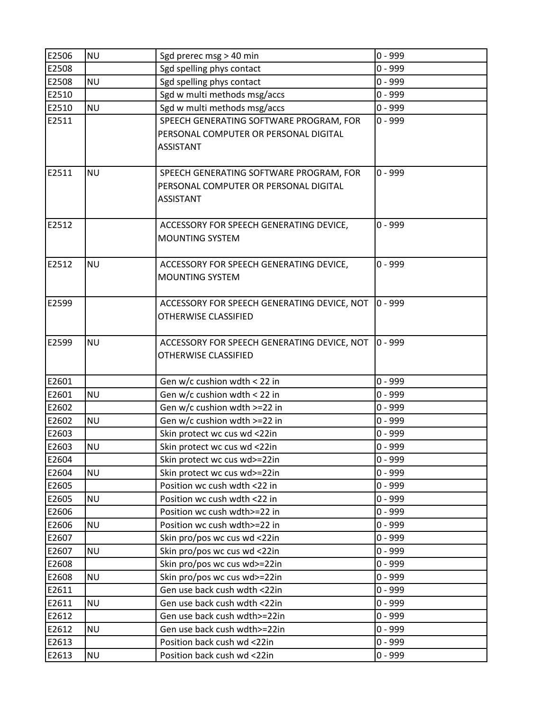| E2506          | <b>NU</b> | Sgd prerec msg > 40 min                                      | $0 - 999$              |
|----------------|-----------|--------------------------------------------------------------|------------------------|
| E2508          |           | Sgd spelling phys contact                                    | $0 - 999$              |
| E2508          | <b>NU</b> | Sgd spelling phys contact                                    | $0 - 999$              |
| E2510          |           | Sgd w multi methods msg/accs                                 | $0 - 999$              |
| E2510          | <b>NU</b> | Sgd w multi methods msg/accs                                 | $0 - 999$              |
| E2511          |           | SPEECH GENERATING SOFTWARE PROGRAM, FOR                      | $0 - 999$              |
|                |           | PERSONAL COMPUTER OR PERSONAL DIGITAL                        |                        |
|                |           | <b>ASSISTANT</b>                                             |                        |
|                |           |                                                              |                        |
| E2511          | <b>NU</b> | SPEECH GENERATING SOFTWARE PROGRAM, FOR                      | $0 - 999$              |
|                |           | PERSONAL COMPUTER OR PERSONAL DIGITAL                        |                        |
|                |           | <b>ASSISTANT</b>                                             |                        |
|                |           |                                                              |                        |
| E2512          |           | ACCESSORY FOR SPEECH GENERATING DEVICE,                      | $0 - 999$              |
|                |           | <b>MOUNTING SYSTEM</b>                                       |                        |
|                |           |                                                              |                        |
| E2512          | <b>NU</b> | ACCESSORY FOR SPEECH GENERATING DEVICE,                      | $0 - 999$              |
|                |           | <b>MOUNTING SYSTEM</b>                                       |                        |
|                |           |                                                              |                        |
| E2599          |           | ACCESSORY FOR SPEECH GENERATING DEVICE, NOT                  | $0 - 999$              |
|                |           | OTHERWISE CLASSIFIED                                         |                        |
|                |           |                                                              |                        |
| E2599          | <b>NU</b> | ACCESSORY FOR SPEECH GENERATING DEVICE, NOT                  | $0 - 999$              |
|                |           | OTHERWISE CLASSIFIED                                         |                        |
|                |           |                                                              |                        |
| E2601          |           | Gen w/c cushion wdth < 22 in                                 | $0 - 999$              |
| E2601          | <b>NU</b> | Gen w/c cushion wdth < 22 in                                 | $0 - 999$              |
| E2602          |           | Gen w/c cushion wdth >=22 in                                 | $0 - 999$              |
| E2602          | <b>NU</b> | Gen w/c cushion wdth >=22 in                                 | $0 - 999$              |
| E2603          |           | Skin protect wc cus wd <22in                                 | $0 - 999$              |
| E2603          | <b>NU</b> | Skin protect wc cus wd <22in                                 | $0 - 999$              |
| E2604          |           | Skin protect wc cus wd>=22in                                 | $0 - 999$<br>$0 - 999$ |
| E2604<br>E2605 | <b>NU</b> | Skin protect wc cus wd>=22in<br>Position wc cush wdth <22 in | $0 - 999$              |
| E2605          | <b>NU</b> | Position wc cush wdth <22 in                                 | $0 - 999$              |
| E2606          |           | Position wc cush wdth>=22 in                                 | $0 - 999$              |
| E2606          | <b>NU</b> | Position wc cush wdth>=22 in                                 | $0 - 999$              |
| E2607          |           | Skin pro/pos wc cus wd <22in                                 | $0 - 999$              |
| E2607          | <b>NU</b> | Skin pro/pos wc cus wd <22in                                 | $0 - 999$              |
| E2608          |           | Skin pro/pos wc cus wd>=22in                                 | $0 - 999$              |
| E2608          | <b>NU</b> | Skin pro/pos wc cus wd>=22in                                 | $0 - 999$              |
| E2611          |           | Gen use back cush wdth <22in                                 | $0 - 999$              |
| E2611          | <b>NU</b> | Gen use back cush wdth <22in                                 | $0 - 999$              |
| E2612          |           | Gen use back cush wdth>=22in                                 | $0 - 999$              |
| E2612          | <b>NU</b> | Gen use back cush wdth>=22in                                 | $0 - 999$              |
| E2613          |           | Position back cush wd <22in                                  | $0 - 999$              |
| E2613          | <b>NU</b> | Position back cush wd <22in                                  | $0 - 999$              |
|                |           |                                                              |                        |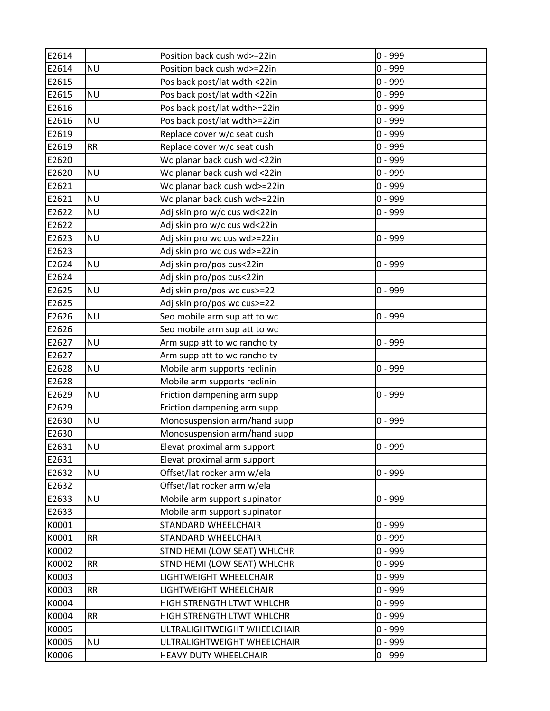| E2614 |           | Position back cush wd>=22in  | $0 - 999$ |
|-------|-----------|------------------------------|-----------|
| E2614 | <b>NU</b> | Position back cush wd>=22in  | $0 - 999$ |
| E2615 |           | Pos back post/lat wdth <22in | $0 - 999$ |
| E2615 | <b>NU</b> | Pos back post/lat wdth <22in | $0 - 999$ |
| E2616 |           | Pos back post/lat wdth>=22in | $0 - 999$ |
| E2616 | <b>NU</b> | Pos back post/lat wdth>=22in | $0 - 999$ |
| E2619 |           | Replace cover w/c seat cush  | $0 - 999$ |
| E2619 | <b>RR</b> | Replace cover w/c seat cush  | $0 - 999$ |
| E2620 |           | Wc planar back cush wd <22in | $0 - 999$ |
| E2620 | <b>NU</b> | Wc planar back cush wd <22in | $0 - 999$ |
| E2621 |           | Wc planar back cush wd>=22in | $0 - 999$ |
| E2621 | <b>NU</b> | Wc planar back cush wd>=22in | $0 - 999$ |
| E2622 | <b>NU</b> | Adj skin pro w/c cus wd<22in | 0 - 999   |
| E2622 |           | Adj skin pro w/c cus wd<22in |           |
| E2623 | <b>NU</b> | Adj skin pro wc cus wd>=22in | $0 - 999$ |
| E2623 |           | Adj skin pro wc cus wd>=22in |           |
| E2624 | <b>NU</b> | Adj skin pro/pos cus<22in    | $0 - 999$ |
| E2624 |           | Adj skin pro/pos cus<22in    |           |
| E2625 | <b>NU</b> | Adj skin pro/pos wc cus>=22  | $0 - 999$ |
| E2625 |           | Adj skin pro/pos wc cus>=22  |           |
| E2626 | <b>NU</b> | Seo mobile arm sup att to wc | $0 - 999$ |
| E2626 |           | Seo mobile arm sup att to wc |           |
| E2627 | <b>NU</b> | Arm supp att to wc rancho ty | $0 - 999$ |
| E2627 |           | Arm supp att to wc rancho ty |           |
| E2628 | <b>NU</b> | Mobile arm supports reclinin | 0 - 999   |
| E2628 |           | Mobile arm supports reclinin |           |
| E2629 | <b>NU</b> | Friction dampening arm supp  | 0 - 999   |
| E2629 |           | Friction dampening arm supp  |           |
| E2630 | <b>NU</b> | Monosuspension arm/hand supp | 0 - 999   |
| E2630 |           | Monosuspension arm/hand supp |           |
| E2631 | <b>NU</b> | Elevat proximal arm support  | $0 - 999$ |
| E2631 |           | Elevat proximal arm support  |           |
| E2632 | <b>NU</b> | Offset/lat rocker arm w/ela  | $0 - 999$ |
| E2632 |           | Offset/lat rocker arm w/ela  |           |
| E2633 | <b>NU</b> | Mobile arm support supinator | $0 - 999$ |
| E2633 |           | Mobile arm support supinator |           |
| K0001 |           | STANDARD WHEELCHAIR          | $0 - 999$ |
| K0001 | <b>RR</b> | STANDARD WHEELCHAIR          | $0 - 999$ |
| K0002 |           | STND HEMI (LOW SEAT) WHLCHR  | $0 - 999$ |
| K0002 | <b>RR</b> | STND HEMI (LOW SEAT) WHLCHR  | $0 - 999$ |
| K0003 |           | LIGHTWEIGHT WHEELCHAIR       | $0 - 999$ |
| K0003 | <b>RR</b> | LIGHTWEIGHT WHEELCHAIR       | $0 - 999$ |
| K0004 |           | HIGH STRENGTH LTWT WHLCHR    | $0 - 999$ |
| K0004 | <b>RR</b> | HIGH STRENGTH LTWT WHLCHR    | $0 - 999$ |
| K0005 |           | ULTRALIGHTWEIGHT WHEELCHAIR  | $0 - 999$ |
| K0005 | <b>NU</b> | ULTRALIGHTWEIGHT WHEELCHAIR  | $0 - 999$ |
| K0006 |           | HEAVY DUTY WHEELCHAIR        | $0 - 999$ |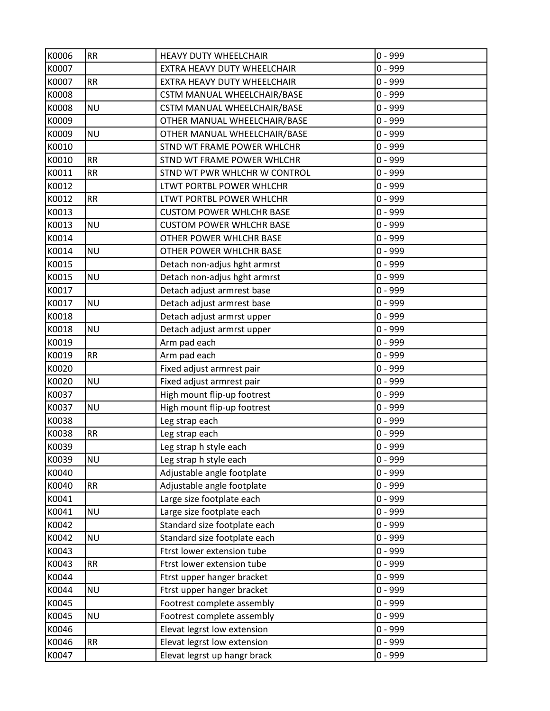| K0006 | <b>RR</b> | <b>HEAVY DUTY WHEELCHAIR</b>    | $0 - 999$ |
|-------|-----------|---------------------------------|-----------|
| K0007 |           | EXTRA HEAVY DUTY WHEELCHAIR     | $0 - 999$ |
| K0007 | <b>RR</b> | EXTRA HEAVY DUTY WHEELCHAIR     | $0 - 999$ |
| K0008 |           | CSTM MANUAL WHEELCHAIR/BASE     | $0 - 999$ |
| K0008 | <b>NU</b> | CSTM MANUAL WHEELCHAIR/BASE     | $0 - 999$ |
| K0009 |           | OTHER MANUAL WHEELCHAIR/BASE    | $0 - 999$ |
| K0009 | <b>NU</b> | OTHER MANUAL WHEELCHAIR/BASE    | $0 - 999$ |
| K0010 |           | STND WT FRAME POWER WHLCHR      | $0 - 999$ |
| K0010 | RR        | STND WT FRAME POWER WHLCHR      | $0 - 999$ |
| K0011 | <b>RR</b> | STND WT PWR WHLCHR W CONTROL    | $0 - 999$ |
| K0012 |           | LTWT PORTBL POWER WHLCHR        | $0 - 999$ |
| K0012 | <b>RR</b> | LTWT PORTBL POWER WHLCHR        | $0 - 999$ |
| K0013 |           | <b>CUSTOM POWER WHLCHR BASE</b> | $0 - 999$ |
| K0013 | <b>NU</b> | <b>CUSTOM POWER WHLCHR BASE</b> | $0 - 999$ |
| K0014 |           | OTHER POWER WHLCHR BASE         | $0 - 999$ |
| K0014 | <b>NU</b> | OTHER POWER WHLCHR BASE         | $0 - 999$ |
| K0015 |           | Detach non-adjus hght armrst    | $0 - 999$ |
| K0015 | <b>NU</b> | Detach non-adjus hght armrst    | $0 - 999$ |
| K0017 |           | Detach adjust armrest base      | $0 - 999$ |
| K0017 | <b>NU</b> | Detach adjust armrest base      | $0 - 999$ |
| K0018 |           | Detach adjust armrst upper      | $0 - 999$ |
| K0018 | <b>NU</b> | Detach adjust armrst upper      | $0 - 999$ |
| K0019 |           | Arm pad each                    | $0 - 999$ |
| K0019 | <b>RR</b> | Arm pad each                    | $0 - 999$ |
| K0020 |           | Fixed adjust armrest pair       | $0 - 999$ |
| K0020 | <b>NU</b> | Fixed adjust armrest pair       | $0 - 999$ |
| K0037 |           | High mount flip-up footrest     | $0 - 999$ |
| K0037 | <b>NU</b> | High mount flip-up footrest     | $0 - 999$ |
| K0038 |           | Leg strap each                  | $0 - 999$ |
| K0038 | <b>RR</b> | Leg strap each                  | $0 - 999$ |
| K0039 |           | Leg strap h style each          | $0 - 999$ |
| K0039 | <b>NU</b> | Leg strap h style each          | $0 - 999$ |
| K0040 |           | Adjustable angle footplate      | $0 - 999$ |
| K0040 | RR        | Adjustable angle footplate      | $0 - 999$ |
| K0041 |           | Large size footplate each       | $0 - 999$ |
| K0041 | <b>NU</b> | Large size footplate each       | $0 - 999$ |
| K0042 |           | Standard size footplate each    | $0 - 999$ |
| K0042 | <b>NU</b> | Standard size footplate each    | $0 - 999$ |
| K0043 |           | Ftrst lower extension tube      | $0 - 999$ |
| K0043 | <b>RR</b> | Ftrst lower extension tube      | $0 - 999$ |
| K0044 |           | Ftrst upper hanger bracket      | $0 - 999$ |
| K0044 | <b>NU</b> | Ftrst upper hanger bracket      | $0 - 999$ |
| K0045 |           | Footrest complete assembly      | $0 - 999$ |
| K0045 | <b>NU</b> | Footrest complete assembly      | $0 - 999$ |
| K0046 |           | Elevat legrst low extension     | $0 - 999$ |
| K0046 | RR        | Elevat legrst low extension     | $0 - 999$ |
| K0047 |           | Elevat legrst up hangr brack    | $0 - 999$ |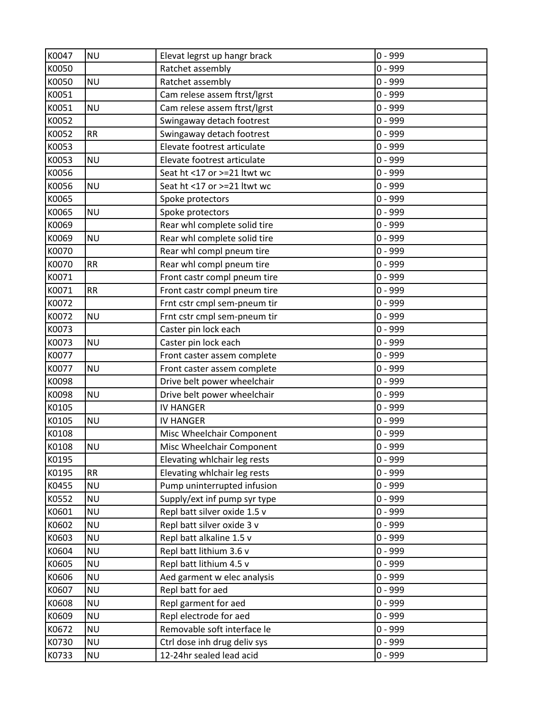| K0047 | <b>NU</b> | Elevat legrst up hangr brack | $0 - 999$ |
|-------|-----------|------------------------------|-----------|
| K0050 |           | Ratchet assembly             | $0 - 999$ |
| K0050 | <b>NU</b> | Ratchet assembly             | $0 - 999$ |
| K0051 |           | Cam relese assem ftrst/lgrst | $0 - 999$ |
| K0051 | <b>NU</b> | Cam relese assem ftrst/lgrst | $0 - 999$ |
| K0052 |           | Swingaway detach footrest    | $0 - 999$ |
| K0052 | <b>RR</b> | Swingaway detach footrest    | $0 - 999$ |
| K0053 |           | Elevate footrest articulate  | $0 - 999$ |
| K0053 | <b>NU</b> | Elevate footrest articulate  | $0 - 999$ |
| K0056 |           | Seat ht <17 or >=21 ltwt wc  | $0 - 999$ |
| K0056 | <b>NU</b> | Seat ht <17 or >=21 ltwt wc  | $0 - 999$ |
| K0065 |           | Spoke protectors             | $0 - 999$ |
| K0065 | <b>NU</b> | Spoke protectors             | $0 - 999$ |
| K0069 |           | Rear whl complete solid tire | $0 - 999$ |
| K0069 | <b>NU</b> | Rear whl complete solid tire | $0 - 999$ |
| K0070 |           | Rear whl compl pneum tire    | $0 - 999$ |
| K0070 | <b>RR</b> | Rear whl compl pneum tire    | $0 - 999$ |
| K0071 |           | Front castr compl pneum tire | $0 - 999$ |
| K0071 | <b>RR</b> | Front castr compl pneum tire | $0 - 999$ |
| K0072 |           | Frnt cstr cmpl sem-pneum tir | $0 - 999$ |
| K0072 | <b>NU</b> | Frnt cstr cmpl sem-pneum tir | $0 - 999$ |
| K0073 |           | Caster pin lock each         | $0 - 999$ |
| K0073 | <b>NU</b> | Caster pin lock each         | $0 - 999$ |
| K0077 |           | Front caster assem complete  | $0 - 999$ |
| K0077 | <b>NU</b> | Front caster assem complete  | $0 - 999$ |
| K0098 |           | Drive belt power wheelchair  | $0 - 999$ |
| K0098 | <b>NU</b> | Drive belt power wheelchair  | $0 - 999$ |
| K0105 |           | <b>IV HANGER</b>             | $0 - 999$ |
| K0105 | <b>NU</b> | <b>IV HANGER</b>             | $0 - 999$ |
| K0108 |           | Misc Wheelchair Component    | $0 - 999$ |
| K0108 | <b>NU</b> | Misc Wheelchair Component    | $0 - 999$ |
| K0195 |           | Elevating whlchair leg rests | $0 - 999$ |
| K0195 | <b>RR</b> | Elevating whlchair leg rests | $0 - 999$ |
| K0455 | <b>NU</b> | Pump uninterrupted infusion  | $0 - 999$ |
| K0552 | <b>NU</b> | Supply/ext inf pump syr type | $0 - 999$ |
| K0601 | <b>NU</b> | Repl batt silver oxide 1.5 v | $0 - 999$ |
| K0602 | <b>NU</b> | Repl batt silver oxide 3 v   | $0 - 999$ |
| K0603 | <b>NU</b> | Repl batt alkaline 1.5 v     | $0 - 999$ |
| K0604 | <b>NU</b> | Repl batt lithium 3.6 v      | $0 - 999$ |
| K0605 | <b>NU</b> | Repl batt lithium 4.5 v      | $0 - 999$ |
| K0606 | <b>NU</b> | Aed garment w elec analysis  | $0 - 999$ |
| K0607 | <b>NU</b> | Repl batt for aed            | $0 - 999$ |
| K0608 | <b>NU</b> | Repl garment for aed         | $0 - 999$ |
| K0609 | <b>NU</b> | Repl electrode for aed       | $0 - 999$ |
| K0672 | <b>NU</b> | Removable soft interface le  | $0 - 999$ |
| K0730 | <b>NU</b> | Ctrl dose inh drug deliv sys | $0 - 999$ |
| K0733 | <b>NU</b> | 12-24hr sealed lead acid     | $0 - 999$ |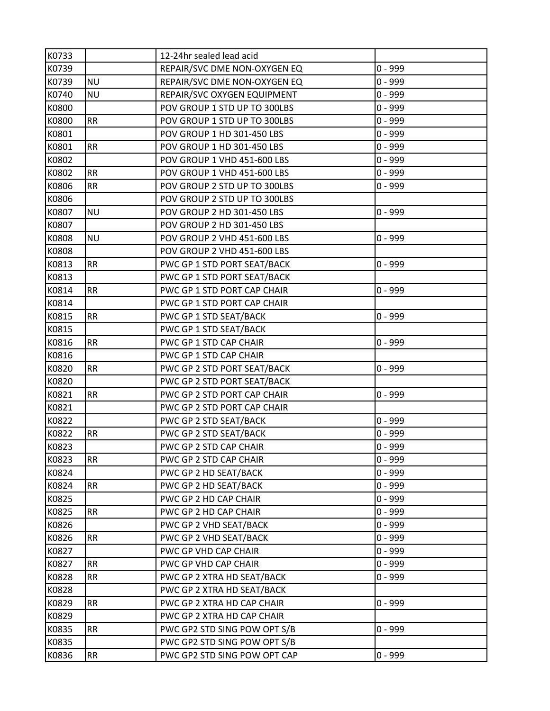| K0733 |           | 12-24hr sealed lead acid     |           |
|-------|-----------|------------------------------|-----------|
| K0739 |           | REPAIR/SVC DME NON-OXYGEN EQ | $0 - 999$ |
| K0739 | <b>NU</b> | REPAIR/SVC DME NON-OXYGEN EQ | $0 - 999$ |
| K0740 | <b>NU</b> | REPAIR/SVC OXYGEN EQUIPMENT  | $0 - 999$ |
| K0800 |           | POV GROUP 1 STD UP TO 300LBS | $0 - 999$ |
| K0800 | <b>RR</b> | POV GROUP 1 STD UP TO 300LBS | $0 - 999$ |
| K0801 |           | POV GROUP 1 HD 301-450 LBS   | $0 - 999$ |
| K0801 | <b>RR</b> | POV GROUP 1 HD 301-450 LBS   | $0 - 999$ |
| K0802 |           | POV GROUP 1 VHD 451-600 LBS  | $0 - 999$ |
| K0802 | <b>RR</b> | POV GROUP 1 VHD 451-600 LBS  | $0 - 999$ |
| K0806 | <b>RR</b> | POV GROUP 2 STD UP TO 300LBS | $0 - 999$ |
| K0806 |           | POV GROUP 2 STD UP TO 300LBS |           |
| K0807 | <b>NU</b> | POV GROUP 2 HD 301-450 LBS   | $0 - 999$ |
| K0807 |           | POV GROUP 2 HD 301-450 LBS   |           |
| K0808 | <b>NU</b> | POV GROUP 2 VHD 451-600 LBS  | $0 - 999$ |
| K0808 |           | POV GROUP 2 VHD 451-600 LBS  |           |
| K0813 | <b>RR</b> | PWC GP 1 STD PORT SEAT/BACK  | $0 - 999$ |
| K0813 |           | PWC GP 1 STD PORT SEAT/BACK  |           |
| K0814 | <b>RR</b> | PWC GP 1 STD PORT CAP CHAIR  | $0 - 999$ |
| K0814 |           | PWC GP 1 STD PORT CAP CHAIR  |           |
| K0815 | <b>RR</b> | PWC GP 1 STD SEAT/BACK       | $0 - 999$ |
| K0815 |           | PWC GP 1 STD SEAT/BACK       |           |
| K0816 | <b>RR</b> | PWC GP 1 STD CAP CHAIR       | $0 - 999$ |
| K0816 |           | PWC GP 1 STD CAP CHAIR       |           |
| K0820 | <b>RR</b> | PWC GP 2 STD PORT SEAT/BACK  | $0 - 999$ |
| K0820 |           | PWC GP 2 STD PORT SEAT/BACK  |           |
| K0821 | <b>RR</b> | PWC GP 2 STD PORT CAP CHAIR  | $0 - 999$ |
| K0821 |           | PWC GP 2 STD PORT CAP CHAIR  |           |
| K0822 |           | PWC GP 2 STD SEAT/BACK       | $0 - 999$ |
| K0822 | <b>RR</b> | PWC GP 2 STD SEAT/BACK       | $0 - 999$ |
| K0823 |           | PWC GP 2 STD CAP CHAIR       | $0 - 999$ |
| K0823 | <b>RR</b> | PWC GP 2 STD CAP CHAIR       | $0 - 999$ |
| K0824 |           | PWC GP 2 HD SEAT/BACK        | $0 - 999$ |
| K0824 | <b>RR</b> | PWC GP 2 HD SEAT/BACK        | $0 - 999$ |
| K0825 |           | PWC GP 2 HD CAP CHAIR        | $0 - 999$ |
| K0825 | <b>RR</b> | PWC GP 2 HD CAP CHAIR        | $0 - 999$ |
| K0826 |           | PWC GP 2 VHD SEAT/BACK       | $0 - 999$ |
| K0826 | <b>RR</b> | PWC GP 2 VHD SEAT/BACK       | $0 - 999$ |
| K0827 |           | PWC GP VHD CAP CHAIR         | $0 - 999$ |
| K0827 | <b>RR</b> | PWC GP VHD CAP CHAIR         | $0 - 999$ |
| K0828 | <b>RR</b> | PWC GP 2 XTRA HD SEAT/BACK   | $0 - 999$ |
| K0828 |           | PWC GP 2 XTRA HD SEAT/BACK   |           |
| K0829 | <b>RR</b> | PWC GP 2 XTRA HD CAP CHAIR   | $0 - 999$ |
| K0829 |           | PWC GP 2 XTRA HD CAP CHAIR   |           |
| K0835 | <b>RR</b> | PWC GP2 STD SING POW OPT S/B | $0 - 999$ |
| K0835 |           | PWC GP2 STD SING POW OPT S/B |           |
| K0836 | <b>RR</b> | PWC GP2 STD SING POW OPT CAP | $0 - 999$ |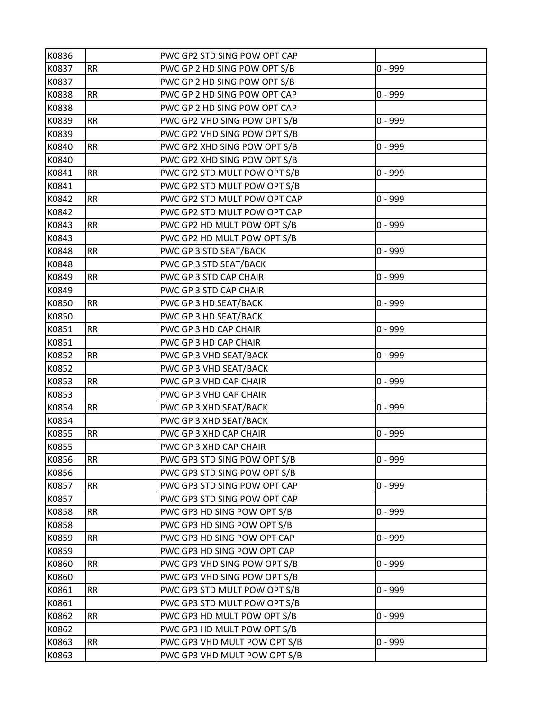| K0836 |           | PWC GP2 STD SING POW OPT CAP |           |
|-------|-----------|------------------------------|-----------|
| K0837 | <b>RR</b> | PWC GP 2 HD SING POW OPT S/B | $0 - 999$ |
| K0837 |           | PWC GP 2 HD SING POW OPT S/B |           |
| K0838 | <b>RR</b> | PWC GP 2 HD SING POW OPT CAP | $0 - 999$ |
| K0838 |           | PWC GP 2 HD SING POW OPT CAP |           |
| K0839 | <b>RR</b> | PWC GP2 VHD SING POW OPT S/B | $0 - 999$ |
| K0839 |           | PWC GP2 VHD SING POW OPT S/B |           |
| K0840 | <b>RR</b> | PWC GP2 XHD SING POW OPT S/B | $0 - 999$ |
| K0840 |           | PWC GP2 XHD SING POW OPT S/B |           |
| K0841 | <b>RR</b> | PWC GP2 STD MULT POW OPT S/B | $0 - 999$ |
| K0841 |           | PWC GP2 STD MULT POW OPT S/B |           |
| K0842 | <b>RR</b> | PWC GP2 STD MULT POW OPT CAP | $0 - 999$ |
| K0842 |           | PWC GP2 STD MULT POW OPT CAP |           |
| K0843 | <b>RR</b> | PWC GP2 HD MULT POW OPT S/B  | $0 - 999$ |
| K0843 |           | PWC GP2 HD MULT POW OPT S/B  |           |
| K0848 | RR        | PWC GP 3 STD SEAT/BACK       | $0 - 999$ |
| K0848 |           | PWC GP 3 STD SEAT/BACK       |           |
| K0849 | <b>RR</b> | PWC GP 3 STD CAP CHAIR       | $0 - 999$ |
| K0849 |           | PWC GP 3 STD CAP CHAIR       |           |
| K0850 | <b>RR</b> | PWC GP 3 HD SEAT/BACK        | $0 - 999$ |
| K0850 |           | PWC GP 3 HD SEAT/BACK        |           |
| K0851 | <b>RR</b> | PWC GP 3 HD CAP CHAIR        | $0 - 999$ |
| K0851 |           | PWC GP 3 HD CAP CHAIR        |           |
| K0852 | <b>RR</b> | PWC GP 3 VHD SEAT/BACK       | $0 - 999$ |
| K0852 |           | PWC GP 3 VHD SEAT/BACK       |           |
| K0853 | <b>RR</b> | PWC GP 3 VHD CAP CHAIR       | $0 - 999$ |
| K0853 |           | PWC GP 3 VHD CAP CHAIR       |           |
| K0854 | RR        | PWC GP 3 XHD SEAT/BACK       | $0 - 999$ |
| K0854 |           | PWC GP 3 XHD SEAT/BACK       |           |
| K0855 | <b>RR</b> | PWC GP 3 XHD CAP CHAIR       | $0 - 999$ |
| K0855 |           | PWC GP 3 XHD CAP CHAIR       |           |
| K0856 | <b>RR</b> | PWC GP3 STD SING POW OPT S/B | $0 - 999$ |
| K0856 |           | PWC GP3 STD SING POW OPT S/B |           |
| K0857 | <b>RR</b> | PWC GP3 STD SING POW OPT CAP | $0 - 999$ |
| K0857 |           | PWC GP3 STD SING POW OPT CAP |           |
| K0858 | <b>RR</b> | PWC GP3 HD SING POW OPT S/B  | $0 - 999$ |
| K0858 |           | PWC GP3 HD SING POW OPT S/B  |           |
| K0859 | RR        | PWC GP3 HD SING POW OPT CAP  | $0 - 999$ |
| K0859 |           | PWC GP3 HD SING POW OPT CAP  |           |
| K0860 | <b>RR</b> | PWC GP3 VHD SING POW OPT S/B | $0 - 999$ |
| K0860 |           | PWC GP3 VHD SING POW OPT S/B |           |
| K0861 | <b>RR</b> | PWC GP3 STD MULT POW OPT S/B | $0 - 999$ |
| K0861 |           | PWC GP3 STD MULT POW OPT S/B |           |
| K0862 | RR        | PWC GP3 HD MULT POW OPT S/B  | $0 - 999$ |
| K0862 |           | PWC GP3 HD MULT POW OPT S/B  |           |
| K0863 | RR        | PWC GP3 VHD MULT POW OPT S/B | $0 - 999$ |
| K0863 |           | PWC GP3 VHD MULT POW OPT S/B |           |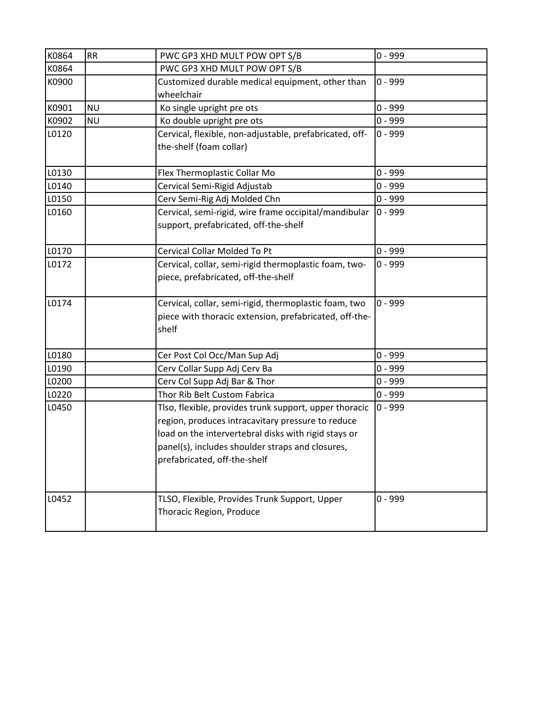| K0864 | <b>RR</b> | PWC GP3 XHD MULT POW OPT S/B                            | $0 - 999$ |
|-------|-----------|---------------------------------------------------------|-----------|
| K0864 |           | PWC GP3 XHD MULT POW OPT S/B                            |           |
| K0900 |           | Customized durable medical equipment, other than        | $0 - 999$ |
|       |           | wheelchair                                              |           |
| K0901 | <b>NU</b> | Ko single upright pre ots                               | $0 - 999$ |
| K0902 | <b>NU</b> | Ko double upright pre ots                               | $0 - 999$ |
| L0120 |           | Cervical, flexible, non-adjustable, prefabricated, off- | $0 - 999$ |
|       |           | the-shelf (foam collar)                                 |           |
|       |           |                                                         |           |
| L0130 |           | Flex Thermoplastic Collar Mo                            | $0 - 999$ |
| L0140 |           | Cervical Semi-Rigid Adjustab                            | $0 - 999$ |
| L0150 |           | Cerv Semi-Rig Adj Molded Chn                            | $0 - 999$ |
| L0160 |           | Cervical, semi-rigid, wire frame occipital/mandibular   | $0 - 999$ |
|       |           | support, prefabricated, off-the-shelf                   |           |
|       |           |                                                         |           |
| L0170 |           | <b>Cervical Collar Molded To Pt</b>                     | $0 - 999$ |
| L0172 |           | Cervical, collar, semi-rigid thermoplastic foam, two-   | $0 - 999$ |
|       |           | piece, prefabricated, off-the-shelf                     |           |
|       |           |                                                         |           |
| L0174 |           | Cervical, collar, semi-rigid, thermoplastic foam, two   | $0 - 999$ |
|       |           | piece with thoracic extension, prefabricated, off-the-  |           |
|       |           | shelf                                                   |           |
|       |           |                                                         |           |
| L0180 |           | Cer Post Col Occ/Man Sup Adj                            | $0 - 999$ |
| L0190 |           | Cerv Collar Supp Adj Cerv Ba                            | $0 - 999$ |
| L0200 |           | Cerv Col Supp Adj Bar & Thor                            | $0 - 999$ |
| L0220 |           | Thor Rib Belt Custom Fabrica                            | $0 - 999$ |
| L0450 |           | Tlso, flexible, provides trunk support, upper thoracic  | $0 - 999$ |
|       |           | region, produces intracavitary pressure to reduce       |           |
|       |           | load on the intervertebral disks with rigid stays or    |           |
|       |           | panel(s), includes shoulder straps and closures,        |           |
|       |           | prefabricated, off-the-shelf                            |           |
|       |           |                                                         |           |
|       |           |                                                         |           |
| L0452 |           | TLSO, Flexible, Provides Trunk Support, Upper           | $0 - 999$ |
|       |           | Thoracic Region, Produce                                |           |
|       |           |                                                         |           |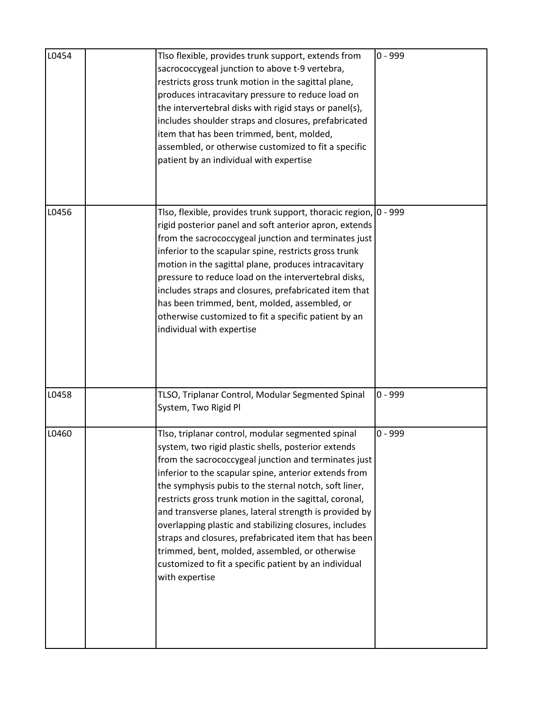| L0454 | Tlso flexible, provides trunk support, extends from<br>sacrococcygeal junction to above t-9 vertebra,<br>restricts gross trunk motion in the sagittal plane,<br>produces intracavitary pressure to reduce load on<br>the intervertebral disks with rigid stays or panel(s),<br>includes shoulder straps and closures, prefabricated<br>item that has been trimmed, bent, molded,<br>assembled, or otherwise customized to fit a specific<br>patient by an individual with expertise                                                                                                                                                                    | $0 - 999$ |
|-------|--------------------------------------------------------------------------------------------------------------------------------------------------------------------------------------------------------------------------------------------------------------------------------------------------------------------------------------------------------------------------------------------------------------------------------------------------------------------------------------------------------------------------------------------------------------------------------------------------------------------------------------------------------|-----------|
| L0456 | Tlso, flexible, provides trunk support, thoracic region, 0 - 999<br>rigid posterior panel and soft anterior apron, extends<br>from the sacrococcygeal junction and terminates just<br>inferior to the scapular spine, restricts gross trunk<br>motion in the sagittal plane, produces intracavitary<br>pressure to reduce load on the intervertebral disks,<br>includes straps and closures, prefabricated item that<br>has been trimmed, bent, molded, assembled, or<br>otherwise customized to fit a specific patient by an<br>individual with expertise                                                                                             |           |
| L0458 | TLSO, Triplanar Control, Modular Segmented Spinal<br>System, Two Rigid Pl                                                                                                                                                                                                                                                                                                                                                                                                                                                                                                                                                                              | $0 - 999$ |
| L0460 | Tlso, triplanar control, modular segmented spinal<br>system, two rigid plastic shells, posterior extends<br>from the sacrococcygeal junction and terminates just<br>inferior to the scapular spine, anterior extends from<br>the symphysis pubis to the sternal notch, soft liner,<br>restricts gross trunk motion in the sagittal, coronal,<br>and transverse planes, lateral strength is provided by<br>overlapping plastic and stabilizing closures, includes<br>straps and closures, prefabricated item that has been<br>trimmed, bent, molded, assembled, or otherwise<br>customized to fit a specific patient by an individual<br>with expertise | 0 - 999   |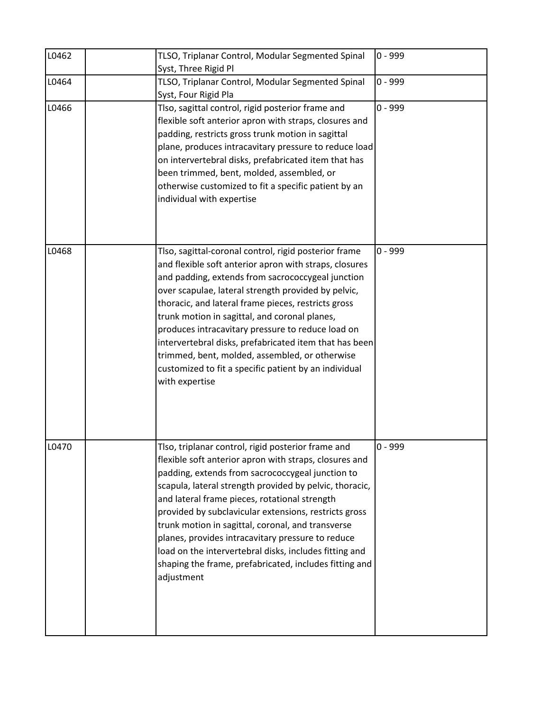| L0462 | TLSO, Triplanar Control, Modular Segmented Spinal<br>Syst, Three Rigid Pl                                                                                                                                                                                                                                                                                                                                                                                                                                                                                                         | $0 - 999$ |
|-------|-----------------------------------------------------------------------------------------------------------------------------------------------------------------------------------------------------------------------------------------------------------------------------------------------------------------------------------------------------------------------------------------------------------------------------------------------------------------------------------------------------------------------------------------------------------------------------------|-----------|
| L0464 | TLSO, Triplanar Control, Modular Segmented Spinal<br>Syst, Four Rigid Pla                                                                                                                                                                                                                                                                                                                                                                                                                                                                                                         | $0 - 999$ |
| L0466 | Tlso, sagittal control, rigid posterior frame and<br>flexible soft anterior apron with straps, closures and<br>padding, restricts gross trunk motion in sagittal<br>plane, produces intracavitary pressure to reduce load<br>on intervertebral disks, prefabricated item that has<br>been trimmed, bent, molded, assembled, or<br>otherwise customized to fit a specific patient by an<br>individual with expertise                                                                                                                                                               | $0 - 999$ |
| L0468 | Tlso, sagittal-coronal control, rigid posterior frame<br>and flexible soft anterior apron with straps, closures<br>and padding, extends from sacrococcygeal junction<br>over scapulae, lateral strength provided by pelvic,<br>thoracic, and lateral frame pieces, restricts gross<br>trunk motion in sagittal, and coronal planes,<br>produces intracavitary pressure to reduce load on<br>intervertebral disks, prefabricated item that has been<br>trimmed, bent, molded, assembled, or otherwise<br>customized to fit a specific patient by an individual<br>with expertise   | $0 - 999$ |
| L0470 | Tlso, triplanar control, rigid posterior frame and<br>flexible soft anterior apron with straps, closures and<br>padding, extends from sacrococcygeal junction to<br>scapula, lateral strength provided by pelvic, thoracic,<br>and lateral frame pieces, rotational strength<br>provided by subclavicular extensions, restricts gross<br>trunk motion in sagittal, coronal, and transverse<br>planes, provides intracavitary pressure to reduce<br>load on the intervertebral disks, includes fitting and<br>shaping the frame, prefabricated, includes fitting and<br>adjustment | $0 - 999$ |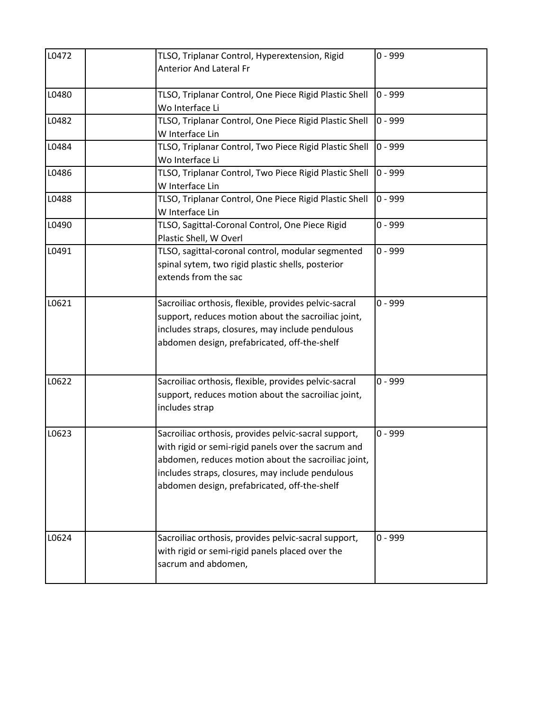| L0472 | TLSO, Triplanar Control, Hyperextension, Rigid                            | $0 - 999$ |
|-------|---------------------------------------------------------------------------|-----------|
|       | <b>Anterior And Lateral Fr</b>                                            |           |
|       |                                                                           |           |
| L0480 | TLSO, Triplanar Control, One Piece Rigid Plastic Shell                    | $0 - 999$ |
|       | Wo Interface Li                                                           |           |
| L0482 | TLSO, Triplanar Control, One Piece Rigid Plastic Shell<br>W Interface Lin | $0 - 999$ |
| L0484 | TLSO, Triplanar Control, Two Piece Rigid Plastic Shell                    | $0 - 999$ |
|       | Wo Interface Li                                                           |           |
| L0486 | TLSO, Triplanar Control, Two Piece Rigid Plastic Shell                    | $0 - 999$ |
|       | W Interface Lin                                                           |           |
| L0488 | TLSO, Triplanar Control, One Piece Rigid Plastic Shell                    | $0 - 999$ |
|       | W Interface Lin                                                           |           |
| L0490 | TLSO, Sagittal-Coronal Control, One Piece Rigid                           | $0 - 999$ |
|       | Plastic Shell, W Overl                                                    |           |
| L0491 | TLSO, sagittal-coronal control, modular segmented                         | $0 - 999$ |
|       | spinal sytem, two rigid plastic shells, posterior                         |           |
|       | extends from the sac                                                      |           |
|       |                                                                           |           |
| L0621 | Sacroiliac orthosis, flexible, provides pelvic-sacral                     | $0 - 999$ |
|       | support, reduces motion about the sacroiliac joint,                       |           |
|       | includes straps, closures, may include pendulous                          |           |
|       | abdomen design, prefabricated, off-the-shelf                              |           |
|       |                                                                           |           |
| L0622 | Sacroiliac orthosis, flexible, provides pelvic-sacral                     | $0 - 999$ |
|       | support, reduces motion about the sacroiliac joint,                       |           |
|       | includes strap                                                            |           |
|       |                                                                           |           |
| L0623 | Sacroiliac orthosis, provides pelvic-sacral support,                      | $0 - 999$ |
|       | with rigid or semi-rigid panels over the sacrum and                       |           |
|       | abdomen, reduces motion about the sacroiliac joint,                       |           |
|       | includes straps, closures, may include pendulous                          |           |
|       | abdomen design, prefabricated, off-the-shelf                              |           |
|       |                                                                           |           |
|       |                                                                           |           |
| L0624 | Sacroiliac orthosis, provides pelvic-sacral support,                      | $0 - 999$ |
|       | with rigid or semi-rigid panels placed over the                           |           |
|       | sacrum and abdomen,                                                       |           |
|       |                                                                           |           |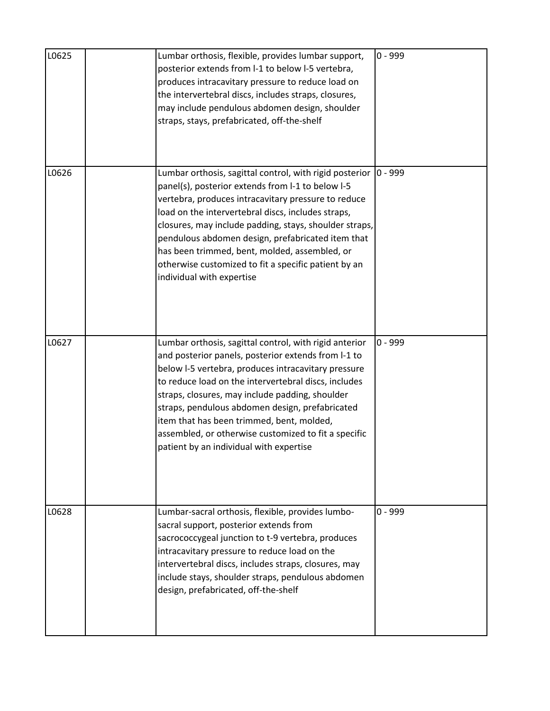| L0625 | Lumbar orthosis, flexible, provides lumbar support,<br>posterior extends from I-1 to below I-5 vertebra,<br>produces intracavitary pressure to reduce load on<br>the intervertebral discs, includes straps, closures,<br>may include pendulous abdomen design, shoulder<br>straps, stays, prefabricated, off-the-shelf                                                                                                                                                             | $0 - 999$  |
|-------|------------------------------------------------------------------------------------------------------------------------------------------------------------------------------------------------------------------------------------------------------------------------------------------------------------------------------------------------------------------------------------------------------------------------------------------------------------------------------------|------------|
| L0626 | Lumbar orthosis, sagittal control, with rigid posterior<br>panel(s), posterior extends from I-1 to below I-5<br>vertebra, produces intracavitary pressure to reduce<br>load on the intervertebral discs, includes straps,<br>closures, may include padding, stays, shoulder straps,<br>pendulous abdomen design, prefabricated item that<br>has been trimmed, bent, molded, assembled, or<br>otherwise customized to fit a specific patient by an<br>individual with expertise     | $ 0 - 999$ |
| L0627 | Lumbar orthosis, sagittal control, with rigid anterior<br>and posterior panels, posterior extends from I-1 to<br>below I-5 vertebra, produces intracavitary pressure<br>to reduce load on the intervertebral discs, includes<br>straps, closures, may include padding, shoulder<br>straps, pendulous abdomen design, prefabricated<br>item that has been trimmed, bent, molded,<br>assembled, or otherwise customized to fit a specific<br>patient by an individual with expertise | $0 - 999$  |
| L0628 | Lumbar-sacral orthosis, flexible, provides lumbo-<br>sacral support, posterior extends from<br>sacrococcygeal junction to t-9 vertebra, produces<br>intracavitary pressure to reduce load on the<br>intervertebral discs, includes straps, closures, may<br>include stays, shoulder straps, pendulous abdomen<br>design, prefabricated, off-the-shelf                                                                                                                              | $0 - 999$  |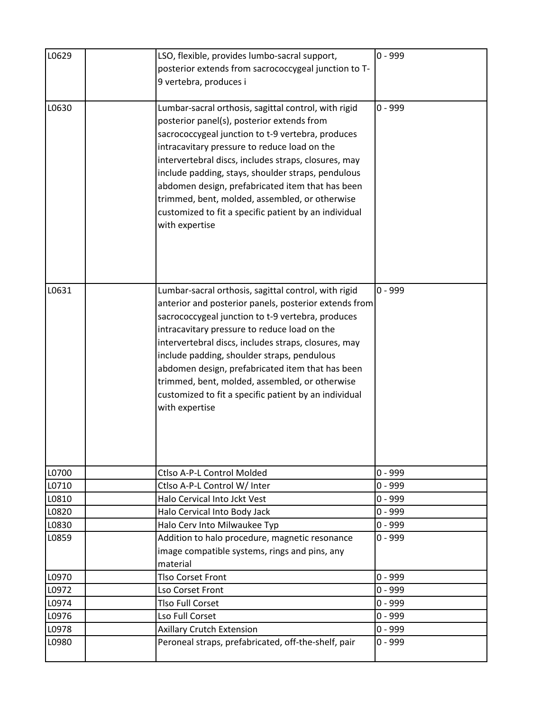| L0629 | LSO, flexible, provides lumbo-sacral support,         | $0 - 999$ |
|-------|-------------------------------------------------------|-----------|
|       | posterior extends from sacrococcygeal junction to T-  |           |
|       | 9 vertebra, produces i                                |           |
| L0630 | Lumbar-sacral orthosis, sagittal control, with rigid  | $0 - 999$ |
|       | posterior panel(s), posterior extends from            |           |
|       | sacrococcygeal junction to t-9 vertebra, produces     |           |
|       | intracavitary pressure to reduce load on the          |           |
|       | intervertebral discs, includes straps, closures, may  |           |
|       | include padding, stays, shoulder straps, pendulous    |           |
|       | abdomen design, prefabricated item that has been      |           |
|       | trimmed, bent, molded, assembled, or otherwise        |           |
|       | customized to fit a specific patient by an individual |           |
|       | with expertise                                        |           |
|       |                                                       |           |
|       |                                                       |           |
|       |                                                       |           |
|       |                                                       |           |
| L0631 | Lumbar-sacral orthosis, sagittal control, with rigid  | $0 - 999$ |
|       | anterior and posterior panels, posterior extends from |           |
|       | sacrococcygeal junction to t-9 vertebra, produces     |           |
|       | intracavitary pressure to reduce load on the          |           |
|       | intervertebral discs, includes straps, closures, may  |           |
|       | include padding, shoulder straps, pendulous           |           |
|       | abdomen design, prefabricated item that has been      |           |
|       | trimmed, bent, molded, assembled, or otherwise        |           |
|       | customized to fit a specific patient by an individual |           |
|       | with expertise                                        |           |
|       |                                                       |           |
|       |                                                       |           |
|       |                                                       |           |
| L0700 | Ctlso A-P-L Control Molded                            | $0 - 999$ |
| L0710 | Ctlso A-P-L Control W/ Inter                          | $0 - 999$ |
| L0810 | Halo Cervical Into Jckt Vest                          | $0 - 999$ |
| L0820 | Halo Cervical Into Body Jack                          | $0 - 999$ |
| L0830 | Halo Cerv Into Milwaukee Typ                          | $0 - 999$ |
| L0859 | Addition to halo procedure, magnetic resonance        | $0 - 999$ |
|       | image compatible systems, rings and pins, any         |           |
|       | material                                              |           |
| L0970 | <b>Tlso Corset Front</b>                              | $0 - 999$ |
| L0972 | Lso Corset Front                                      | $0 - 999$ |
| L0974 | <b>Tlso Full Corset</b>                               | $0 - 999$ |
| L0976 | Lso Full Corset                                       | $0 - 999$ |
| L0978 | <b>Axillary Crutch Extension</b>                      | $0 - 999$ |
| L0980 | Peroneal straps, prefabricated, off-the-shelf, pair   | $0 - 999$ |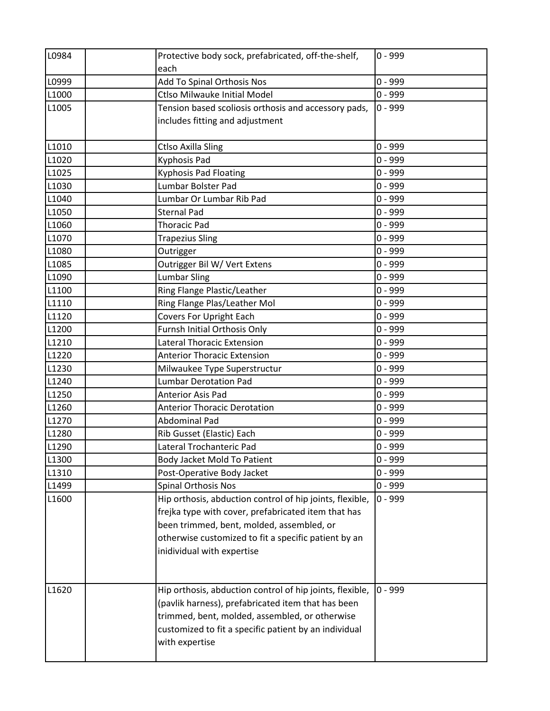| L0984          | Protective body sock, prefabricated, off-the-shelf,<br>each                                                                                                                                                                                                                      | $0 - 999$              |
|----------------|----------------------------------------------------------------------------------------------------------------------------------------------------------------------------------------------------------------------------------------------------------------------------------|------------------------|
| L0999          | Add To Spinal Orthosis Nos                                                                                                                                                                                                                                                       | $0 - 999$              |
| L1000          | <b>Ctlso Milwauke Initial Model</b>                                                                                                                                                                                                                                              | $0 - 999$              |
| L1005          | Tension based scoliosis orthosis and accessory pads,<br>includes fitting and adjustment                                                                                                                                                                                          | $0 - 999$              |
| L1010          | <b>Ctlso Axilla Sling</b>                                                                                                                                                                                                                                                        | $0 - 999$              |
| L1020          | Kyphosis Pad                                                                                                                                                                                                                                                                     | $0 - 999$              |
| L1025          | <b>Kyphosis Pad Floating</b>                                                                                                                                                                                                                                                     | $0 - 999$              |
| L1030          | Lumbar Bolster Pad                                                                                                                                                                                                                                                               | $0 - 999$              |
| L1040          | Lumbar Or Lumbar Rib Pad                                                                                                                                                                                                                                                         | $0 - 999$              |
| L1050          | <b>Sternal Pad</b>                                                                                                                                                                                                                                                               | $0 - 999$              |
| L1060          | <b>Thoracic Pad</b>                                                                                                                                                                                                                                                              | $0 - 999$              |
| L1070          | <b>Trapezius Sling</b>                                                                                                                                                                                                                                                           | $0 - 999$              |
| L1080          | Outrigger                                                                                                                                                                                                                                                                        | $0 - 999$              |
| L1085          | Outrigger Bil W/ Vert Extens                                                                                                                                                                                                                                                     | $0 - 999$              |
| L1090          | <b>Lumbar Sling</b>                                                                                                                                                                                                                                                              | $0 - 999$              |
| L1100          | Ring Flange Plastic/Leather                                                                                                                                                                                                                                                      | $0 - 999$              |
| L1110          | Ring Flange Plas/Leather Mol                                                                                                                                                                                                                                                     | $0 - 999$              |
| L1120          | <b>Covers For Upright Each</b>                                                                                                                                                                                                                                                   | $0 - 999$              |
| L1200          | Furnsh Initial Orthosis Only                                                                                                                                                                                                                                                     | $0 - 999$              |
| L1210          | <b>Lateral Thoracic Extension</b>                                                                                                                                                                                                                                                | $0 - 999$              |
| L1220          | <b>Anterior Thoracic Extension</b>                                                                                                                                                                                                                                               | $0 - 999$              |
| L1230          | Milwaukee Type Superstructur                                                                                                                                                                                                                                                     | $0 - 999$              |
| L1240          | <b>Lumbar Derotation Pad</b>                                                                                                                                                                                                                                                     | $0 - 999$              |
| L1250          | <b>Anterior Asis Pad</b>                                                                                                                                                                                                                                                         | $0 - 999$              |
| L1260          | <b>Anterior Thoracic Derotation</b>                                                                                                                                                                                                                                              | $0 - 999$              |
| L1270          | <b>Abdominal Pad</b>                                                                                                                                                                                                                                                             | $0 - 999$              |
| L1280          | Rib Gusset (Elastic) Each                                                                                                                                                                                                                                                        | $0 - 999$              |
| L1290          | Lateral Trochanteric Pad                                                                                                                                                                                                                                                         | $0 - 999$              |
| L1300          | Body Jacket Mold To Patient                                                                                                                                                                                                                                                      | $0 - 999$              |
| L1310          | Post-Operative Body Jacket                                                                                                                                                                                                                                                       | $0 - 999$              |
| L1499<br>L1600 | <b>Spinal Orthosis Nos</b><br>Hip orthosis, abduction control of hip joints, flexible,<br>frejka type with cover, prefabricated item that has<br>been trimmed, bent, molded, assembled, or<br>otherwise customized to fit a specific patient by an<br>inidividual with expertise | $0 - 999$<br>$0 - 999$ |
| L1620          | Hip orthosis, abduction control of hip joints, flexible,<br>(pavlik harness), prefabricated item that has been<br>trimmed, bent, molded, assembled, or otherwise<br>customized to fit a specific patient by an individual<br>with expertise                                      | $0 - 999$              |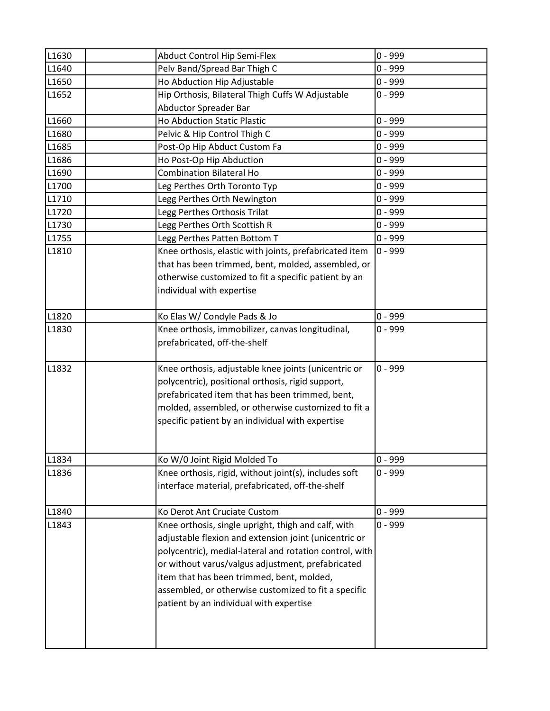| L1630 | Abduct Control Hip Semi-Flex                            | $0 - 999$ |
|-------|---------------------------------------------------------|-----------|
| L1640 | Pelv Band/Spread Bar Thigh C                            | $0 - 999$ |
| L1650 | Ho Abduction Hip Adjustable                             | $0 - 999$ |
| L1652 | Hip Orthosis, Bilateral Thigh Cuffs W Adjustable        | $0 - 999$ |
|       | <b>Abductor Spreader Bar</b>                            |           |
| L1660 | Ho Abduction Static Plastic                             | $0 - 999$ |
| L1680 | Pelvic & Hip Control Thigh C                            | $0 - 999$ |
| L1685 | Post-Op Hip Abduct Custom Fa                            | $0 - 999$ |
| L1686 | Ho Post-Op Hip Abduction                                | $0 - 999$ |
| L1690 | <b>Combination Bilateral Ho</b>                         | $0 - 999$ |
| L1700 | Leg Perthes Orth Toronto Typ                            | $0 - 999$ |
| L1710 | Legg Perthes Orth Newington                             | $0 - 999$ |
| L1720 | Legg Perthes Orthosis Trilat                            | $0 - 999$ |
| L1730 | Legg Perthes Orth Scottish R                            | $0 - 999$ |
| L1755 | Legg Perthes Patten Bottom T                            | $0 - 999$ |
| L1810 | Knee orthosis, elastic with joints, prefabricated item  | $0 - 999$ |
|       | that has been trimmed, bent, molded, assembled, or      |           |
|       | otherwise customized to fit a specific patient by an    |           |
|       | individual with expertise                               |           |
|       |                                                         |           |
| L1820 | Ko Elas W/ Condyle Pads & Jo                            | $0 - 999$ |
| L1830 | Knee orthosis, immobilizer, canvas longitudinal,        | $0 - 999$ |
|       | prefabricated, off-the-shelf                            |           |
|       |                                                         |           |
| L1832 | Knee orthosis, adjustable knee joints (unicentric or    | $0 - 999$ |
|       | polycentric), positional orthosis, rigid support,       |           |
|       | prefabricated item that has been trimmed, bent,         |           |
|       | molded, assembled, or otherwise customized to fit a     |           |
|       | specific patient by an individual with expertise        |           |
|       |                                                         |           |
|       |                                                         |           |
| L1834 | Ko W/0 Joint Rigid Molded To                            | $0 - 999$ |
| L1836 | Knee orthosis, rigid, without joint(s), includes soft   | $0 - 999$ |
|       | interface material, prefabricated, off-the-shelf        |           |
|       |                                                         |           |
| L1840 | Ko Derot Ant Cruciate Custom                            | $0 - 999$ |
| L1843 | Knee orthosis, single upright, thigh and calf, with     | $0 - 999$ |
|       | adjustable flexion and extension joint (unicentric or   |           |
|       | polycentric), medial-lateral and rotation control, with |           |
|       | or without varus/valgus adjustment, prefabricated       |           |
|       | item that has been trimmed, bent, molded,               |           |
|       | assembled, or otherwise customized to fit a specific    |           |
|       | patient by an individual with expertise                 |           |
|       |                                                         |           |
|       |                                                         |           |
|       |                                                         |           |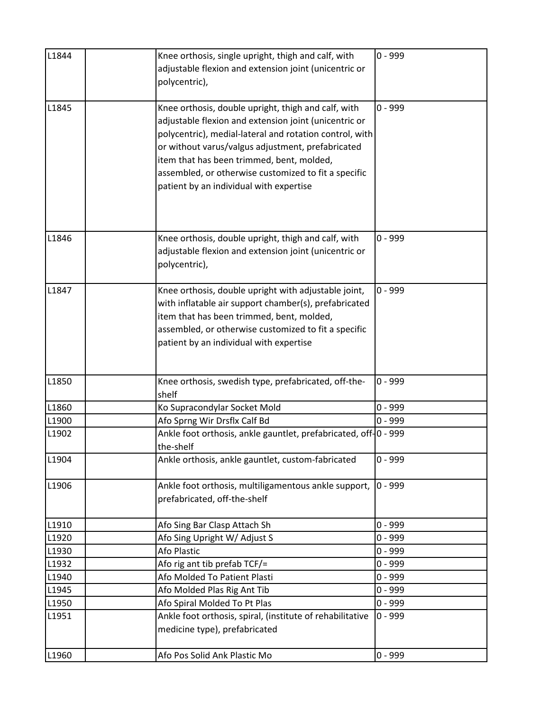| L1844 | Knee orthosis, single upright, thigh and calf, with                                  | $0 - 999$ |
|-------|--------------------------------------------------------------------------------------|-----------|
|       | adjustable flexion and extension joint (unicentric or                                |           |
|       | polycentric),                                                                        |           |
| L1845 | Knee orthosis, double upright, thigh and calf, with                                  | $0 - 999$ |
|       | adjustable flexion and extension joint (unicentric or                                |           |
|       | polycentric), medial-lateral and rotation control, with                              |           |
|       | or without varus/valgus adjustment, prefabricated                                    |           |
|       | item that has been trimmed, bent, molded,                                            |           |
|       | assembled, or otherwise customized to fit a specific                                 |           |
|       | patient by an individual with expertise                                              |           |
|       |                                                                                      |           |
|       |                                                                                      |           |
| L1846 | Knee orthosis, double upright, thigh and calf, with                                  | $0 - 999$ |
|       | adjustable flexion and extension joint (unicentric or                                |           |
|       | polycentric),                                                                        |           |
|       |                                                                                      |           |
| L1847 | Knee orthosis, double upright with adjustable joint,                                 | $0 - 999$ |
|       | with inflatable air support chamber(s), prefabricated                                |           |
|       | item that has been trimmed, bent, molded,                                            |           |
|       | assembled, or otherwise customized to fit a specific                                 |           |
|       | patient by an individual with expertise                                              |           |
|       |                                                                                      |           |
| L1850 | Knee orthosis, swedish type, prefabricated, off-the-                                 | $0 - 999$ |
|       | shelf                                                                                |           |
| L1860 | Ko Supracondylar Socket Mold                                                         | $0 - 999$ |
| L1900 | Afo Sprng Wir Drsflx Calf Bd                                                         | $0 - 999$ |
| L1902 | Ankle foot orthosis, ankle gauntlet, prefabricated, off-10 - 999                     |           |
|       | the-shelf                                                                            |           |
| L1904 | Ankle orthosis, ankle gauntlet, custom-fabricated                                    | $0 - 999$ |
| L1906 |                                                                                      | $0 - 999$ |
|       | Ankle foot orthosis, multiligamentous ankle support,<br>prefabricated, off-the-shelf |           |
|       |                                                                                      |           |
| L1910 | Afo Sing Bar Clasp Attach Sh                                                         | $0 - 999$ |
| L1920 | Afo Sing Upright W/ Adjust S                                                         | $0 - 999$ |
| L1930 | Afo Plastic                                                                          | $0 - 999$ |
| L1932 | Afo rig ant tib prefab TCF/=                                                         | $0 - 999$ |
| L1940 | Afo Molded To Patient Plasti                                                         | $0 - 999$ |
| L1945 | Afo Molded Plas Rig Ant Tib                                                          | $0 - 999$ |
| L1950 | Afo Spiral Molded To Pt Plas                                                         | 0 - 999   |
| L1951 | Ankle foot orthosis, spiral, (institute of rehabilitative                            | $0 - 999$ |
|       | medicine type), prefabricated                                                        |           |
| L1960 | Afo Pos Solid Ank Plastic Mo                                                         | $0 - 999$ |
|       |                                                                                      |           |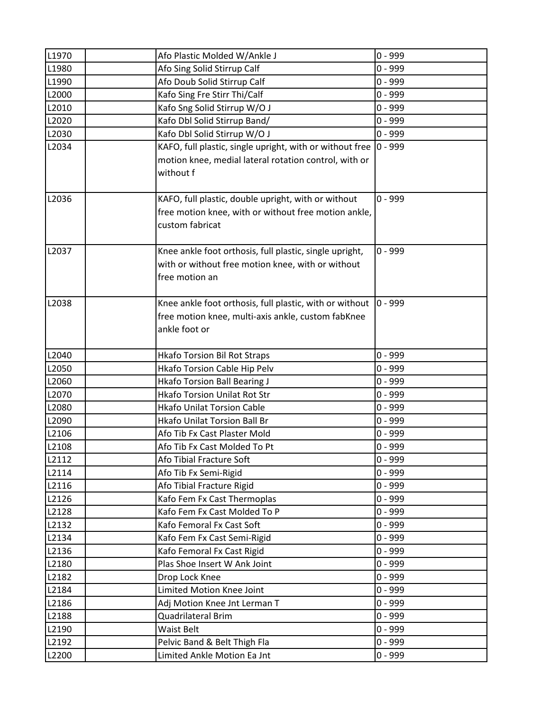| L1970          | Afo Plastic Molded W/Ankle J                                               | $0 - 999$            |
|----------------|----------------------------------------------------------------------------|----------------------|
| L1980          | Afo Sing Solid Stirrup Calf                                                | $0 - 999$            |
| L1990          | Afo Doub Solid Stirrup Calf                                                | 0 - 999              |
| L2000          | Kafo Sing Fre Stirr Thi/Calf                                               | $0 - 999$            |
| L2010          | Kafo Sng Solid Stirrup W/O J                                               | $0 - 999$            |
| L2020          | Kafo Dbl Solid Stirrup Band/                                               | $0 - 999$            |
| L2030          | Kafo Dbl Solid Stirrup W/O J                                               | $0 - 999$            |
| L2034          | KAFO, full plastic, single upright, with or without free                   | $0 - 999$            |
|                | motion knee, medial lateral rotation control, with or                      |                      |
|                | without f                                                                  |                      |
|                |                                                                            |                      |
| L2036          | KAFO, full plastic, double upright, with or without                        | $0 - 999$            |
|                | free motion knee, with or without free motion ankle,                       |                      |
|                | custom fabricat                                                            |                      |
|                |                                                                            |                      |
| L2037          | Knee ankle foot orthosis, full plastic, single upright,                    | $0 - 999$            |
|                | with or without free motion knee, with or without                          |                      |
|                | free motion an                                                             |                      |
|                |                                                                            |                      |
| L2038          | Knee ankle foot orthosis, full plastic, with or without                    | $0 - 999$            |
|                | free motion knee, multi-axis ankle, custom fabKnee                         |                      |
|                | ankle foot or                                                              |                      |
|                |                                                                            |                      |
| L2040          | <b>Hkafo Torsion Bil Rot Straps</b>                                        | $0 - 999$            |
| L2050          | Hkafo Torsion Cable Hip Pelv                                               | 0 - 999<br>$0 - 999$ |
| L2060<br>L2070 | <b>Hkafo Torsion Ball Bearing J</b><br><b>Hkafo Torsion Unilat Rot Str</b> | 0 - 999              |
| L2080          | <b>Hkafo Unilat Torsion Cable</b>                                          | $0 - 999$            |
| L2090          | <b>Hkafo Unilat Torsion Ball Br</b>                                        | $0 - 999$            |
| L2106          | Afo Tib Fx Cast Plaster Mold                                               | $0 - 999$            |
| L2108          | Afo Tib Fx Cast Molded To Pt                                               | $0 - 999$            |
| L2112          | Afo Tibial Fracture Soft                                                   | 0 - 999              |
| L2114          | Afo Tib Fx Semi-Rigid                                                      | $0 - 999$            |
| L2116          | Afo Tibial Fracture Rigid                                                  | $0 - 999$            |
| L2126          | Kafo Fem Fx Cast Thermoplas                                                | $0 - 999$            |
| L2128          | Kafo Fem Fx Cast Molded To P                                               | $0 - 999$            |
| L2132          | Kafo Femoral Fx Cast Soft                                                  | $0 - 999$            |
| L2134          | Kafo Fem Fx Cast Semi-Rigid                                                | $0 - 999$            |
| L2136          | Kafo Femoral Fx Cast Rigid                                                 | $0 - 999$            |
| L2180          | Plas Shoe Insert W Ank Joint                                               | $0 - 999$            |
| L2182          | Drop Lock Knee                                                             | $0 - 999$            |
| L2184          | Limited Motion Knee Joint                                                  | $0 - 999$            |
| L2186          | Adj Motion Knee Jnt Lerman T                                               | $0 - 999$            |
| L2188          | Quadrilateral Brim                                                         | $0 - 999$            |
| L2190          | <b>Waist Belt</b>                                                          | $0 - 999$            |
| L2192          | Pelvic Band & Belt Thigh Fla                                               | $0 - 999$            |
| L2200          | Limited Ankle Motion Ea Jnt                                                | $0 - 999$            |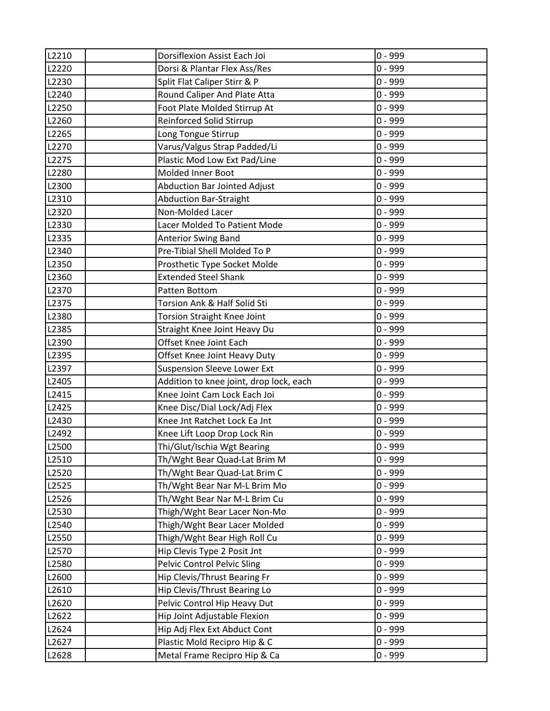| L2210 | Dorsiflexion Assist Each Joi            | $0 - 999$ |
|-------|-----------------------------------------|-----------|
| L2220 | Dorsi & Plantar Flex Ass/Res            | $0 - 999$ |
| L2230 | Split Flat Caliper Stirr & P            | $0 - 999$ |
| L2240 | Round Caliper And Plate Atta            | $0 - 999$ |
| L2250 | Foot Plate Molded Stirrup At            | $0 - 999$ |
| L2260 | Reinforced Solid Stirrup                | $0 - 999$ |
| L2265 | Long Tongue Stirrup                     | $0 - 999$ |
| L2270 | Varus/Valgus Strap Padded/Li            | $0 - 999$ |
| L2275 | Plastic Mod Low Ext Pad/Line            | $0 - 999$ |
| L2280 | Molded Inner Boot                       | $0 - 999$ |
| L2300 | Abduction Bar Jointed Adjust            | $0 - 999$ |
| L2310 | <b>Abduction Bar-Straight</b>           | $0 - 999$ |
| L2320 | Non-Molded Lacer                        | $0 - 999$ |
| L2330 | Lacer Molded To Patient Mode            | $0 - 999$ |
| L2335 | <b>Anterior Swing Band</b>              | $0 - 999$ |
| L2340 | Pre-Tibial Shell Molded To P            | $0 - 999$ |
| L2350 | Prosthetic Type Socket Molde            | $0 - 999$ |
| L2360 | <b>Extended Steel Shank</b>             | $0 - 999$ |
| L2370 | Patten Bottom                           | $0 - 999$ |
| L2375 | Torsion Ank & Half Solid Sti            | $0 - 999$ |
| L2380 | <b>Torsion Straight Knee Joint</b>      | $0 - 999$ |
| L2385 | Straight Knee Joint Heavy Du            | $0 - 999$ |
| L2390 | Offset Knee Joint Each                  | $0 - 999$ |
| L2395 | Offset Knee Joint Heavy Duty            | $0 - 999$ |
| L2397 | <b>Suspension Sleeve Lower Ext</b>      | 0 - 999   |
| L2405 | Addition to knee joint, drop lock, each | $0 - 999$ |
| L2415 | Knee Joint Cam Lock Each Joi            | $0 - 999$ |
| L2425 | Knee Disc/Dial Lock/Adj Flex            | $0 - 999$ |
| L2430 | Knee Jnt Ratchet Lock Ea Jnt            | $0 - 999$ |
| L2492 | Knee Lift Loop Drop Lock Rin            | 0 - 999   |
| L2500 | Thi/Glut/Ischia Wgt Bearing             | $0 - 999$ |
| L2510 | Th/Wght Bear Quad-Lat Brim M            | $0 - 999$ |
| L2520 | Th/Wght Bear Quad-Lat Brim C            | $0 - 999$ |
| L2525 | Th/Wght Bear Nar M-L Brim Mo            | $0 - 999$ |
| L2526 | Th/Wght Bear Nar M-L Brim Cu            | $0 - 999$ |
| L2530 | Thigh/Wght Bear Lacer Non-Mo            | $0 - 999$ |
| L2540 | Thigh/Wght Bear Lacer Molded            | $0 - 999$ |
| L2550 | Thigh/Wght Bear High Roll Cu            | $0 - 999$ |
| L2570 | Hip Clevis Type 2 Posit Jnt             | $0 - 999$ |
| L2580 | <b>Pelvic Control Pelvic Sling</b>      | $0 - 999$ |
| L2600 | Hip Clevis/Thrust Bearing Fr            | $0 - 999$ |
| L2610 | Hip Clevis/Thrust Bearing Lo            | $0 - 999$ |
| L2620 | Pelvic Control Hip Heavy Dut            | $0 - 999$ |
| L2622 | Hip Joint Adjustable Flexion            | 0 - 999   |
| L2624 | Hip Adj Flex Ext Abduct Cont            | $0 - 999$ |
| L2627 | Plastic Mold Recipro Hip & C            | $0 - 999$ |
| L2628 | Metal Frame Recipro Hip & Ca            | $0 - 999$ |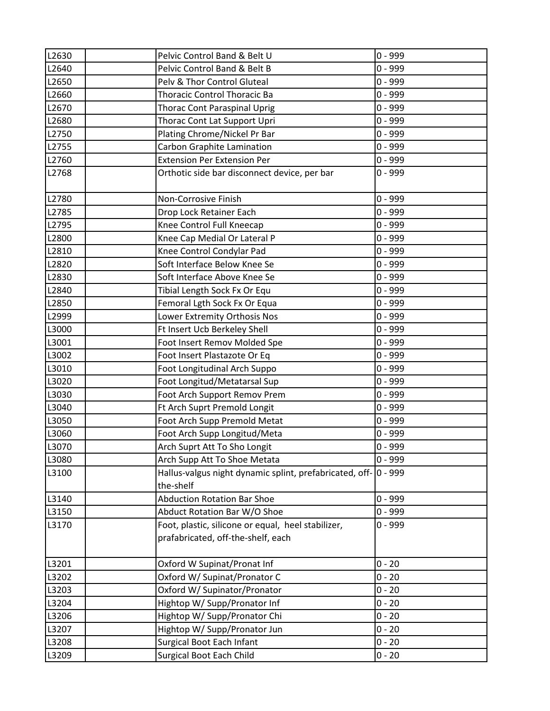| L2630 | Pelvic Control Band & Belt U                                                             | $0 - 999$ |
|-------|------------------------------------------------------------------------------------------|-----------|
| L2640 | Pelvic Control Band & Belt B                                                             | $0 - 999$ |
| L2650 | Pelv & Thor Control Gluteal                                                              | $0 - 999$ |
| L2660 | <b>Thoracic Control Thoracic Ba</b>                                                      | $0 - 999$ |
| L2670 | <b>Thorac Cont Paraspinal Uprig</b>                                                      | $0 - 999$ |
| L2680 | Thorac Cont Lat Support Upri                                                             | $0 - 999$ |
| L2750 | Plating Chrome/Nickel Pr Bar                                                             | $0 - 999$ |
| L2755 | Carbon Graphite Lamination                                                               | $0 - 999$ |
| L2760 | <b>Extension Per Extension Per</b>                                                       | $0 - 999$ |
| L2768 | Orthotic side bar disconnect device, per bar                                             | $0 - 999$ |
| L2780 | Non-Corrosive Finish                                                                     | $0 - 999$ |
| L2785 | Drop Lock Retainer Each                                                                  | $0 - 999$ |
| L2795 | Knee Control Full Kneecap                                                                | $0 - 999$ |
| L2800 | Knee Cap Medial Or Lateral P                                                             | $0 - 999$ |
| L2810 | Knee Control Condylar Pad                                                                | $0 - 999$ |
| L2820 | Soft Interface Below Knee Se                                                             | $0 - 999$ |
| L2830 | Soft Interface Above Knee Se                                                             | $0 - 999$ |
| L2840 | Tibial Length Sock Fx Or Equ                                                             | $0 - 999$ |
| L2850 | Femoral Lgth Sock Fx Or Equa                                                             | $0 - 999$ |
| L2999 | Lower Extremity Orthosis Nos                                                             | $0 - 999$ |
| L3000 | Ft Insert Ucb Berkeley Shell                                                             | $0 - 999$ |
| L3001 | Foot Insert Remov Molded Spe                                                             | $0 - 999$ |
| L3002 | Foot Insert Plastazote Or Eq                                                             | $0 - 999$ |
| L3010 | Foot Longitudinal Arch Suppo                                                             | $0 - 999$ |
| L3020 | Foot Longitud/Metatarsal Sup                                                             | $0 - 999$ |
| L3030 | Foot Arch Support Remov Prem                                                             | $0 - 999$ |
| L3040 | Ft Arch Suprt Premold Longit                                                             | $0 - 999$ |
| L3050 | Foot Arch Supp Premold Metat                                                             | $0 - 999$ |
| L3060 | Foot Arch Supp Longitud/Meta                                                             | $0 - 999$ |
| L3070 | Arch Suprt Att To Sho Longit                                                             | $0 - 999$ |
| L3080 | Arch Supp Att To Shoe Metata                                                             | $0 - 999$ |
| L3100 | Hallus-valgus night dynamic splint, prefabricated, off- 0 - 999<br>the-shelf             |           |
| L3140 | <b>Abduction Rotation Bar Shoe</b>                                                       | $0 - 999$ |
| L3150 | Abduct Rotation Bar W/O Shoe                                                             | $0 - 999$ |
| L3170 | Foot, plastic, silicone or equal, heel stabilizer,<br>prafabricated, off-the-shelf, each | $0 - 999$ |
| L3201 | Oxford W Supinat/Pronat Inf                                                              | $0 - 20$  |
| L3202 | Oxford W/ Supinat/Pronator C                                                             | $0 - 20$  |
| L3203 | Oxford W/ Supinator/Pronator                                                             | $0 - 20$  |
| L3204 | Hightop W/ Supp/Pronator Inf                                                             | $0 - 20$  |
| L3206 | Hightop W/ Supp/Pronator Chi                                                             | $0 - 20$  |
| L3207 | Hightop W/ Supp/Pronator Jun                                                             | $0 - 20$  |
| L3208 | Surgical Boot Each Infant                                                                | $0 - 20$  |
| L3209 | <b>Surgical Boot Each Child</b>                                                          | $0 - 20$  |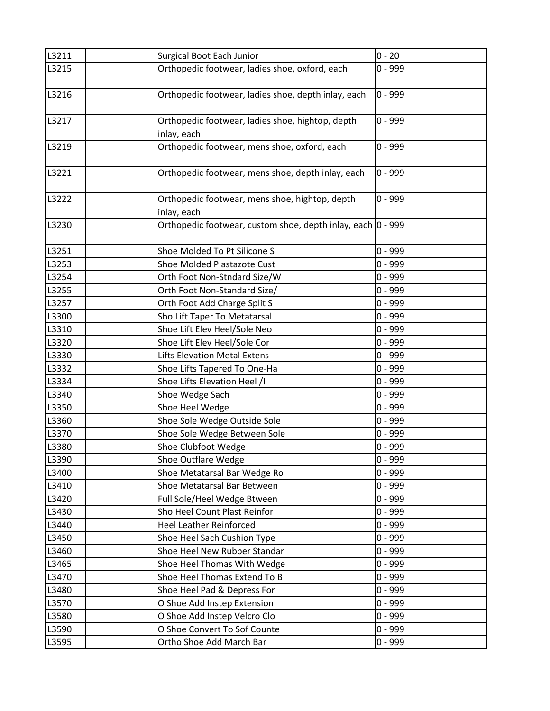| L3211 | <b>Surgical Boot Each Junior</b>                            | $0 - 20$  |
|-------|-------------------------------------------------------------|-----------|
| L3215 | Orthopedic footwear, ladies shoe, oxford, each              | $0 - 999$ |
|       |                                                             |           |
| L3216 | Orthopedic footwear, ladies shoe, depth inlay, each         | $0 - 999$ |
|       |                                                             |           |
| L3217 | Orthopedic footwear, ladies shoe, hightop, depth            | $0 - 999$ |
|       | inlay, each                                                 |           |
| L3219 | Orthopedic footwear, mens shoe, oxford, each                | $0 - 999$ |
|       |                                                             |           |
| L3221 | Orthopedic footwear, mens shoe, depth inlay, each           | $0 - 999$ |
|       |                                                             |           |
| L3222 | Orthopedic footwear, mens shoe, hightop, depth              | $0 - 999$ |
|       | inlay, each                                                 |           |
| L3230 | Orthopedic footwear, custom shoe, depth inlay, each 0 - 999 |           |
|       |                                                             |           |
| L3251 | Shoe Molded To Pt Silicone S                                | $0 - 999$ |
| L3253 | Shoe Molded Plastazote Cust                                 | $0 - 999$ |
| L3254 | Orth Foot Non-Stndard Size/W                                | $0 - 999$ |
| L3255 | Orth Foot Non-Standard Size/                                | $0 - 999$ |
| L3257 | Orth Foot Add Charge Split S                                | $0 - 999$ |
| L3300 | Sho Lift Taper To Metatarsal                                | $0 - 999$ |
| L3310 | Shoe Lift Elev Heel/Sole Neo                                | $0 - 999$ |
| L3320 | Shoe Lift Elev Heel/Sole Cor                                | $0 - 999$ |
| L3330 | <b>Lifts Elevation Metal Extens</b>                         | $0 - 999$ |
| L3332 | Shoe Lifts Tapered To One-Ha                                | $0 - 999$ |
| L3334 | Shoe Lifts Elevation Heel /I                                | $0 - 999$ |
| L3340 | Shoe Wedge Sach                                             | $0 - 999$ |
| L3350 | Shoe Heel Wedge                                             | $0 - 999$ |
| L3360 | Shoe Sole Wedge Outside Sole                                | $0 - 999$ |
| L3370 | Shoe Sole Wedge Between Sole                                | $0 - 999$ |
| L3380 | Shoe Clubfoot Wedge                                         | $0 - 999$ |
| L3390 | Shoe Outflare Wedge                                         | $0 - 999$ |
| L3400 | Shoe Metatarsal Bar Wedge Ro                                | $0 - 999$ |
| L3410 | Shoe Metatarsal Bar Between                                 | $0 - 999$ |
| L3420 | Full Sole/Heel Wedge Btween                                 | $0 - 999$ |
| L3430 | Sho Heel Count Plast Reinfor                                | $0 - 999$ |
| L3440 | <b>Heel Leather Reinforced</b>                              | $0 - 999$ |
| L3450 | Shoe Heel Sach Cushion Type                                 | $0 - 999$ |
| L3460 | Shoe Heel New Rubber Standar                                | $0 - 999$ |
| L3465 | Shoe Heel Thomas With Wedge                                 | $0 - 999$ |
| L3470 | Shoe Heel Thomas Extend To B                                | $0 - 999$ |
| L3480 | Shoe Heel Pad & Depress For                                 | $0 - 999$ |
| L3570 | O Shoe Add Instep Extension                                 | $0 - 999$ |
| L3580 | O Shoe Add Instep Velcro Clo                                | $0 - 999$ |
| L3590 | O Shoe Convert To Sof Counte                                | $0 - 999$ |
| L3595 | Ortho Shoe Add March Bar                                    | $0 - 999$ |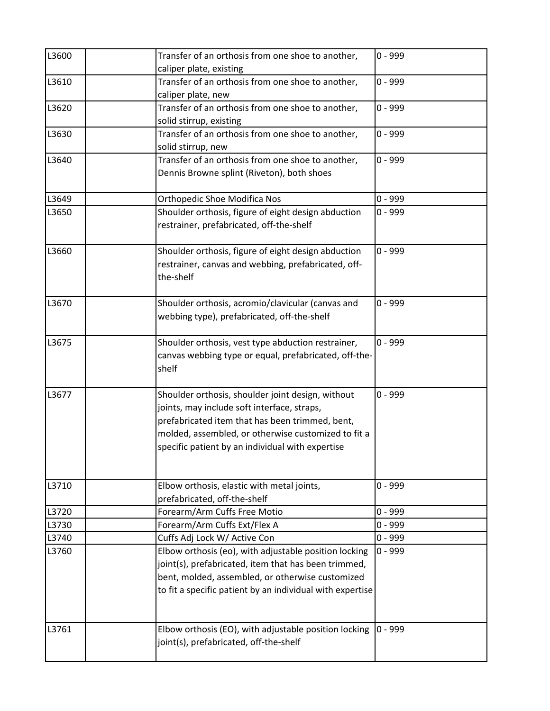| L3600 | Transfer of an orthosis from one shoe to another,<br>caliper plate, existing                                                                                                                                                                                   | $0 - 999$ |
|-------|----------------------------------------------------------------------------------------------------------------------------------------------------------------------------------------------------------------------------------------------------------------|-----------|
| L3610 | Transfer of an orthosis from one shoe to another,<br>caliper plate, new                                                                                                                                                                                        | $0 - 999$ |
| L3620 | Transfer of an orthosis from one shoe to another,<br>solid stirrup, existing                                                                                                                                                                                   | $0 - 999$ |
| L3630 | Transfer of an orthosis from one shoe to another,<br>solid stirrup, new                                                                                                                                                                                        | $0 - 999$ |
| L3640 | Transfer of an orthosis from one shoe to another,<br>Dennis Browne splint (Riveton), both shoes                                                                                                                                                                | $0 - 999$ |
| L3649 | <b>Orthopedic Shoe Modifica Nos</b>                                                                                                                                                                                                                            | $0 - 999$ |
| L3650 | Shoulder orthosis, figure of eight design abduction<br>restrainer, prefabricated, off-the-shelf                                                                                                                                                                | $0 - 999$ |
| L3660 | Shoulder orthosis, figure of eight design abduction<br>restrainer, canvas and webbing, prefabricated, off-<br>the-shelf                                                                                                                                        | $0 - 999$ |
| L3670 | Shoulder orthosis, acromio/clavicular (canvas and<br>webbing type), prefabricated, off-the-shelf                                                                                                                                                               | $0 - 999$ |
| L3675 | Shoulder orthosis, vest type abduction restrainer,<br>canvas webbing type or equal, prefabricated, off-the-<br>shelf                                                                                                                                           | $0 - 999$ |
| L3677 | Shoulder orthosis, shoulder joint design, without<br>joints, may include soft interface, straps,<br>prefabricated item that has been trimmed, bent,<br>molded, assembled, or otherwise customized to fit a<br>specific patient by an individual with expertise | $0 - 999$ |
| L3710 | Elbow orthosis, elastic with metal joints,<br>prefabricated, off-the-shelf                                                                                                                                                                                     | $0 - 999$ |
| L3720 | Forearm/Arm Cuffs Free Motio                                                                                                                                                                                                                                   | $0 - 999$ |
| L3730 | Forearm/Arm Cuffs Ext/Flex A                                                                                                                                                                                                                                   | $0 - 999$ |
| L3740 | Cuffs Adj Lock W/ Active Con                                                                                                                                                                                                                                   | $0 - 999$ |
| L3760 | Elbow orthosis (eo), with adjustable position locking<br>joint(s), prefabricated, item that has been trimmed,<br>bent, molded, assembled, or otherwise customized<br>to fit a specific patient by an individual with expertise                                 | $0 - 999$ |
| L3761 | Elbow orthosis (EO), with adjustable position locking<br>joint(s), prefabricated, off-the-shelf                                                                                                                                                                | $0 - 999$ |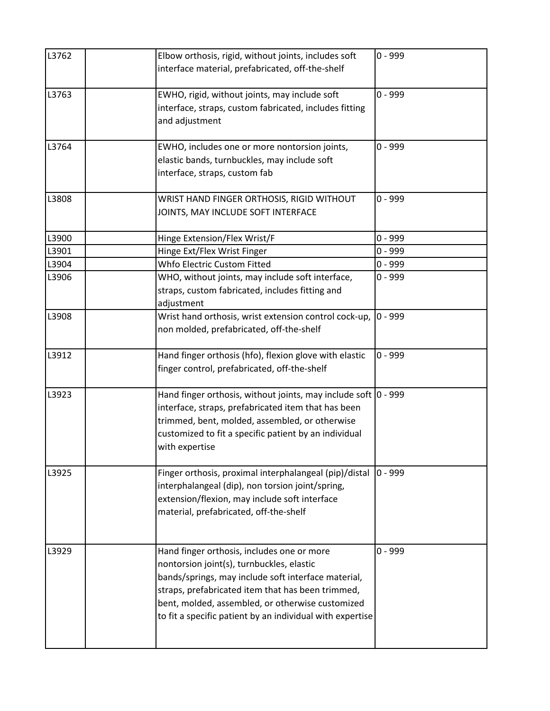| L3762 | Elbow orthosis, rigid, without joints, includes soft<br>interface material, prefabricated, off-the-shelf                                                                                                                                                                                                             | $0 - 999$ |
|-------|----------------------------------------------------------------------------------------------------------------------------------------------------------------------------------------------------------------------------------------------------------------------------------------------------------------------|-----------|
| L3763 | EWHO, rigid, without joints, may include soft<br>interface, straps, custom fabricated, includes fitting<br>and adjustment                                                                                                                                                                                            | $0 - 999$ |
| L3764 | EWHO, includes one or more nontorsion joints,<br>elastic bands, turnbuckles, may include soft<br>interface, straps, custom fab                                                                                                                                                                                       | $0 - 999$ |
| L3808 | WRIST HAND FINGER ORTHOSIS, RIGID WITHOUT<br>JOINTS, MAY INCLUDE SOFT INTERFACE                                                                                                                                                                                                                                      | $0 - 999$ |
| L3900 | Hinge Extension/Flex Wrist/F                                                                                                                                                                                                                                                                                         | $0 - 999$ |
| L3901 | Hinge Ext/Flex Wrist Finger                                                                                                                                                                                                                                                                                          | $0 - 999$ |
| L3904 | Whfo Electric Custom Fitted                                                                                                                                                                                                                                                                                          | $0 - 999$ |
| L3906 | WHO, without joints, may include soft interface,<br>straps, custom fabricated, includes fitting and<br>adjustment                                                                                                                                                                                                    | $0 - 999$ |
| L3908 | Wrist hand orthosis, wrist extension control cock-up,<br>non molded, prefabricated, off-the-shelf                                                                                                                                                                                                                    | $0 - 999$ |
| L3912 | Hand finger orthosis (hfo), flexion glove with elastic<br>finger control, prefabricated, off-the-shelf                                                                                                                                                                                                               | $0 - 999$ |
| L3923 | Hand finger orthosis, without joints, may include soft 0 - 999<br>interface, straps, prefabricated item that has been<br>trimmed, bent, molded, assembled, or otherwise<br>customized to fit a specific patient by an individual<br>with expertise                                                                   |           |
| L3925 | Finger orthosis, proximal interphalangeal (pip)/distal<br>interphalangeal (dip), non torsion joint/spring,<br>extension/flexion, may include soft interface<br>material, prefabricated, off-the-shelf                                                                                                                | $0 - 999$ |
| L3929 | Hand finger orthosis, includes one or more<br>nontorsion joint(s), turnbuckles, elastic<br>bands/springs, may include soft interface material,<br>straps, prefabricated item that has been trimmed,<br>bent, molded, assembled, or otherwise customized<br>to fit a specific patient by an individual with expertise | $0 - 999$ |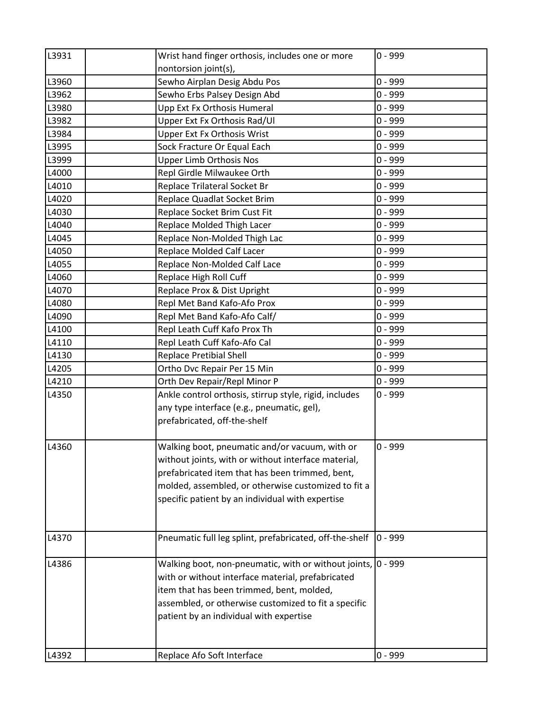| L3931 | Wrist hand finger orthosis, includes one or more             | $0 - 999$ |
|-------|--------------------------------------------------------------|-----------|
|       | nontorsion joint(s),                                         |           |
| L3960 | Sewho Airplan Desig Abdu Pos                                 | $0 - 999$ |
| L3962 | Sewho Erbs Palsey Design Abd                                 | $0 - 999$ |
| L3980 | Upp Ext Fx Orthosis Humeral                                  | $0 - 999$ |
| L3982 | Upper Ext Fx Orthosis Rad/Ul                                 | $0 - 999$ |
| L3984 | <b>Upper Ext Fx Orthosis Wrist</b>                           | $0 - 999$ |
| L3995 | Sock Fracture Or Equal Each                                  | $0 - 999$ |
| L3999 | <b>Upper Limb Orthosis Nos</b>                               | $0 - 999$ |
| L4000 | Repl Girdle Milwaukee Orth                                   | $0 - 999$ |
| L4010 | Replace Trilateral Socket Br                                 | $0 - 999$ |
| L4020 | Replace Quadlat Socket Brim                                  | $0 - 999$ |
| L4030 | Replace Socket Brim Cust Fit                                 | $0 - 999$ |
| L4040 | Replace Molded Thigh Lacer                                   | $0 - 999$ |
| L4045 | Replace Non-Molded Thigh Lac                                 | $0 - 999$ |
| L4050 | Replace Molded Calf Lacer                                    | $0 - 999$ |
| L4055 | Replace Non-Molded Calf Lace                                 | $0 - 999$ |
| L4060 | Replace High Roll Cuff                                       | $0 - 999$ |
| L4070 | Replace Prox & Dist Upright                                  | $0 - 999$ |
| L4080 | Repl Met Band Kafo-Afo Prox                                  | $0 - 999$ |
| L4090 | Repl Met Band Kafo-Afo Calf/                                 | $0 - 999$ |
| L4100 | Repl Leath Cuff Kafo Prox Th                                 | $0 - 999$ |
| L4110 | Repl Leath Cuff Kafo-Afo Cal                                 | $0 - 999$ |
| L4130 | <b>Replace Pretibial Shell</b>                               | $0 - 999$ |
| L4205 | Ortho Dvc Repair Per 15 Min                                  | $0 - 999$ |
| L4210 | Orth Dev Repair/Repl Minor P                                 | $0 - 999$ |
| L4350 | Ankle control orthosis, stirrup style, rigid, includes       | $0 - 999$ |
|       | any type interface (e.g., pneumatic, gel),                   |           |
|       | prefabricated, off-the-shelf                                 |           |
|       |                                                              |           |
| L4360 | Walking boot, pneumatic and/or vacuum, with or               | $0 - 999$ |
|       | without joints, with or without interface material,          |           |
|       | prefabricated item that has been trimmed, bent,              |           |
|       | molded, assembled, or otherwise customized to fit a          |           |
|       | specific patient by an individual with expertise             |           |
|       |                                                              |           |
| L4370 | Pneumatic full leg splint, prefabricated, off-the-shelf      | $0 - 999$ |
| L4386 | Walking boot, non-pneumatic, with or without joints, 0 - 999 |           |
|       | with or without interface material, prefabricated            |           |
|       | item that has been trimmed, bent, molded,                    |           |
|       | assembled, or otherwise customized to fit a specific         |           |
|       | patient by an individual with expertise                      |           |
|       |                                                              |           |
|       |                                                              |           |
| L4392 | Replace Afo Soft Interface                                   | $0 - 999$ |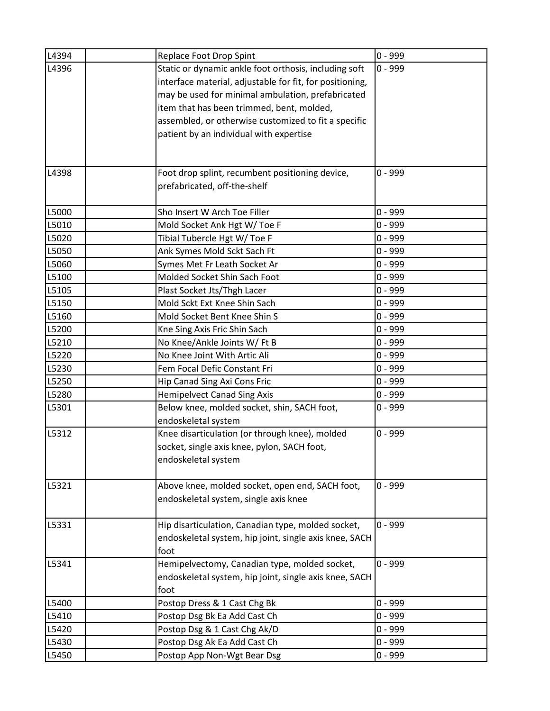| L4394 | Replace Foot Drop Spint                                  | $0 - 999$ |
|-------|----------------------------------------------------------|-----------|
| L4396 | Static or dynamic ankle foot orthosis, including soft    | $0 - 999$ |
|       | interface material, adjustable for fit, for positioning, |           |
|       | may be used for minimal ambulation, prefabricated        |           |
|       | item that has been trimmed, bent, molded,                |           |
|       | assembled, or otherwise customized to fit a specific     |           |
|       | patient by an individual with expertise                  |           |
|       |                                                          |           |
|       |                                                          |           |
| L4398 | Foot drop splint, recumbent positioning device,          | $0 - 999$ |
|       | prefabricated, off-the-shelf                             |           |
|       |                                                          |           |
| L5000 | Sho Insert W Arch Toe Filler                             | $0 - 999$ |
| L5010 | Mold Socket Ank Hgt W/ Toe F                             | $0 - 999$ |
| L5020 | Tibial Tubercle Hgt W/ Toe F                             | $0 - 999$ |
| L5050 | Ank Symes Mold Sckt Sach Ft                              | $0 - 999$ |
| L5060 | Symes Met Fr Leath Socket Ar                             | $0 - 999$ |
| L5100 | Molded Socket Shin Sach Foot                             | $0 - 999$ |
| L5105 | Plast Socket Jts/Thgh Lacer                              | $0 - 999$ |
| L5150 | Mold Sckt Ext Knee Shin Sach                             | $0 - 999$ |
| L5160 | Mold Socket Bent Knee Shin S                             | $0 - 999$ |
| L5200 | Kne Sing Axis Fric Shin Sach                             | $0 - 999$ |
| L5210 | No Knee/Ankle Joints W/ Ft B                             | $0 - 999$ |
| L5220 | No Knee Joint With Artic Ali                             | $0 - 999$ |
| L5230 | Fem Focal Defic Constant Fri                             | $0 - 999$ |
| L5250 | Hip Canad Sing Axi Cons Fric                             | $0 - 999$ |
| L5280 | <b>Hemipelvect Canad Sing Axis</b>                       | $0 - 999$ |
| L5301 | Below knee, molded socket, shin, SACH foot,              | 0 - 999   |
|       | endoskeletal system                                      |           |
| L5312 | Knee disarticulation (or through knee), molded           | $0 - 999$ |
|       | socket, single axis knee, pylon, SACH foot,              |           |
|       | endoskeletal system                                      |           |
|       |                                                          |           |
| L5321 | Above knee, molded socket, open end, SACH foot,          | $0 - 999$ |
|       | endoskeletal system, single axis knee                    |           |
|       |                                                          |           |
| L5331 | Hip disarticulation, Canadian type, molded socket,       | $0 - 999$ |
|       | endoskeletal system, hip joint, single axis knee, SACH   |           |
|       | foot                                                     |           |
| L5341 | Hemipelvectomy, Canadian type, molded socket,            | 0 - 999   |
|       | endoskeletal system, hip joint, single axis knee, SACH   |           |
|       | foot                                                     |           |
| L5400 | Postop Dress & 1 Cast Chg Bk                             | $0 - 999$ |
| L5410 | Postop Dsg Bk Ea Add Cast Ch                             | $0 - 999$ |
| L5420 | Postop Dsg & 1 Cast Chg Ak/D                             | $0 - 999$ |
| L5430 | Postop Dsg Ak Ea Add Cast Ch                             | 0 - 999   |
| L5450 | Postop App Non-Wgt Bear Dsg                              | $0 - 999$ |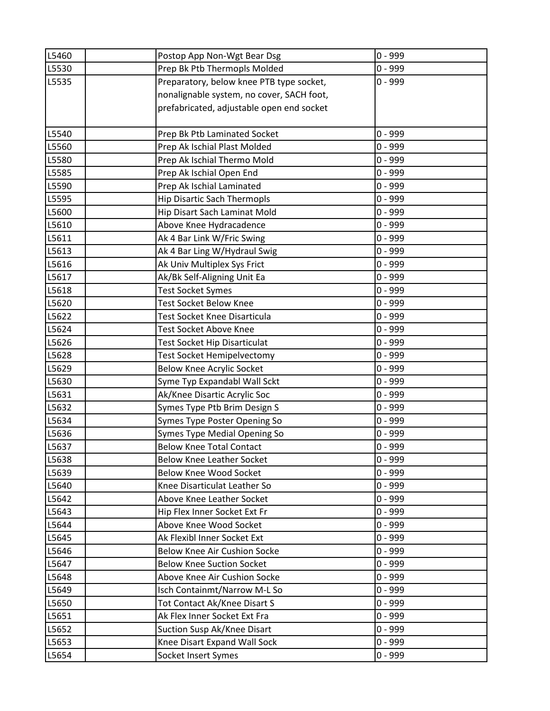| L5460 | Postop App Non-Wgt Bear Dsg               | $0 - 999$ |
|-------|-------------------------------------------|-----------|
| L5530 | Prep Bk Ptb Thermopls Molded              | $0 - 999$ |
| L5535 | Preparatory, below knee PTB type socket,  | $0 - 999$ |
|       | nonalignable system, no cover, SACH foot, |           |
|       | prefabricated, adjustable open end socket |           |
|       |                                           |           |
| L5540 | Prep Bk Ptb Laminated Socket              | $0 - 999$ |
| L5560 | Prep Ak Ischial Plast Molded              | $0 - 999$ |
| L5580 | Prep Ak Ischial Thermo Mold               | $0 - 999$ |
| L5585 | Prep Ak Ischial Open End                  | $0 - 999$ |
| L5590 | Prep Ak Ischial Laminated                 | $0 - 999$ |
| L5595 | <b>Hip Disartic Sach Thermopls</b>        | $0 - 999$ |
| L5600 | Hip Disart Sach Laminat Mold              | $0 - 999$ |
| L5610 | Above Knee Hydracadence                   | $0 - 999$ |
| L5611 | Ak 4 Bar Link W/Fric Swing                | $0 - 999$ |
| L5613 | Ak 4 Bar Ling W/Hydraul Swig              | $0 - 999$ |
| L5616 | Ak Univ Multiplex Sys Frict               | $0 - 999$ |
| L5617 | Ak/Bk Self-Aligning Unit Ea               | $0 - 999$ |
| L5618 | <b>Test Socket Symes</b>                  | $0 - 999$ |
| L5620 | <b>Test Socket Below Knee</b>             | $0 - 999$ |
| L5622 | Test Socket Knee Disarticula              | $0 - 999$ |
| L5624 | Test Socket Above Knee                    | $0 - 999$ |
| L5626 | Test Socket Hip Disarticulat              | $0 - 999$ |
| L5628 | Test Socket Hemipelvectomy                | $0 - 999$ |
| L5629 | <b>Below Knee Acrylic Socket</b>          | $0 - 999$ |
| L5630 | Syme Typ Expandabl Wall Sckt              | $0 - 999$ |
| L5631 | Ak/Knee Disartic Acrylic Soc              | $0 - 999$ |
| L5632 | Symes Type Ptb Brim Design S              | $0 - 999$ |
| L5634 | Symes Type Poster Opening So              | $0 - 999$ |
| L5636 | Symes Type Medial Opening So              | $0 - 999$ |
| L5637 | <b>Below Knee Total Contact</b>           | $0 - 999$ |
| L5638 | <b>Below Knee Leather Socket</b>          | $0 - 999$ |
| L5639 | <b>Below Knee Wood Socket</b>             | $0 - 999$ |
| L5640 | Knee Disarticulat Leather So              | $0 - 999$ |
| L5642 | Above Knee Leather Socket                 | $0 - 999$ |
| L5643 | Hip Flex Inner Socket Ext Fr              | $0 - 999$ |
| L5644 | Above Knee Wood Socket                    | $0 - 999$ |
| L5645 | Ak Flexibl Inner Socket Ext               | $0 - 999$ |
| L5646 | Below Knee Air Cushion Socke              | $0 - 999$ |
| L5647 | <b>Below Knee Suction Socket</b>          | $0 - 999$ |
| L5648 | Above Knee Air Cushion Socke              | $0 - 999$ |
| L5649 | Isch Containmt/Narrow M-L So              | $0 - 999$ |
| L5650 | Tot Contact Ak/Knee Disart S              | $0 - 999$ |
| L5651 | Ak Flex Inner Socket Ext Fra              | $0 - 999$ |
| L5652 | Suction Susp Ak/Knee Disart               | $0 - 999$ |
| L5653 | Knee Disart Expand Wall Sock              | $0 - 999$ |
| L5654 | Socket Insert Symes                       | $0 - 999$ |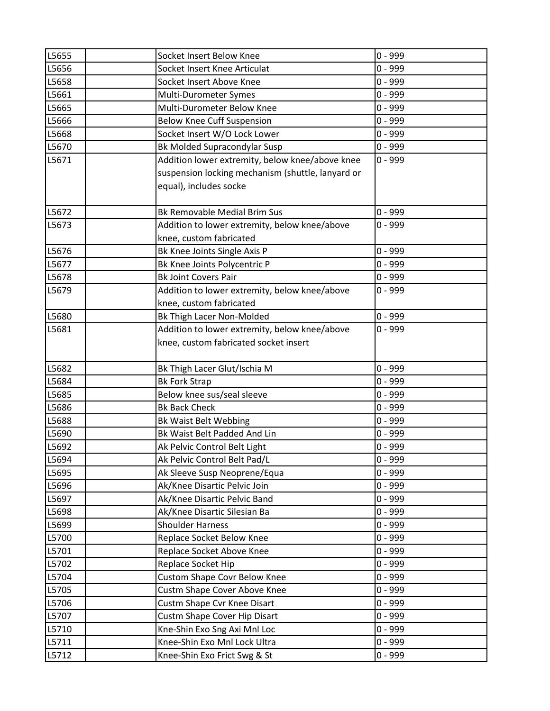| L5655          | Socket Insert Below Knee                                | $0 - 999$              |
|----------------|---------------------------------------------------------|------------------------|
| L5656          | Socket Insert Knee Articulat                            | $0 - 999$              |
| L5658          | Socket Insert Above Knee                                | $0 - 999$              |
| L5661          | Multi-Durometer Symes                                   | $0 - 999$              |
| L5665          | Multi-Durometer Below Knee                              | $0 - 999$              |
| L5666          | <b>Below Knee Cuff Suspension</b>                       | $0 - 999$              |
| L5668          | Socket Insert W/O Lock Lower                            | $0 - 999$              |
| L5670          | <b>Bk Molded Supracondylar Susp</b>                     | $0 - 999$              |
| L5671          | Addition lower extremity, below knee/above knee         | $0 - 999$              |
|                | suspension locking mechanism (shuttle, lanyard or       |                        |
|                | equal), includes socke                                  |                        |
|                |                                                         |                        |
| L5672          | <b>Bk Removable Medial Brim Sus</b>                     | $0 - 999$              |
| L5673          | Addition to lower extremity, below knee/above           | $0 - 999$              |
|                | knee, custom fabricated                                 |                        |
| L5676          | Bk Knee Joints Single Axis P                            | $0 - 999$              |
| L5677          | Bk Knee Joints Polycentric P                            | $0 - 999$              |
| L5678          | <b>Bk Joint Covers Pair</b>                             | $0 - 999$              |
| L5679          | Addition to lower extremity, below knee/above           | $0 - 999$              |
|                | knee, custom fabricated                                 |                        |
| L5680          | Bk Thigh Lacer Non-Molded                               | $0 - 999$              |
| L5681          | Addition to lower extremity, below knee/above           | $0 - 999$              |
|                | knee, custom fabricated socket insert                   |                        |
|                |                                                         |                        |
| L5682          | Bk Thigh Lacer Glut/Ischia M                            | $0 - 999$              |
| L5684          | <b>Bk Fork Strap</b>                                    | $0 - 999$              |
| L5685          | Below knee sus/seal sleeve                              | $0 - 999$              |
| L5686          | <b>Bk Back Check</b>                                    | $0 - 999$              |
| L5688          | Bk Waist Belt Webbing                                   | $0 - 999$              |
| L5690          | Bk Waist Belt Padded And Lin                            | $0 - 999$              |
| L5692          | Ak Pelvic Control Belt Light                            | $0 - 999$              |
| L5694          | Ak Pelvic Control Belt Pad/L                            | $0 - 999$              |
| L5695          | Ak Sleeve Susp Neoprene/Equa                            | $0 - 999$              |
| L5696          | Ak/Knee Disartic Pelvic Join                            | $0 - 999$<br>$0 - 999$ |
| L5697          | Ak/Knee Disartic Pelvic Band                            | $0 - 999$              |
| L5698          | Ak/Knee Disartic Silesian Ba<br><b>Shoulder Harness</b> | $0 - 999$              |
| L5699<br>L5700 | Replace Socket Below Knee                               | $0 - 999$              |
| L5701          |                                                         | $0 - 999$              |
| L5702          | Replace Socket Above Knee                               | $0 - 999$              |
|                | Replace Socket Hip                                      |                        |
| L5704          | <b>Custom Shape Covr Below Knee</b>                     | $0 - 999$              |
| L5705          | Custm Shape Cover Above Knee                            | $0 - 999$              |
| L5706          | Custm Shape Cvr Knee Disart                             | $0 - 999$              |
| L5707          | Custm Shape Cover Hip Disart                            | $0 - 999$              |
| L5710          | Kne-Shin Exo Sng Axi Mnl Loc                            | $0 - 999$              |
| L5711          | Knee-Shin Exo Mnl Lock Ultra                            | $0 - 999$              |
| L5712          | Knee-Shin Exo Frict Swg & St                            | $0 - 999$              |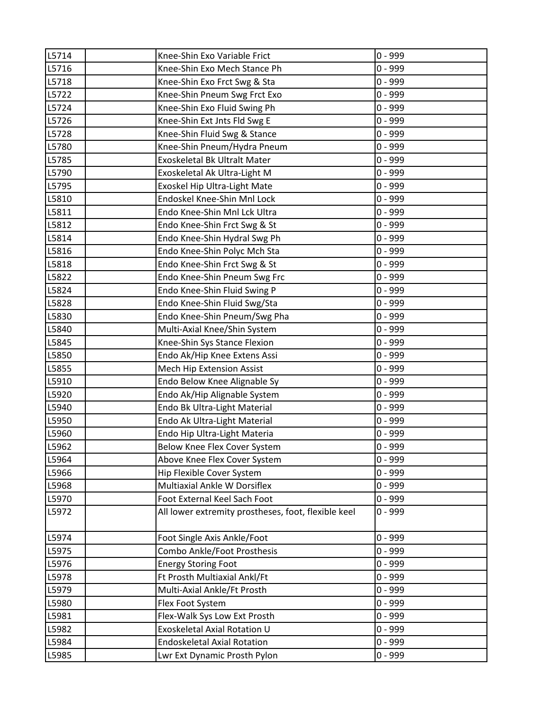| L5714 | Knee-Shin Exo Variable Frict                        | $0 - 999$ |
|-------|-----------------------------------------------------|-----------|
| L5716 | Knee-Shin Exo Mech Stance Ph                        | $0 - 999$ |
| L5718 | Knee-Shin Exo Frct Swg & Sta                        | $0 - 999$ |
| L5722 | Knee-Shin Pneum Swg Frct Exo                        | $0 - 999$ |
| L5724 | Knee-Shin Exo Fluid Swing Ph                        | $0 - 999$ |
| L5726 | Knee-Shin Ext Jnts Fld Swg E                        | $0 - 999$ |
| L5728 | Knee-Shin Fluid Swg & Stance                        | $0 - 999$ |
| L5780 | Knee-Shin Pneum/Hydra Pneum                         | $0 - 999$ |
| L5785 | Exoskeletal Bk Ultralt Mater                        | $0 - 999$ |
| L5790 | Exoskeletal Ak Ultra-Light M                        | $0 - 999$ |
| L5795 | Exoskel Hip Ultra-Light Mate                        | $0 - 999$ |
| L5810 | Endoskel Knee-Shin Mnl Lock                         | $0 - 999$ |
| L5811 | Endo Knee-Shin Mnl Lck Ultra                        | $0 - 999$ |
| L5812 | Endo Knee-Shin Frct Swg & St                        | $0 - 999$ |
| L5814 | Endo Knee-Shin Hydral Swg Ph                        | $0 - 999$ |
| L5816 | Endo Knee-Shin Polyc Mch Sta                        | $0 - 999$ |
| L5818 | Endo Knee-Shin Frct Swg & St                        | $0 - 999$ |
| L5822 | Endo Knee-Shin Pneum Swg Frc                        | $0 - 999$ |
| L5824 | Endo Knee-Shin Fluid Swing P                        | $0 - 999$ |
| L5828 | Endo Knee-Shin Fluid Swg/Sta                        | $0 - 999$ |
| L5830 | Endo Knee-Shin Pneum/Swg Pha                        | $0 - 999$ |
| L5840 | Multi-Axial Knee/Shin System                        | $0 - 999$ |
| L5845 | Knee-Shin Sys Stance Flexion                        | $0 - 999$ |
| L5850 | Endo Ak/Hip Knee Extens Assi                        | $0 - 999$ |
| L5855 | Mech Hip Extension Assist                           | 0 - 999   |
| L5910 | Endo Below Knee Alignable Sy                        | $0 - 999$ |
| L5920 | Endo Ak/Hip Alignable System                        | $0 - 999$ |
| L5940 | Endo Bk Ultra-Light Material                        | $0 - 999$ |
| L5950 | Endo Ak Ultra-Light Material                        | $0 - 999$ |
| L5960 | Endo Hip Ultra-Light Materia                        | $0 - 999$ |
| L5962 | Below Knee Flex Cover System                        | $0 - 999$ |
| L5964 | Above Knee Flex Cover System                        | $0 - 999$ |
| L5966 | Hip Flexible Cover System                           | $0 - 999$ |
| L5968 | Multiaxial Ankle W Dorsiflex                        | $0 - 999$ |
| L5970 | Foot External Keel Sach Foot                        | $0 - 999$ |
| L5972 | All lower extremity prostheses, foot, flexible keel | $0 - 999$ |
| L5974 | Foot Single Axis Ankle/Foot                         | $0 - 999$ |
| L5975 | Combo Ankle/Foot Prosthesis                         | $0 - 999$ |
| L5976 | <b>Energy Storing Foot</b>                          | $0 - 999$ |
| L5978 | Ft Prosth Multiaxial Ankl/Ft                        | 0 - 999   |
| L5979 | Multi-Axial Ankle/Ft Prosth                         | $0 - 999$ |
| L5980 | Flex Foot System                                    | $0 - 999$ |
| L5981 | Flex-Walk Sys Low Ext Prosth                        | $0 - 999$ |
| L5982 | Exoskeletal Axial Rotation U                        | $0 - 999$ |
| L5984 | <b>Endoskeletal Axial Rotation</b>                  | $0 - 999$ |
| L5985 | Lwr Ext Dynamic Prosth Pylon                        | $0 - 999$ |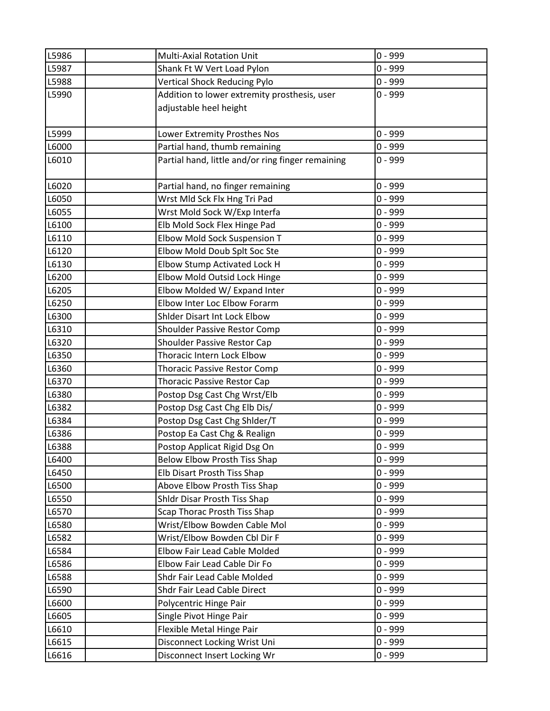| L5986 | <b>Multi-Axial Rotation Unit</b>                  | $0 - 999$ |
|-------|---------------------------------------------------|-----------|
| L5987 | Shank Ft W Vert Load Pylon                        | $0 - 999$ |
| L5988 | <b>Vertical Shock Reducing Pylo</b>               | $0 - 999$ |
| L5990 | Addition to lower extremity prosthesis, user      | $0 - 999$ |
|       | adjustable heel height                            |           |
|       |                                                   |           |
| L5999 | Lower Extremity Prosthes Nos                      | $0 - 999$ |
| L6000 | Partial hand, thumb remaining                     | $0 - 999$ |
| L6010 | Partial hand, little and/or ring finger remaining | $0 - 999$ |
|       |                                                   |           |
| L6020 | Partial hand, no finger remaining                 | $0 - 999$ |
| L6050 | Wrst Mld Sck Flx Hng Tri Pad                      | $0 - 999$ |
| L6055 | Wrst Mold Sock W/Exp Interfa                      | $0 - 999$ |
| L6100 | Elb Mold Sock Flex Hinge Pad                      | $0 - 999$ |
| L6110 | Elbow Mold Sock Suspension T                      | $0 - 999$ |
| L6120 | Elbow Mold Doub Splt Soc Ste                      | $0 - 999$ |
| L6130 | Elbow Stump Activated Lock H                      | $0 - 999$ |
| L6200 | Elbow Mold Outsid Lock Hinge                      | $0 - 999$ |
| L6205 | Elbow Molded W/ Expand Inter                      | $0 - 999$ |
| L6250 | Elbow Inter Loc Elbow Forarm                      | $0 - 999$ |
| L6300 | Shider Disart Int Lock Elbow                      | $0 - 999$ |
| L6310 | Shoulder Passive Restor Comp                      | $0 - 999$ |
| L6320 | Shoulder Passive Restor Cap                       | $0 - 999$ |
| L6350 | Thoracic Intern Lock Elbow                        | $0 - 999$ |
| L6360 | <b>Thoracic Passive Restor Comp</b>               | $0 - 999$ |
| L6370 | <b>Thoracic Passive Restor Cap</b>                | $0 - 999$ |
| L6380 | Postop Dsg Cast Chg Wrst/Elb                      | $0 - 999$ |
| L6382 | Postop Dsg Cast Chg Elb Dis/                      | $0 - 999$ |
| L6384 | Postop Dsg Cast Chg Shlder/T                      | $0 - 999$ |
| L6386 | Postop Ea Cast Chg & Realign                      | $0 - 999$ |
| L6388 | Postop Applicat Rigid Dsg On                      | $0 - 999$ |
| L6400 | <b>Below Elbow Prosth Tiss Shap</b>               | $0 - 999$ |
| L6450 | Elb Disart Prosth Tiss Shap                       | $0 - 999$ |
| L6500 | Above Elbow Prosth Tiss Shap                      | $0 - 999$ |
| L6550 | Shldr Disar Prosth Tiss Shap                      | $0 - 999$ |
| L6570 | Scap Thorac Prosth Tiss Shap                      | $0 - 999$ |
| L6580 | Wrist/Elbow Bowden Cable Mol                      | $0 - 999$ |
| L6582 | Wrist/Elbow Bowden Cbl Dir F                      | $0 - 999$ |
| L6584 | Elbow Fair Lead Cable Molded                      | $0 - 999$ |
| L6586 | Elbow Fair Lead Cable Dir Fo                      | $0 - 999$ |
| L6588 | Shdr Fair Lead Cable Molded                       | $0 - 999$ |
| L6590 | Shdr Fair Lead Cable Direct                       | $0 - 999$ |
| L6600 | Polycentric Hinge Pair                            | $0 - 999$ |
| L6605 | Single Pivot Hinge Pair                           | $0 - 999$ |
| L6610 | Flexible Metal Hinge Pair                         | $0 - 999$ |
| L6615 | Disconnect Locking Wrist Uni                      | $0 - 999$ |
| L6616 | Disconnect Insert Locking Wr                      | $0 - 999$ |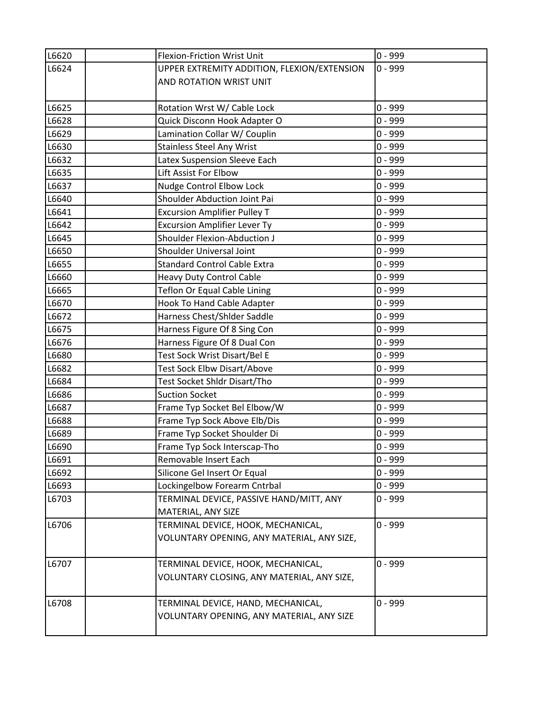| L6620 | Flexion-Friction Wrist Unit                 | $0 - 999$ |
|-------|---------------------------------------------|-----------|
| L6624 | UPPER EXTREMITY ADDITION, FLEXION/EXTENSION | $0 - 999$ |
|       | AND ROTATION WRIST UNIT                     |           |
|       |                                             |           |
| L6625 | Rotation Wrst W/ Cable Lock                 | $0 - 999$ |
| L6628 | Quick Disconn Hook Adapter O                | $0 - 999$ |
| L6629 | Lamination Collar W/ Couplin                | $0 - 999$ |
| L6630 | <b>Stainless Steel Any Wrist</b>            | $0 - 999$ |
| L6632 | Latex Suspension Sleeve Each                | $0 - 999$ |
| L6635 | Lift Assist For Elbow                       | $0 - 999$ |
| L6637 | Nudge Control Elbow Lock                    | $0 - 999$ |
| L6640 | Shoulder Abduction Joint Pai                | $0 - 999$ |
| L6641 | <b>Excursion Amplifier Pulley T</b>         | $0 - 999$ |
| L6642 | <b>Excursion Amplifier Lever Ty</b>         | $0 - 999$ |
| L6645 | Shoulder Flexion-Abduction J                | $0 - 999$ |
| L6650 | Shoulder Universal Joint                    | $0 - 999$ |
| L6655 | <b>Standard Control Cable Extra</b>         | $0 - 999$ |
| L6660 | <b>Heavy Duty Control Cable</b>             | $0 - 999$ |
| L6665 | Teflon Or Equal Cable Lining                | $0 - 999$ |
| L6670 | Hook To Hand Cable Adapter                  | $0 - 999$ |
| L6672 | Harness Chest/Shider Saddle                 | $0 - 999$ |
| L6675 | Harness Figure Of 8 Sing Con                | $0 - 999$ |
| L6676 | Harness Figure Of 8 Dual Con                | $0 - 999$ |
| L6680 | Test Sock Wrist Disart/Bel E                | $0 - 999$ |
| L6682 | Test Sock Elbw Disart/Above                 | $0 - 999$ |
| L6684 | Test Socket Shldr Disart/Tho                | $0 - 999$ |
| L6686 | <b>Suction Socket</b>                       | $0 - 999$ |
| L6687 | Frame Typ Socket Bel Elbow/W                | $0 - 999$ |
| L6688 | Frame Typ Sock Above Elb/Dis                | $0 - 999$ |
| L6689 | Frame Typ Socket Shoulder Di                | $0 - 999$ |
| L6690 | Frame Typ Sock Interscap-Tho                | $0 - 999$ |
| L6691 | Removable Insert Each                       | $0 - 999$ |
| L6692 | Silicone Gel Insert Or Equal                | $0 - 999$ |
| L6693 | Lockingelbow Forearm Cntrbal                | $0 - 999$ |
| L6703 | TERMINAL DEVICE, PASSIVE HAND/MITT, ANY     | $0 - 999$ |
|       | MATERIAL, ANY SIZE                          |           |
| L6706 | TERMINAL DEVICE, HOOK, MECHANICAL,          | $0 - 999$ |
|       | VOLUNTARY OPENING, ANY MATERIAL, ANY SIZE,  |           |
|       |                                             |           |
| L6707 | TERMINAL DEVICE, HOOK, MECHANICAL,          | $0 - 999$ |
|       | VOLUNTARY CLOSING, ANY MATERIAL, ANY SIZE,  |           |
|       |                                             |           |
| L6708 | TERMINAL DEVICE, HAND, MECHANICAL,          | $0 - 999$ |
|       | VOLUNTARY OPENING, ANY MATERIAL, ANY SIZE   |           |
|       |                                             |           |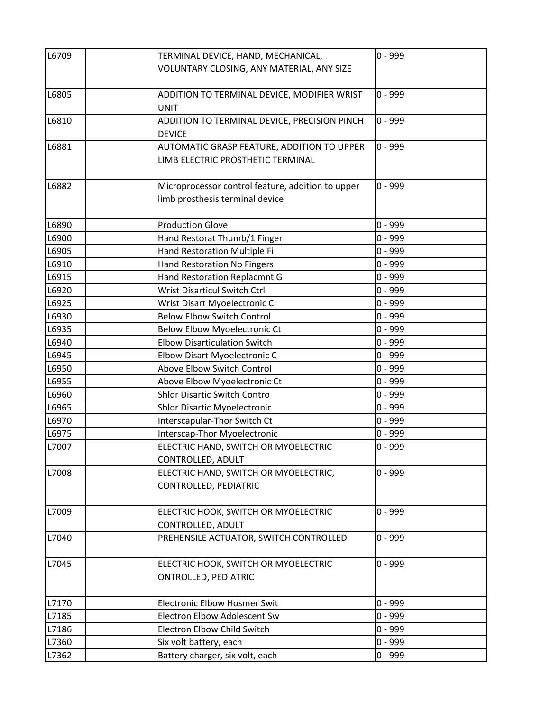| L6709 | TERMINAL DEVICE, HAND, MECHANICAL,                                  | $0 - 999$ |
|-------|---------------------------------------------------------------------|-----------|
|       | VOLUNTARY CLOSING, ANY MATERIAL, ANY SIZE                           |           |
|       |                                                                     |           |
| L6805 | ADDITION TO TERMINAL DEVICE, MODIFIER WRIST<br><b>UNIT</b>          | $0 - 999$ |
| L6810 | ADDITION TO TERMINAL DEVICE, PRECISION PINCH                        | $0 - 999$ |
|       | <b>DEVICE</b>                                                       |           |
| L6881 | AUTOMATIC GRASP FEATURE, ADDITION TO UPPER                          | $0 - 999$ |
|       | LIMB ELECTRIC PROSTHETIC TERMINAL                                   |           |
| L6882 | Microprocessor control feature, addition to upper                   | $0 - 999$ |
|       | limb prosthesis terminal device                                     |           |
| L6890 | <b>Production Glove</b>                                             | $0 - 999$ |
| L6900 | Hand Restorat Thumb/1 Finger                                        | $0 - 999$ |
| L6905 | Hand Restoration Multiple Fi                                        | $0 - 999$ |
| L6910 | Hand Restoration No Fingers                                         | $0 - 999$ |
| L6915 | Hand Restoration Replacmnt G                                        | $0 - 999$ |
| L6920 | Wrist Disarticul Switch Ctrl                                        | $0 - 999$ |
| L6925 | Wrist Disart Myoelectronic C                                        | $0 - 999$ |
| L6930 | <b>Below Elbow Switch Control</b>                                   | $0 - 999$ |
| L6935 | Below Elbow Myoelectronic Ct                                        | $0 - 999$ |
| L6940 | <b>Elbow Disarticulation Switch</b>                                 | $0 - 999$ |
| L6945 | Elbow Disart Myoelectronic C                                        | $0 - 999$ |
| L6950 | Above Elbow Switch Control                                          | $0 - 999$ |
| L6955 | Above Elbow Myoelectronic Ct                                        | $0 - 999$ |
| L6960 | <b>Shldr Disartic Switch Contro</b>                                 | $0 - 999$ |
| L6965 | <b>Shldr Disartic Myoelectronic</b>                                 | $0 - 999$ |
| L6970 | Interscapular-Thor Switch Ct                                        | $0 - 999$ |
| L6975 | Interscap-Thor Myoelectronic                                        | $0 - 999$ |
| L7007 | ELECTRIC HAND, SWITCH OR MYOELECTRIC<br>CONTROLLED, ADULT           | $0 - 999$ |
| L7008 | ELECTRIC HAND, SWITCH OR MYOELECTRIC,                               | $0 - 999$ |
|       | CONTROLLED, PEDIATRIC                                               |           |
| L7009 | ELECTRIC HOOK, SWITCH OR MYOELECTRIC                                | $0 - 999$ |
|       | CONTROLLED, ADULT                                                   |           |
| L7040 | PREHENSILE ACTUATOR, SWITCH CONTROLLED                              | $0 - 999$ |
| L7045 | ELECTRIC HOOK, SWITCH OR MYOELECTRIC<br><b>ONTROLLED, PEDIATRIC</b> | $0 - 999$ |
| L7170 | <b>Electronic Elbow Hosmer Swit</b>                                 | $0 - 999$ |
| L7185 | <b>Electron Elbow Adolescent Sw</b>                                 | $0 - 999$ |
| L7186 | <b>Electron Elbow Child Switch</b>                                  | $0 - 999$ |
| L7360 | Six volt battery, each                                              | $0 - 999$ |
| L7362 | Battery charger, six volt, each                                     | $0 - 999$ |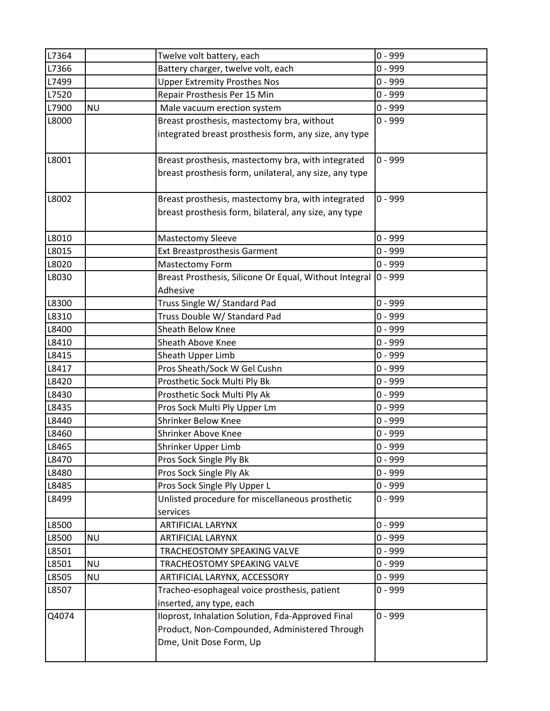| L7364          |           | Twelve volt battery, each                                  | $0 - 999$              |
|----------------|-----------|------------------------------------------------------------|------------------------|
| L7366          |           | Battery charger, twelve volt, each                         | $0 - 999$              |
| L7499          |           | <b>Upper Extremity Prosthes Nos</b>                        | $0 - 999$              |
| L7520          |           | Repair Prosthesis Per 15 Min                               | $0 - 999$              |
| L7900          | <b>NU</b> | Male vacuum erection system                                | $0 - 999$              |
| L8000          |           | Breast prosthesis, mastectomy bra, without                 | $0 - 999$              |
|                |           | integrated breast prosthesis form, any size, any type      |                        |
| L8001          |           | Breast prosthesis, mastectomy bra, with integrated         | $0 - 999$              |
|                |           | breast prosthesis form, unilateral, any size, any type     |                        |
|                |           |                                                            |                        |
| L8002          |           | Breast prosthesis, mastectomy bra, with integrated         | $0 - 999$              |
|                |           | breast prosthesis form, bilateral, any size, any type      |                        |
|                |           |                                                            |                        |
| L8010          |           | <b>Mastectomy Sleeve</b>                                   | $0 - 999$              |
| L8015          |           | <b>Ext Breastprosthesis Garment</b>                        | $0 - 999$              |
| L8020          |           | <b>Mastectomy Form</b>                                     | $0 - 999$              |
| L8030          |           | Breast Prosthesis, Silicone Or Equal, Without Integral     | $ 0 - 999$             |
|                |           | Adhesive                                                   |                        |
| L8300          |           | Truss Single W/ Standard Pad                               | $0 - 999$              |
| L8310          |           | Truss Double W/ Standard Pad                               | $0 - 999$              |
| L8400          |           | Sheath Below Knee                                          | $0 - 999$              |
| L8410          |           | Sheath Above Knee                                          | $0 - 999$              |
| L8415          |           | Sheath Upper Limb                                          | $0 - 999$              |
| L8417          |           | Pros Sheath/Sock W Gel Cushn                               | $0 - 999$              |
| L8420          |           | Prosthetic Sock Multi Ply Bk                               | $0 - 999$              |
| L8430          |           | Prosthetic Sock Multi Ply Ak                               | $0 - 999$              |
| L8435          |           | Pros Sock Multi Ply Upper Lm<br><b>Shrinker Below Knee</b> | $0 - 999$              |
| L8440          |           |                                                            | $0 - 999$<br>$0 - 999$ |
| L8460<br>L8465 |           | Shrinker Above Knee<br>Shrinker Upper Limb                 | $0 - 999$              |
| L8470          |           | Pros Sock Single Ply Bk                                    | $0 - 999$              |
| L8480          |           | Pros Sock Single Ply Ak                                    | $0 - 999$              |
| L8485          |           | Pros Sock Single Ply Upper L                               | $0 - 999$              |
| L8499          |           | Unlisted procedure for miscellaneous prosthetic            | $0 - 999$              |
|                |           | services                                                   |                        |
| L8500          |           | <b>ARTIFICIAL LARYNX</b>                                   | $0 - 999$              |
| L8500          | <b>NU</b> | ARTIFICIAL LARYNX                                          | $0 - 999$              |
| L8501          |           | TRACHEOSTOMY SPEAKING VALVE                                | $0 - 999$              |
| L8501          | <b>NU</b> | TRACHEOSTOMY SPEAKING VALVE                                | $0 - 999$              |
| L8505          | <b>NU</b> | ARTIFICIAL LARYNX, ACCESSORY                               | $0 - 999$              |
| L8507          |           | Tracheo-esophageal voice prosthesis, patient               | $0 - 999$              |
|                |           | inserted, any type, each                                   |                        |
| Q4074          |           | Iloprost, Inhalation Solution, Fda-Approved Final          | $0 - 999$              |
|                |           | Product, Non-Compounded, Administered Through              |                        |
|                |           | Dme, Unit Dose Form, Up                                    |                        |
|                |           |                                                            |                        |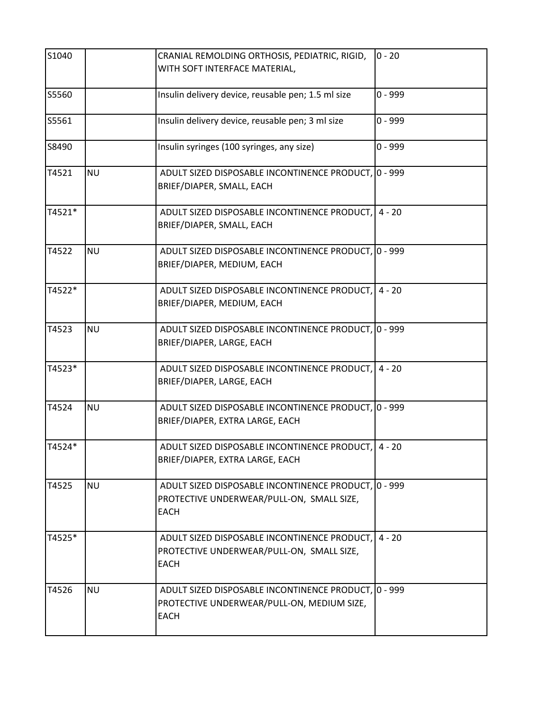| S1040  |           | CRANIAL REMOLDING ORTHOSIS, PEDIATRIC, RIGID,<br>WITH SOFT INTERFACE MATERIAL,                                    | $0 - 20$  |
|--------|-----------|-------------------------------------------------------------------------------------------------------------------|-----------|
| S5560  |           | Insulin delivery device, reusable pen; 1.5 ml size                                                                | $0 - 999$ |
| S5561  |           | Insulin delivery device, reusable pen; 3 ml size                                                                  | $0 - 999$ |
| S8490  |           | Insulin syringes (100 syringes, any size)                                                                         | $0 - 999$ |
| T4521  | <b>NU</b> | ADULT SIZED DISPOSABLE INCONTINENCE PRODUCT, 0 - 999<br>BRIEF/DIAPER, SMALL, EACH                                 |           |
| T4521* |           | ADULT SIZED DISPOSABLE INCONTINENCE PRODUCT,<br>BRIEF/DIAPER, SMALL, EACH                                         | $4 - 20$  |
| T4522  | <b>NU</b> | ADULT SIZED DISPOSABLE INCONTINENCE PRODUCT, 0 - 999<br>BRIEF/DIAPER, MEDIUM, EACH                                |           |
| T4522* |           | ADULT SIZED DISPOSABLE INCONTINENCE PRODUCT, 4 - 20<br>BRIEF/DIAPER, MEDIUM, EACH                                 |           |
| T4523  | <b>NU</b> | ADULT SIZED DISPOSABLE INCONTINENCE PRODUCT, 0 - 999<br>BRIEF/DIAPER, LARGE, EACH                                 |           |
| T4523* |           | ADULT SIZED DISPOSABLE INCONTINENCE PRODUCT,<br>BRIEF/DIAPER, LARGE, EACH                                         | $4 - 20$  |
| T4524  | <b>NU</b> | ADULT SIZED DISPOSABLE INCONTINENCE PRODUCT, 0 - 999<br>BRIEF/DIAPER, EXTRA LARGE, EACH                           |           |
| T4524* |           | ADULT SIZED DISPOSABLE INCONTINENCE PRODUCT, 4 - 20<br>BRIEF/DIAPER, EXTRA LARGE, EACH                            |           |
| T4525  | <b>NU</b> | ADULT SIZED DISPOSABLE INCONTINENCE PRODUCT, 0 - 999<br>PROTECTIVE UNDERWEAR/PULL-ON, SMALL SIZE,<br><b>EACH</b>  |           |
| T4525* |           | ADULT SIZED DISPOSABLE INCONTINENCE PRODUCT,<br>PROTECTIVE UNDERWEAR/PULL-ON, SMALL SIZE,<br><b>EACH</b>          | $4 - 20$  |
| T4526  | <b>NU</b> | ADULT SIZED DISPOSABLE INCONTINENCE PRODUCT, 0 - 999<br>PROTECTIVE UNDERWEAR/PULL-ON, MEDIUM SIZE,<br><b>EACH</b> |           |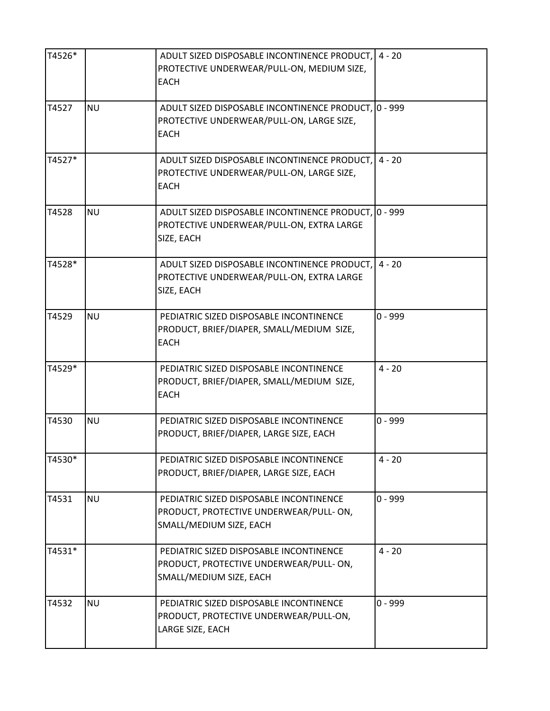| T4526* |           | ADULT SIZED DISPOSABLE INCONTINENCE PRODUCT,<br>PROTECTIVE UNDERWEAR/PULL-ON, MEDIUM SIZE,<br><b>EACH</b>        | $4 - 20$  |
|--------|-----------|------------------------------------------------------------------------------------------------------------------|-----------|
| T4527  | <b>NU</b> | ADULT SIZED DISPOSABLE INCONTINENCE PRODUCT, 0 - 999<br>PROTECTIVE UNDERWEAR/PULL-ON, LARGE SIZE,<br><b>EACH</b> |           |
| T4527* |           | ADULT SIZED DISPOSABLE INCONTINENCE PRODUCT,<br>PROTECTIVE UNDERWEAR/PULL-ON, LARGE SIZE,<br><b>EACH</b>         | $4 - 20$  |
| T4528  | <b>NU</b> | ADULT SIZED DISPOSABLE INCONTINENCE PRODUCT, 0 - 999<br>PROTECTIVE UNDERWEAR/PULL-ON, EXTRA LARGE<br>SIZE, EACH  |           |
| T4528* |           | ADULT SIZED DISPOSABLE INCONTINENCE PRODUCT,<br>PROTECTIVE UNDERWEAR/PULL-ON, EXTRA LARGE<br>SIZE, EACH          | $4 - 20$  |
| T4529  | <b>NU</b> | PEDIATRIC SIZED DISPOSABLE INCONTINENCE<br>PRODUCT, BRIEF/DIAPER, SMALL/MEDIUM SIZE,<br><b>EACH</b>              | $0 - 999$ |
| T4529* |           | PEDIATRIC SIZED DISPOSABLE INCONTINENCE<br>PRODUCT, BRIEF/DIAPER, SMALL/MEDIUM SIZE,<br><b>EACH</b>              | $4 - 20$  |
| T4530  | <b>NU</b> | PEDIATRIC SIZED DISPOSABLE INCONTINENCE<br>PRODUCT, BRIEF/DIAPER, LARGE SIZE, EACH                               | $0 - 999$ |
| T4530* |           | PEDIATRIC SIZED DISPOSABLE INCONTINENCE<br>PRODUCT, BRIEF/DIAPER, LARGE SIZE, EACH                               | $4 - 20$  |
| T4531  | <b>NU</b> | PEDIATRIC SIZED DISPOSABLE INCONTINENCE<br>PRODUCT, PROTECTIVE UNDERWEAR/PULL-ON,<br>SMALL/MEDIUM SIZE, EACH     | $0 - 999$ |
| T4531* |           | PEDIATRIC SIZED DISPOSABLE INCONTINENCE<br>PRODUCT, PROTECTIVE UNDERWEAR/PULL-ON,<br>SMALL/MEDIUM SIZE, EACH     | $4 - 20$  |
| T4532  | <b>NU</b> | PEDIATRIC SIZED DISPOSABLE INCONTINENCE<br>PRODUCT, PROTECTIVE UNDERWEAR/PULL-ON,<br>LARGE SIZE, EACH            | $0 - 999$ |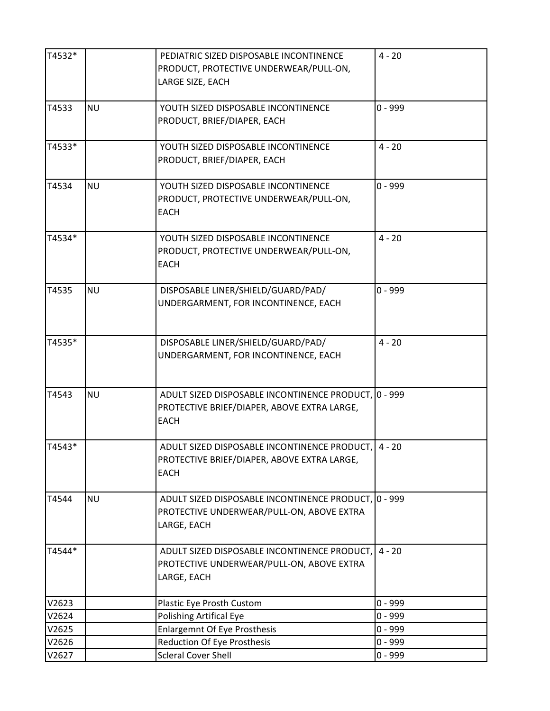| T4532* |           | PEDIATRIC SIZED DISPOSABLE INCONTINENCE<br>PRODUCT, PROTECTIVE UNDERWEAR/PULL-ON,<br>LARGE SIZE, EACH              | $4 - 20$  |
|--------|-----------|--------------------------------------------------------------------------------------------------------------------|-----------|
| T4533  | <b>NU</b> | YOUTH SIZED DISPOSABLE INCONTINENCE<br>PRODUCT, BRIEF/DIAPER, EACH                                                 | $0 - 999$ |
| T4533* |           | YOUTH SIZED DISPOSABLE INCONTINENCE<br>PRODUCT, BRIEF/DIAPER, EACH                                                 | $4 - 20$  |
| T4534  | <b>NU</b> | YOUTH SIZED DISPOSABLE INCONTINENCE<br>PRODUCT, PROTECTIVE UNDERWEAR/PULL-ON,<br><b>EACH</b>                       | $0 - 999$ |
| T4534* |           | YOUTH SIZED DISPOSABLE INCONTINENCE<br>PRODUCT, PROTECTIVE UNDERWEAR/PULL-ON,<br><b>EACH</b>                       | $4 - 20$  |
| T4535  | <b>NU</b> | DISPOSABLE LINER/SHIELD/GUARD/PAD/<br>UNDERGARMENT, FOR INCONTINENCE, EACH                                         | $0 - 999$ |
| T4535* |           | DISPOSABLE LINER/SHIELD/GUARD/PAD/<br>UNDERGARMENT, FOR INCONTINENCE, EACH                                         | $4 - 20$  |
| T4543  | <b>NU</b> | ADULT SIZED DISPOSABLE INCONTINENCE PRODUCT, 0 - 999<br>PROTECTIVE BRIEF/DIAPER, ABOVE EXTRA LARGE,<br><b>EACH</b> |           |
| T4543* |           | ADULT SIZED DISPOSABLE INCONTINENCE PRODUCT,<br>PROTECTIVE BRIEF/DIAPER, ABOVE EXTRA LARGE,<br><b>EACH</b>         | $4 - 20$  |
| T4544  | <b>NU</b> | ADULT SIZED DISPOSABLE INCONTINENCE PRODUCT, 0 - 999<br>PROTECTIVE UNDERWEAR/PULL-ON, ABOVE EXTRA<br>LARGE, EACH   |           |
| T4544* |           | ADULT SIZED DISPOSABLE INCONTINENCE PRODUCT,<br>PROTECTIVE UNDERWEAR/PULL-ON, ABOVE EXTRA<br>LARGE, EACH           | $4 - 20$  |
| V2623  |           | Plastic Eye Prosth Custom                                                                                          | $0 - 999$ |
| V2624  |           | Polishing Artifical Eye                                                                                            | $0 - 999$ |
| V2625  |           | <b>Enlargemnt Of Eye Prosthesis</b>                                                                                | $0 - 999$ |
| V2626  |           | <b>Reduction Of Eye Prosthesis</b>                                                                                 | $0 - 999$ |
| V2627  |           | <b>Scleral Cover Shell</b>                                                                                         | $0 - 999$ |